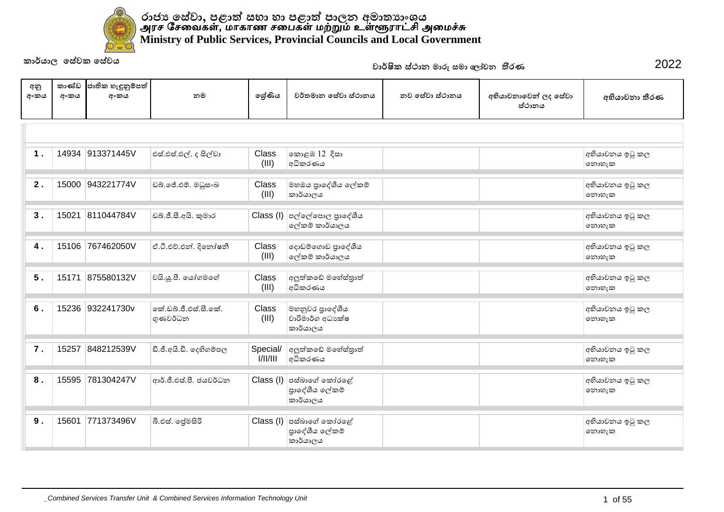

|             | <u>ອັສກັພບັນຍາ ບັນຍຸ ພົບກັບ ກັບກັບ ໜ້</u> |                           |                                  |                       |                                                  |                |                                |                          |
|-------------|-------------------------------------------|---------------------------|----------------------------------|-----------------------|--------------------------------------------------|----------------|--------------------------------|--------------------------|
| අනු<br>අංකය | කාණ්ඩ<br>අංකය                             | ජාතික හැඳුනුම්පත්<br>අංකය | නම                               | ලේණිය                 | වර්තමාන සේවා ස්ථානය                              | නව සේවා ස්ථානය | අභියාචනාවෙන් ලද සේවා<br>ස්ථානය | අභියාචනා තීරණ            |
|             |                                           |                           |                                  |                       |                                                  |                |                                |                          |
| 1.          |                                           | 14934 913371445V          | එස්.එස්.එල්. ද සිල්වා            | Class<br>(III)        | කොළඹ 12 දිසා<br>අධිකරණය                          |                |                                | අභියාවනය ඉටු කල<br>නොහැක |
| 2.          |                                           | 15000 943221774V          | ඩබ්.ජේ.එම්. මධුසංඛ               | Class<br>(III)        | මහඔය පුාදේශීය ලේකම්<br>කාර්යාලය                  |                |                                | අභියාචනය ඉටු කල<br>නොහැක |
| 3.          | 15021                                     | 811044784V                | ඩබ්.ජී.සී.අයි. කුමාර             | Class (I)             | පල්ලේපොල පුාදේශීය<br>ලේකම් කාර්යාලය              |                |                                | අභියාචනය ඉටු කල<br>නොහැක |
| 4.          |                                           | 15106 767462050V          | ඒ.ටී.එච්.එන්. දිනෝෂනී            | <b>Class</b><br>(III) | දොඩම්ගොඩ පාදේශීය<br>ලේකම් කාර්යාලය               |                |                                | අභියාචනය ඉටු කල<br>නොහැක |
| 5.          | 15171                                     | 875580132V                | වයි.යූ.පී. යෝගමගේ                | Class<br>(III)        | අලුත්කඩේ මහේස්තුාත්<br>අධිකරණය                   |                |                                | අභියාචනය ඉටු කල<br>නොහැක |
| 6.          |                                           | 15236 932241730v          | කේ.ඩබ්.ජී.එස්.සී.කේ.<br>ගුණවර්ධන | Class<br>(III)        | මහනුවර පුාදේශීය<br>වාරිමාර්ග අධාගක්ෂ<br>කාර්යාලය |                |                                | අභියාචනය ඉටු කල<br>නොහැක |
| 7.          | 15257                                     | 848212539V                | ඩී.ජී.අයි.ඩී. දෙහිගම්පල          | Special/<br>I/II/III  | අලුත්කඩේ මහේස්තුාත්<br>අධිකරණය                   |                |                                | අභියාවනය ඉටු කල<br>නොහැක |
| 8.          |                                           | 15595 781304247V          | ආර්.ජී.එස්.පී. ජයවර්ධන           | Class (I)             | පස්බාගේ කෝරළේ<br>පාදේශීය ලේකම්<br>කාර්යාලය       |                |                                | අභියාචනය ඉටු කල<br>නොහැක |
| 9.          |                                           | 15601 771373496V          | බී.එස්. ලේමසිරි                  | Class (I)             | පස්බාගේ කෝරළේ<br>පාදේශීය ලේකම්<br>කාර්යාලය       |                |                                | අභියාචනය ඉටු කල<br>නොහැක |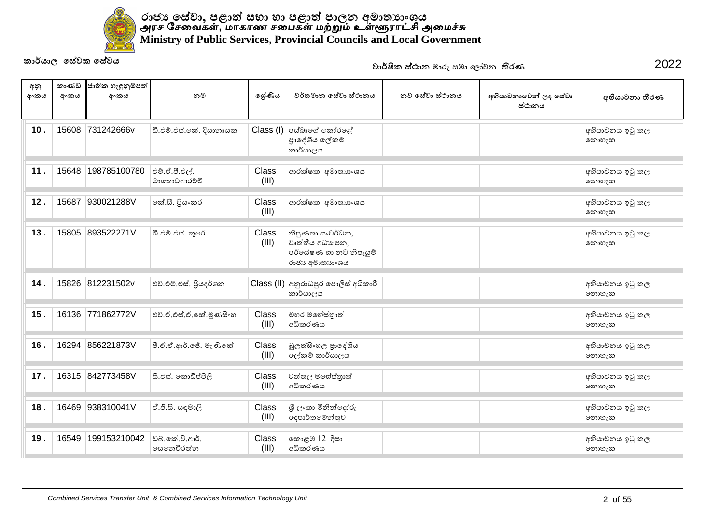

| අනු<br>අංකය | කාණ්ඩ<br>අංකය | ජාතික හැඳුනුම්පත්<br>අංකය | නම                           | ලේණිය          | වර්තමාන සේවා ස්ථානය                                                             | නව සේවා ස්ථානය | අභියාචනාවෙන් ලද සේවා<br>ස්ථානය | අභියාචනා තීරණ            |
|-------------|---------------|---------------------------|------------------------------|----------------|---------------------------------------------------------------------------------|----------------|--------------------------------|--------------------------|
| 10.         | 15608         | 731242666v                | ඩී.එම්.එස්.කේ. දිසානායක      |                | $Class (I)$ පස්බාගේ කෝරළේ<br>පාදේශීය ලේකම්<br>කාර්යාලය                          |                |                                | අභියාවනය ඉටු කල<br>නොහැක |
| 11.         | 15648         | 198785100780              | එම්.ඒ.පී.එල්.<br>මාතොටආරච්චි | Class<br>(III) | ආරක්ෂක අමාතාහංශය                                                                |                |                                | අභියාචනය ඉටු කල<br>නොහැක |
| 12.         | 15687         | 930021288V                | කේ.සී. පියංකර                | Class<br>(III) | ආරක්ෂක අමාතාහංශය                                                                |                |                                | අභියාචනය ඉටු කල<br>නොහැක |
| 13.         | 15805         | 893522271V                | බී.එම්.එස්. කුරේ             | Class<br>(III) | නිපුණතා සංවර්ධන,<br>වෘත්තීය අධාහපන,<br>පර්යේෂණ හා නව නිපැයුම්<br>රාජා අමාතාගංශය |                |                                | අභියාවනය ඉටු කල<br>නොහැක |
| 14.         | 15826         | 812231502v                | එච්.එම්.එස්. පියදර්ශන        |                | Class (II) අනුරාධපුර පොලිස් අධිකාරී<br>කාර්යාලය                                 |                |                                | අභියාචනය ඉටු කල<br>නොහැක |
| 15.         | 16136         | 771862772V                | එච්.ඒ.එස්.ඒ.කේ.මුණසිංහ       | Class<br>(III) | මහර මහේස්තුාත්<br>අධිකරණය                                                       |                |                                | අභියාචනය ඉටු කල<br>නොහැක |
| 16.         | 16294         | 856221873V                | පී.ඒ.ඒ.ආර්.ජේ. මැණිකේ        | Class<br>(III) | බුලත්සිංහල පුාදේශීය<br>ලේකම් කාර්යාලය                                           |                |                                | අභියාචනය ඉටු කල<br>නොහැක |
| 17.         |               | 16315 842773458V          | සී.එස්. කොඩිප්පිලි           | Class<br>(III) | වත්තල මහේස්තුාත්<br>අධිකරණය                                                     |                |                                | අභියාචනය ඉටු කල<br>නොහැක |
| 18.         | 16469         | 938310041V                | ඒ.ජී.සී. සඳමාලි              | Class<br>(III) | ශී ලංකා මිනින්දෝරු<br>දෙපාර්තමෙන්තුව                                            |                |                                | අභියාචනය ඉටු කල<br>නොහැක |
| 19.         | 16549         | 199153210042              | ඩබ්.කේ.වී.ආර්.<br>සෙනෙවිරත්න | Class<br>(III) | කොළඹ 12 දිසා<br>අධිකරණය                                                         |                |                                | අභියාචනය ඉටු කල<br>නොහැක |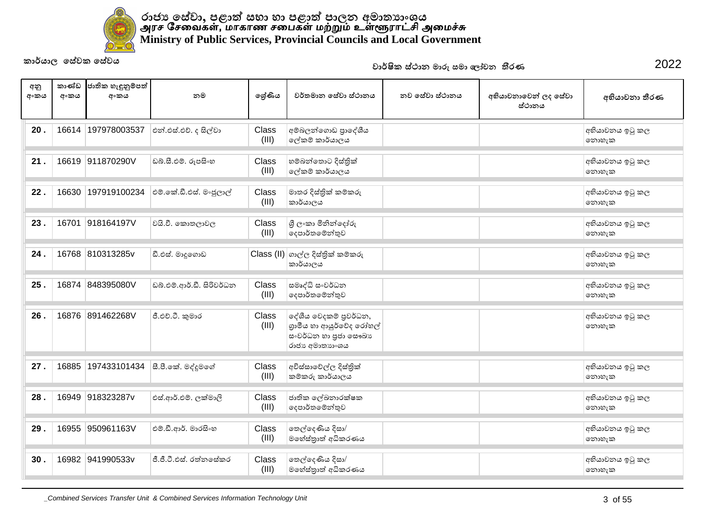

| අනු<br>අංකය | කාණ්ඩ<br>අංකය | ජාතික හැඳුනුම්පත්<br>අංකය | නම                        | ලශ්ණිය         | වර්තමාන සේවා ස්ථානය                                                                         | නව සේවා ස්ථානය | අභියාචනාවෙන් ලද සේවා<br>ස්ථානය | අභියාචනා තීරණ            |
|-------------|---------------|---------------------------|---------------------------|----------------|---------------------------------------------------------------------------------------------|----------------|--------------------------------|--------------------------|
| 20.         | 16614         | 197978003537              | එන්.එස්.එච්. ද සිල්වා     | Class<br>(III) | අම්බලන්ගොඩ පාදේශීය<br>ලේකම් කාර්යාලය                                                        |                |                                | අභියාචනය ඉටු කල<br>නොහැක |
| 21.         |               | 16619 911870290V          | ඩබ්.සී.එම්. රූපසිංහ       | Class<br>(III) | හම්බන්තොට දිස්තික්<br>ලේකම් කාර්යාලය                                                        |                |                                | අභියාචනය ඉටු කල<br>නොහැක |
| 22.         | 16630         | 197919100234              | එම්.කේ.ඩී.එස්. මංජූලාල්   | Class<br>(III) | මාතර දිස්තික් කම්කරු<br>කාර්යාලය                                                            |                |                                | අභියාචනය ඉටු කල<br>නොහැක |
| 23.         | 16701         | 918164197V                | වයි.වී. කොතලාවල           | Class<br>(III) | ශී ලංකා මිනින්දෝරු<br> ලදපාර්තමේන්තුව                                                       |                |                                | අභියාචනය ඉටු කල<br>නොහැක |
| 24.         | 16768         | 810313285v                | ඩී.එස්. මාදූගොඩ           |                | $\textsf{Class}\ ( \textsf{II})$ ගාල්ල දිස්තිුක් කම්කරු<br>කාර්යාලය                         |                |                                | අභියාචනය ඉටු කල<br>නොහැක |
| 25.         | 16874         | 848395080V                | ඩබ්.එම්.ආර්.ඩී. සිරිවර්ධන | Class<br>(III) | සමෘද්ධි සංවර්ධන<br>දෙපාර්තමේන්තුව                                                           |                |                                | අභියාචනය ඉටු කල<br>නොහැක |
| 26.         | 16876         | 891462268V                | ජී.එච්.ටී. කුමාර          | Class<br>(III) | දේශීය වෙදකම් පුවර්ධන,<br>ගුාමීය හා ආයුර්වේද රෝහල්<br>සංවර්ධන හා පුජා සෞඛා<br>රාජා අමාතාගංශය |                |                                | අභියාවනය ඉටු කල<br>නොහැක |
| 27.         | 16885         | 197433101434              | සී.පී.කේ. මද්දූමගේ        | Class<br>(III) | අවිස්සාවේල්ල දිස්තිුක්<br>කම්කරු කාර්යාලය                                                   |                |                                | අභියාචනය ඉටු කල<br>නොහැක |
| 28.         | 16949         | 918323287v                | එස්.ආර්.එම්. ලක්මාලි      | Class<br>(III) | ජාතික ලේඛනාරක්ෂක<br> ලදපාර්තමේන්තුව                                                         |                |                                | අභියාචනය ඉටු කල<br>නොහැක |
| 29.         | 16955         | 950961163V                | එම්.ඩී.ආර්. මාරසිංහ       | Class<br>(III) | තෙල්දෙණිය දිසා/<br>මහේස්තුාත් අධිකරණය                                                       |                |                                | අභියාචනය ඉටු කල<br>නොහැක |
| 30.         |               | 16982 941990533v          | ජී.ජී.ටී.එස්, රත්තසේකර    | Class<br>(III) | තෙල්දෙණිය දිසා/<br>මහේස්තුාත් අධිකරණය                                                       |                |                                | අභියාචනය ඉටු කල<br>නොහැක |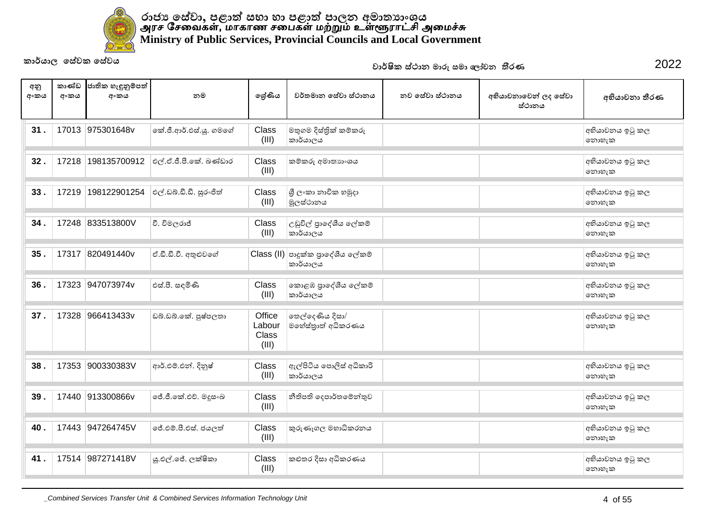

| අනු<br>අංකය | කාණ්ඩ<br>අංකය | ජාතික හැඳුනුම්පත්<br>අංකය | නම                      | ලේණිය                              | වර්තමාන සේවා ස්ථානය                           | නව සේවා ස්ථානය | අභියාචනාවෙන් ලද සේවා<br>ස්ථානය | අභියාචනා තීරණ            |
|-------------|---------------|---------------------------|-------------------------|------------------------------------|-----------------------------------------------|----------------|--------------------------------|--------------------------|
| 31.         |               | 17013 975301648v          | කේ.ජී.ආර්.එස්.යූ. ගමගේ  | Class<br>(III)                     | මතුගම දිස්තික් කම්කරු<br>කාර්යාලය             |                |                                | අභියාචනය ඉටු කල<br>නොහැක |
| 32.         | 17218         | 198135700912              | එල්.ඒ.ජී.පී.කේ. බණ්ඩාර  | Class<br>(III)                     | කම්කරු අමාතාහංශය                              |                |                                | අභියාචනය ඉටු කල<br>නොහැක |
| 33.         | 17219         | 198122901254              | එල්.ඩබ්.ඩී.ඩී. සුරංජිත් | Class<br>(III)                     | ශී ලංකා නාවික හමුදා<br>මූලස්ථානය              |                |                                | අභියාචනය ඉටු කල<br>නොහැක |
| 34.         | 17248         | 833513800V                | වී. විමලරාජ්            | Class<br>(III)                     | උඩුවිල් පාදේශීය ලේකම්<br>කාර්යාලය             |                |                                | අභියාචනය ඉටු කල<br>නොහැක |
| 35.         | 17317         | 820491440v                | ඒ.ඩී.ඩී.වී. අතුළුවගේ    |                                    | Class (II) පාදුක්ක පුාදේශීය ලේකම්<br>කාර්යාලය |                |                                | අභියාචනය ඉටු කල<br>නොහැක |
| 36.         | 17323         | 947073974v                | එස්.පී. සඳමිණි          | Class<br>(III)                     | කොළඹ පුාදේශීය ලේකම්<br>කාර්යාලය               |                |                                | අභියාචනය ඉටු කල<br>නොහැක |
| 37.         | 17328         | 966413433v                | ඩබ්.ඩබ්.කේ. පුෂ්පලතා    | Office<br>Labour<br>Class<br>(III) | තෙල්දෙණිය දිසා/<br>මහේස්තුාත් අධිකරණය         |                |                                | අභියාචනය ඉටු කල<br>නොහැක |
| 38.         | 17353         | 900330383V                | ආර්.එම්.එන්. දිනුෂ්     | Class<br>(III)                     | ඇල්පිටිය පොලිස් අධිකාරි<br>කාර්යාලය           |                |                                | අභියාචනය ඉටු කල<br>නොහැක |
| 39.         | 17440         | 913300866v                | ජේ.ජී.කේ.එච්. මදූසංඛ    | Class<br>(III)                     | නීතිපති දෙපාර්තමේන්තුව                        |                |                                | අභියාචනය ඉටු කල<br>නොහැක |
| 40          | 17443         | 947264745V                | ජේ.එම්.පී.එස්. ජයලත්    | Class<br>(III)                     | කුරුණෑගල මහාධිකරනය                            |                |                                | අභියාචනය ඉටු කල<br>නොහැක |
| 41.         | 17514         | 987271418V                | යු.එල්.ජේ. ලක්ෂිකා      | Class<br>(III)                     | කළුතර දිසා අධිකරණය                            |                |                                | අභියාචනය ඉටු කල<br>නොහැක |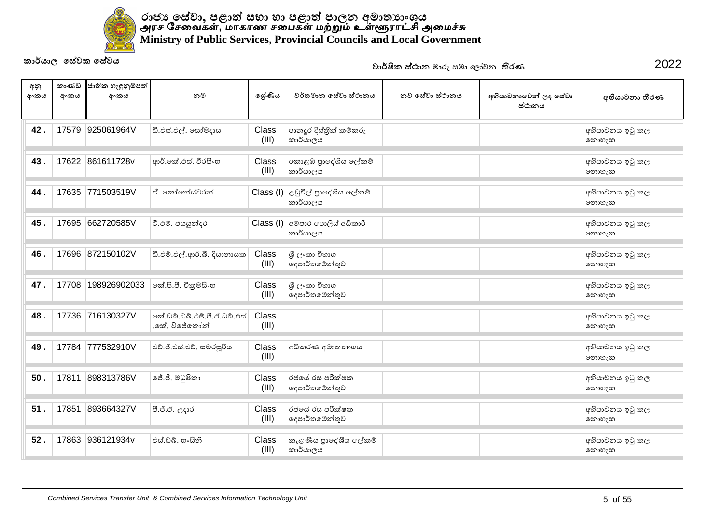

| අනු<br>අංකය | කාණ්ඩ<br>අංකය | ජාතික හැඳුනුම්පත්<br>අංකය | නම                                           | ලශ්ණිය         | වර්තමාන සේවා ස්ථානය                                                        | නව සේවා ස්ථානය | අභියාචනාවෙන් ලද සේවා<br>ස්ථානය | අභියාචනා තීරණ            |
|-------------|---------------|---------------------------|----------------------------------------------|----------------|----------------------------------------------------------------------------|----------------|--------------------------------|--------------------------|
| 42.         | 17579         | 925061964V                | ඩි.එස්.එල්. සෝමදාස                           | Class<br>(III) | පානදුර දිස්තික් කම්කරු<br>කාර්යාලය                                         |                |                                | අභියාචනය ඉටු කල<br>නොහැක |
| 43          | 17622         | 861611728v                | ආර්.කේ.එස්. වීරසිංහ                          | Class<br>(III) | කොළඹ පුාදේශීය ලේකම්<br>කාර්යාලය                                            |                |                                | අභියාචනය ඉටු කල<br>නොහැක |
| 44          | 17635         | 771503519V                | ඒ, කෝතේස්වරත්                                |                | $\textsf{Class}\left(\mathsf{I}\right)$ උඩුවිල් පුාදේශීය ලේකම්<br>කාර්යාලය |                |                                | අභියාචනය ඉටු කල<br>නොහැක |
| 45.         | 17695         | 662720585V                | ටී.එම්. ජයසුන්දර                             |                | Class (I) අම්පාර පොලිස් අධිකාරී<br>කාර්යාලය                                |                |                                | අභියාචනය ඉටු කල<br>නොහැක |
| 46.         | 17696         | 872150102V                | ඩී.එම්.එල්.ආර්.බී. දිසානායක                  | Class<br>(III) | ශී ලංකා විහාග<br>දෙපාර්තමේන්තුව                                            |                |                                | අභියාචනය ඉටු කල<br>නොහැක |
| 47.         | 17708         | 198926902033              | කේ.පී.පී. විකුමසිංහ                          | Class<br>(III) | ශී ලංකා විහාග<br>දෙපාර්තමේන්තුව                                            |                |                                | අභියාචනය ඉටු කල<br>නොහැක |
| 48.         | 17736         | 716130327V                | කේ.ඩබ්.ඩබ්.එම්.පී.ඒ.ඩබ්.එස්<br>.කේ. විජේකෝන් | Class<br>(III) |                                                                            |                |                                | අභියාචනය ඉටු කල<br>නොහැක |
| 49.         | 17784         | 777532910V                | එච්.ජී.එස්.එච්. සමරසූරිය                     | Class<br>(III) | අධිකරණ අමාතාහංශය                                                           |                |                                | අභියාචනය ඉටු කල<br>෩හැක  |
| 50          | 17811         | 898313786V                | ජේ.ජී. මධුෂිකා                               | Class<br>(III) | රජයේ රස පරීක්ෂක<br>දෙපාර්තමේන්තුව                                          |                |                                | අභියාචනය ඉටු කල<br>නොහැක |
| 51          | 17851         | 893664327V                | පී.ජී.ඒ. උදාර                                | Class<br>(III) | රජයේ රස පරීක්ෂක<br> ලදපාර්තමේන්තුව                                         |                |                                | අභියාචනය ඉටු කල<br>෩෨෭ක  |
| 52.         | 17863         | 936121934v                | එස්.ඩබ්. හංසිනී                              | Class<br>(III) | කැළණිය පාදේශීය ලේකම්<br>කාර්යාලය                                           |                |                                | අභියාවනය ඉටු කල<br>නොහැක |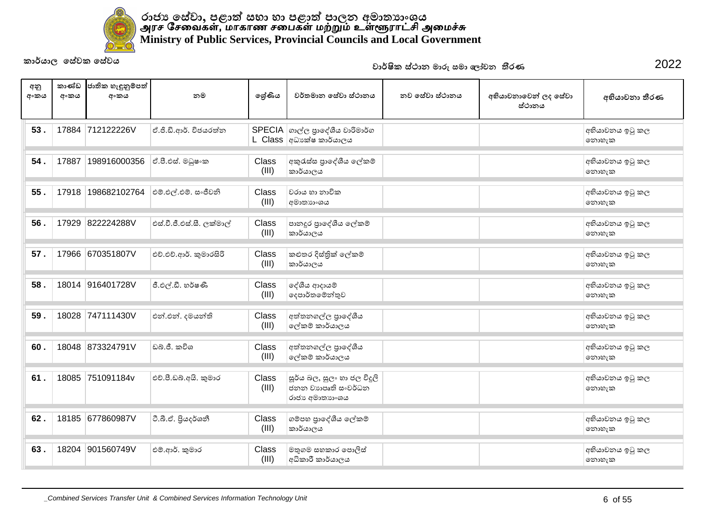

| අනු<br>අංකය | කාණ්ඩ<br>අංකය | ජාතික හැඳුනුම්පත්<br>අංකය | නම                        | ලශ්ණිය         | වර්තමාන සේවා ස්ථානය                                                  | නව සේවා ස්ථානය | අභියාචනාවෙන් ලද සේවා<br>ස්ථානය | අභියාචනා තීරණ            |
|-------------|---------------|---------------------------|---------------------------|----------------|----------------------------------------------------------------------|----------------|--------------------------------|--------------------------|
| 53.         |               | 17884 712122226V          | ඒ.ජී.ඩී.ආර්. විජයරත්ත     |                | SPECIA ගාල්ල පුාදේශීය වාරිමාර්ග<br>$L$ Class අධාක්ෂ කාර්යාලය         |                |                                | අභියාචනය ඉටු කල<br>නොහැක |
| 54.         | 17887         | 198916000356              | ඒ.පී.එස්. මධුෂංක          | Class<br>(III) | අකුරැස්ස පාදේශීය ලේකම්<br>කාර්යාලය                                   |                |                                | අභියාචනය ඉටු කල<br>නොහැක |
| 55.         | 17918         | 198682102764              | එම්.එල්.එම්. සංජීවනි      | Class<br>(III) | වරාය හා නාවික<br>අමාතාහංශය                                           |                |                                | අභියාචනය ඉටු කල<br>නොහැක |
| 56.         | 17929         | 822224288V                | එස්.වී.ජී.එස්.සී. ලක්මාල් | Class<br>(III) | පානදුර පුාදේශීය ලේකම්<br>කාර්යාලය                                    |                |                                | අභියාචනය ඉටු කල<br>නොහැක |
| 57.         | 17966         | 670351807V                | එච්.එච්.ආර්. කුමාරසිරි    | Class<br>(III) | කළුතර දිස්තික් ලේකම්<br>කාර්යාලය                                     |                |                                | අභියාචනය ඉටු කල<br>නොහැක |
| 58.         | 18014         | 916401728V                | ජී.එල්.ඩී. හර්ෂණී         | Class<br>(III) | දේශීය ආදායම්<br>දෙපාර්තමේන්තුව                                       |                |                                | අභියාචනය ඉටු කල<br>නොහැක |
| 59.         | 18028         | 747111430V                | එන්.එන්. දමයන්ති          | Class<br>(III) | අත්තනගල්ල පාදේශීය<br>ලේකම් කාර්යාලය                                  |                |                                | අභියාචනය ඉටු කල<br>නොහැක |
| 60.         | 18048         | 873324791V                | ඩබ්.ජී. කවිශ              | Class<br>(III) | අත්තනගල්ල පුාදේශීය<br>ලේකම් කාර්යාලය                                 |                |                                | අභියාචනය ඉටු කල<br>නොහැක |
| 61.         | 18085         | 751091184v                | එච්.පී.ඩබ්.අයි. කුමාර     | Class<br>(III) | සූර්ය බල, සුලං හා ජල විදූලි<br>ජනන වාහපෘති සංවර්ධන<br>රාජා අමාතාා∘ශය |                |                                | අභියාචනය ඉටු කල<br>නොහැක |
| 62.         | 18185         | 677860987V                | ටී.බී.ඒ. පියදර්ශනී        | Class<br>(III) | ගම්පහ පාදේශීය ලේකම්<br>කාර්යාලය                                      |                |                                | අභියාචනය ඉටු කල<br>නොහැක |
| 63.         | 18204         | 901560749V                | එම්.ආර්. කුමාර            | Class<br>(III) | මතුගම සහකාර පොලිස්<br>අධිකාරී කාර්යාලය                               |                |                                | අභියාචනය ඉටු කල<br>නොහැක |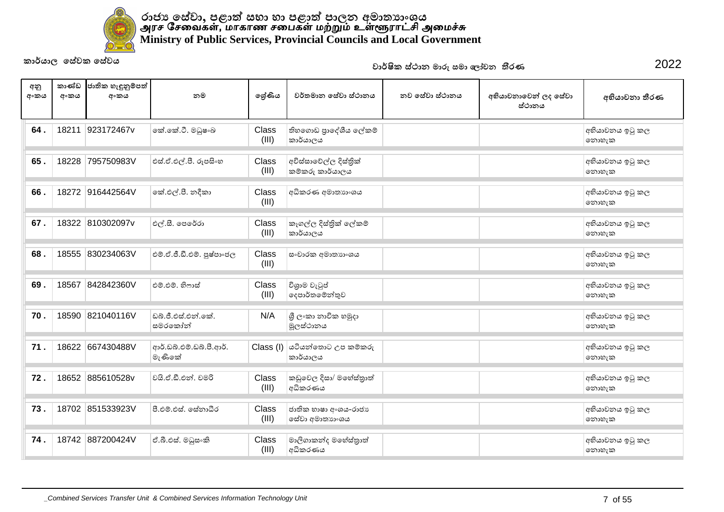

| අනු<br>අංකය | කාණ්ඩ<br>අංකය | ජාතික හැඳුනුම්පත්<br>අංකය | නම                                | ලශ්ණිය         | වර්තමාන සේවා ස්ථානය                       | නව සේවා ස්ථානය | අභියාචනාවෙන් ලද සේවා<br>ස්ථානය | අභියාචනා තීරණ            |
|-------------|---------------|---------------------------|-----------------------------------|----------------|-------------------------------------------|----------------|--------------------------------|--------------------------|
| 64.         | 18211         | 923172467v                | කේ.කේ.ටී. මධුෂංඛ                  | Class<br>(III) | තිහගොඩ පාදේශීය ලේකම්<br>කාර්යාලය          |                |                                | අභියාචනය ඉටු කල<br>නොහැක |
| 65.         | 18228         | 795750983V                | එස්.ඒ.එල්.පී. රූපසිංහ             | Class<br>(III) | අවිස්සාවේල්ල දිස්තිුක්<br>කම්කරු කාර්යාලය |                |                                | අභියාචනය ඉටු කල<br>නොහැක |
| 66.         | 18272         | 916442564V                | කේ.එල්.පී. නදීකා                  | Class<br>(III) | අධිකරණ අමාතාහංශය                          |                |                                | අභියාචනය ඉටු කල<br>නොහැක |
| 67.         | 18322         | 810302097v                | එල්.සී. පෙරේරා                    | Class<br>(III) | කෑගල්ල දිස්තික් ලේකම්<br>කාර්යාලය         |                |                                | අභියාවනය ඉටු කල<br>නොහැක |
| 68.         | 18555         | 830234063V                | එම්.ඒ.ජී.ඩී.එම්. පුෂ්පාංජල        | Class<br>(III) | සංචාරක අමාතාහංශය                          |                |                                | අභියාචනය ඉටු කල<br>නොහැක |
| 69.         | 18567         | 842842360V                | එම්.එම්. හිෆාස්                   | Class<br>(III) | විශුාම වැටුප්<br>දෙපාර්තමේන්තුව           |                |                                | අභියාචනය ඉටු කල<br>නොහැක |
| 70.         | 18590         | 821040116V                | ඩබු.ජී.එස්.එන්.කේ.<br>සමරකෝන්     | N/A            | ශී ලංකා නාවික හමුදා<br>මූලස්ථානය          |                |                                | අභියාවනය ඉටු කල<br>නොහැක |
| 71.         | 18622         | 667430488V                | ආර්.ඩබ්.එම්.ඩබ්.පී.ආර්.<br>මැණිකේ | Class (I)      | යටියන්තොට උප කම්කරු<br>කාර්යාලය           |                |                                | අභියාචනය ඉටු කල<br>නොහැක |
| 72.         | 18652         | 885610528v                | වයි.ඒ.ඩී.එන්. චමරි                | Class<br>(III) | කඩුවෙල දිසා/ මහේස්තුාත්<br>අධිකරණය        |                |                                | අභියාවනය ඉටු කල<br>නොහැක |
| 73.         | 18702         | 851533923V                | පී.එම්.එස්. සේනාධීර               | Class<br>(III) | ජාතික භාෂා අංශය-රාජා<br>ලස්වා අමාතාහංශය   |                |                                | අභියාවනය ඉටු කල<br>නොහැක |
| 74.         |               | 18742 887200424V          | ඒ.බී.එස්. මධුසංකි                 | Class<br>(III) | මාලිගාකන්ද මහේස්තුාත්<br>අධිකරණය          |                |                                | අභියාචනය ඉටු කල<br>නොහැක |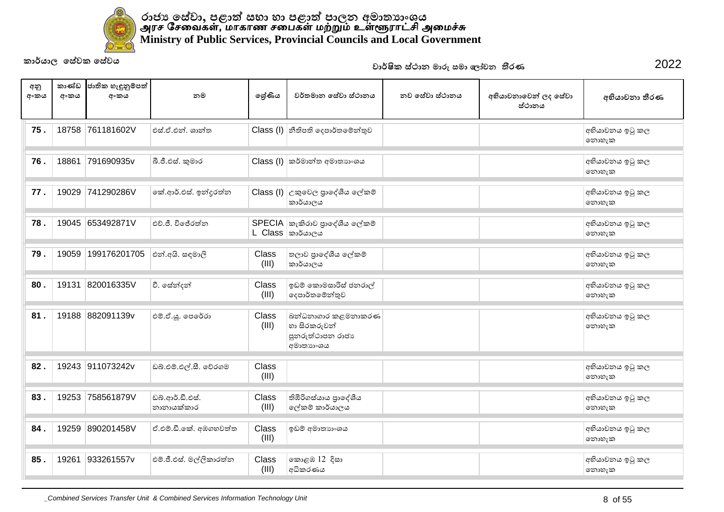

| අනු<br>අංකය | කාණ්ඩ<br>අංකය | ජාතික හැඳුනුම්පත්<br>අංකය | නම                            | ලශ්ණිය         | වර්තමාන සේවා ස්ථානය                                                                            | නව සේවා ස්ථානය | අභියාචනාවෙන් ලද සේවා<br>ස්ථානය | අභියාචනා තීරණ            |
|-------------|---------------|---------------------------|-------------------------------|----------------|------------------------------------------------------------------------------------------------|----------------|--------------------------------|--------------------------|
| 75.         | 18758         | 761181602V                | එස්.ඒ.එන්. ශාන්ත              |                | Class (I) නීතිපති දෙපාර්තමේන්තුව                                                               |                |                                | අභියාවනය ඉටු කල<br>නොහැක |
| 76.         | 18861         | 791690935v                | බී.ජී.එස්. කුමාර              |                | Class (I) කර්මාන්ත අමාතාහංශය                                                                   |                |                                | අභියාචනය ඉටු කල<br>නොහැක |
| 77.         | 19029         | 741290286V                | කේ.ආර්.එස්. ඉන්දුරත්න         |                | $\textsf{Class} \left( \mathsf{I} \right) \big _{\textsf{C}}$ කුවෙල පුාදේශීය ලේකම්<br>කාර්යාලය |                |                                | අභියාචනය ඉටු කල<br>නොහැක |
| 78.         | 19045         | 653492871V                | එච්.ජී. විජේරත්ත              |                | SPECIA කැකිරාව පාදේශීය ලේකම්<br>L Class   කාර්යාලය                                             |                |                                | අභියාචනය ඉටු කල<br>නොහැක |
| 79.         | 19059         | 199176201705              | එන්.අයි. සඳමාලී               | Class<br>(III) | තලාව පුාදේශීය ලේකම්<br>කාර්යාලය                                                                |                |                                | අභියාචනය ඉටු කල<br>නොහැක |
| 80.         | 19131         | 820016335V                | වී. සේන්දන්                   | Class<br>(III) | ඉඩම් කොමසාරිස් ජනරාල්<br>දෙපාර්තමේන්තුව                                                        |                |                                | අභියාචනය ඉටු කල<br>නොහැක |
| 81.         | 19188         | 882091139v                | එම්.ඒ.ශූ. පෙරේරා              | Class<br>(III) | බන්ධනාගාර කළමනාකරණ<br>හා සිරකරුවන්<br>පුනරුත්ථාපන රාජා<br>අමාතාහංශය                            |                |                                | අභියාචනය ඉටු කල<br>නොහැක |
| 82.         | 19243         | 911073242v                | ඩබ්.එම්.එල්.සී. වේරගම         | Class<br>(III) |                                                                                                |                |                                | අභියාචනය ඉටු කල<br>නොහැක |
| 83.         | 19253         | 758561879V                | ඩබ්.ආර්.ඩී.එස්.<br>නානායක්කාර | Class<br>(III) | තිඹිරිගස්යාය පාදේශීය<br>ලේකම් කාර්යාලය                                                         |                |                                | අභියාචනය ඉටු කල<br>නොහැක |
| 84.         | 19259         | 890201458V                | ඒ.එම්.ඩී.කේ. අඹගහවත්ත         | Class<br>(III) | ඉඩම් අමාතාහංශය                                                                                 |                |                                | අභියාචනය ඉටු කල<br>නොහැක |
| 85.         | 19261         | 933261557v                | එම්.ජී.එස්. මල්ලිකාරත්න       | Class<br>(III) | කොළඹ 12 දිසා<br>අධිකරණය                                                                        |                |                                | අභියාවනය ඉටු කල<br>නොහැක |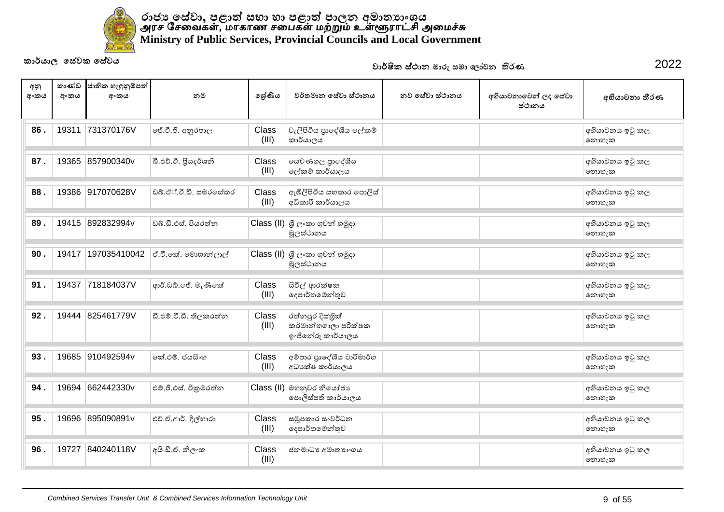

| අනු<br>අංකය | කාණ්ඩ<br>අංකය | ජාතික හැඳුනුම්පත්<br>අංකය | නම                     | ලශ්ණිය         | වර්තමාන සේවා ස්ථානය                                          | නව සේවා ස්ථානය | අභියාචනාවෙන් ලද සේවා<br>ස්ථානය | අභියාචනා තීරණ            |
|-------------|---------------|---------------------------|------------------------|----------------|--------------------------------------------------------------|----------------|--------------------------------|--------------------------|
| 86.         | 19311         | 731370176V                | ජේ.වී.ජී. අනුරපාල      | Class<br>(III) | වැලිපිටිය පුාදේශීය ලේකම්<br>කාර්යාලය                         |                |                                | අභියාචනය ඉටු කල<br>නොහැක |
| 87.         | 19365         | 857900340v                | බී.එච්.ටී. පියදර්ශනී   | Class<br>(III) | සෙවණගල පුාදේශීය<br>ලේකම් කාර්යාලය                            |                |                                | අභියාචනය ඉටු කල<br>නොහැක |
| 88.         | 19386         | 917070628V                | ඩබ්.ඒ්.ටී.ඩී. සමරසේකර  | Class<br>(III) | ඇඹිලිපිටිය සහකාර පොලිස්<br>අධිකාරී කාර්යාලය                  |                |                                | අභියාවනය ඉටු කල<br>නොහැක |
| 89.         | 19415         | 892832994v                | ඩබ්.ඩී.එස්. පියරත්න    |                | Class (II) ශුී ලංකා ගුවන් හමුදා<br>මූලස්ථානය                 |                |                                | අභියාචනය ඉටු කල<br>නොහැක |
| 90.         | 19417         | 197035410042              | ඒ.ටී.කේ. මොහාන්ලාල්    |                | Class (II) ශූී ලංකා ගුවන් හමුදා<br>මූලස්ථානය                 |                |                                | අභියාවනය ඉටු කල<br>නොහැක |
| 91.         | 19437         | 718184037V                | ආර්.ඩබ්.ජේ. මැණිකේ     | Class<br>(III) | සිවිල් ආරක්ෂක<br>දෙපාර්තමේන්තුව                              |                |                                | අභියාවනය ඉටු කල<br>නොහැක |
| 92.         | 19444         | 825461779V                | ඩී.එම්.ටී.ඩී. තිලකරත්ත | Class<br>(III) | රත්නපුර දිස්තික්<br>කර්මාන්තශාලා පරීක්ෂක<br>ෞජිතේරු කාර්යාලය |                |                                | අභියාවනය ඉටු කල<br>නොහැක |
| 93.         | 19685         | 910492594v                | ඉක් එම්, ජයසිංහ        | Class<br>(III) | අම්පාර පුාදේශීය වාරිමාර්ග<br>අධාක්ෂ කාර්යාලය                 |                |                                | අභියාචනය ඉටු කල<br>නොහැක |
| 94.         | 19694         | 662442330v                | එම්.ජී.එස්. විකුමරත්න  |                | Class (II) මහනුවර නියෝජා<br>පොලිස්පති කාර්යාලය               |                |                                | අභියාචනය ඉටු කල<br>නොහැක |
| 95.         | 19696         | 895090891v                | එච්.ඒ.ආර්. දිල්හාරා    | Class<br>(III) | සමූපකාර සංවර්ධන<br>දෙපාර්තමේන්තුව                            |                |                                | අභියාවනය ඉටු කල<br>නොහැක |
| 96.         | 19727         | 840240118V                | අයි.ඩී.ඒ. නිලංක        | Class<br>(III) | ජනමාධා අමාතාහංශය                                             |                |                                | අභියාචනය ඉටු කල<br>නොහැක |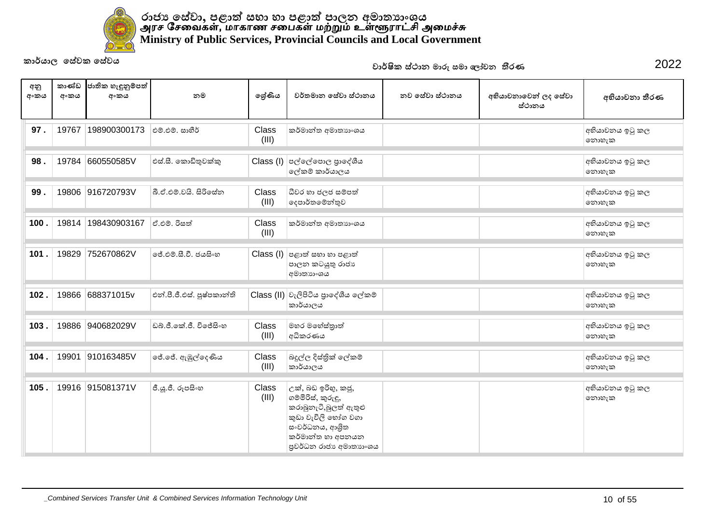

| අනු<br>අංකය | කාණ්ඩ<br>අංකය | ජාතික හැඳුනුම්පත්<br>අංකය | නම                         | ලේණිය          | වර්තමාන සේවා ස්ථානය                                                                                                                                         | නුව සේවා ස්ථානය | අභියාචනාවෙන් ලද සේවා<br>ස්ථානය | අභියාචනා තීරණ            |
|-------------|---------------|---------------------------|----------------------------|----------------|-------------------------------------------------------------------------------------------------------------------------------------------------------------|-----------------|--------------------------------|--------------------------|
| 97.         | 19767         | 198900300173              | එම්.එම්. සාහීර්            | Class<br>(III) | කර්මාන්ත අමාතහංශය                                                                                                                                           |                 |                                | අභියාවනය ඉටු කල<br>නොහැක |
| 98.         | 19784         | 660550585V                | එස්.සී. කොඩිතුවක්කු        | Class (I)      | පල්ලේපොල පුාදේශීය<br>ලේකම් කාර්යාලය                                                                                                                         |                 |                                | අභියාචනය ඉටු කල<br>නොහැක |
| 99.         | 19806         | 916720793V                | බී.ඒ.එම්.වයි. සිරිසේත      | Class<br>(III) | ධීවර හා ජලජ සම්පත්<br>දෙපාර්තමේන්තුව                                                                                                                        |                 |                                | අභියාවනය ඉටු කල<br>නොහැක |
| 100         | 19814         | 198430903167              | ඒ එම්, රිසුත්              | Class<br>(III) | කර්මාන්ත අමාතාහංශය                                                                                                                                          |                 |                                | අභියාචනය ඉටු කල<br>නොහැක |
| 101.        | 19829         | 752670862V                | ලජ්,එම්.සී.වී. ජයසිංහ      | Class (I)      | පළාත් සභා හා පළාත්<br>පාලන කටයුතු රාජා<br>අමාතාගංශය                                                                                                         |                 |                                | අභියාචනය ඉටු කල<br>නොහැක |
| 102.        | 19866         | 688371015v                | එන්.පී.ජී.එස්. පුෂ්පකාන්ති |                | Class (II) වැලිපිටිය පාදේශීය ලේකම්<br>කාර්යාලය                                                                                                              |                 |                                | අභියාචනය ඉටු කල<br>නොහැක |
| 103.        | 19886         | 940682029V                | ඩබ්.ජී.කේ.ජී. විජේසිංහ     | Class<br>(III) | මහර මහේස්තුාත්<br>අධිකරණය                                                                                                                                   |                 |                                | අභියාචනය ඉටු කල<br>නොහැක |
| 104         | 19901         | 910163485V                | ේ.ජේ. ඇඹුල්දෙණිය           | Class<br>(III) | බදුල්ල දිස්තික් ලේකම්<br>කාර්යාලය                                                                                                                           |                 |                                | අභියාචනය ඉටු කල<br>නොහැක |
| 105         | 19916         | 915081371V                | ජී.ශූ.ජී. රූපසිංහ          | Class<br>(III) | උක්, බඩ ඉරිහු, කජූ,<br>ගම්මිරිස්, කුරුඳු,<br>කරාබුනැටි,බුලත් ඇතුළු<br>කුඩා වැවිලි හෝග වගා<br>සංවර්ධනය, ආශිුත<br>කර්මාන්ත හා අපනයන<br>පුවර්ධන රාජා අමාතාහංශය |                 |                                | අභියාචනය ඉටු කල<br>නොහැක |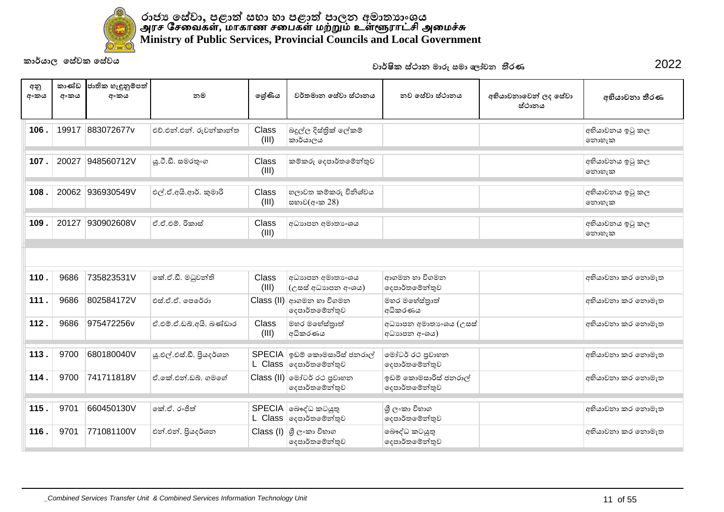

| අනු<br>අංකය | කාණ්ඩ<br>අංකය | ජාතික හැඳුනුම්පත්<br>අංකය | නම                      | ලශ්ණිය         | වර්තමාන සේවා ස්ථානය                                      | නව සේවා ස්ථානය                          | අභියාචනාවෙන් ලද සේවා<br>ස්ථානය | අභියාචනා තීරණ            |
|-------------|---------------|---------------------------|-------------------------|----------------|----------------------------------------------------------|-----------------------------------------|--------------------------------|--------------------------|
| 106         | 19917         | 883072677v                | එච්.එන්.එන්. රුවන්කාන්ත | Class<br>(III) | බදුල්ල දිස්තික් ලේකම්<br>කාර්යාලය                        |                                         |                                | අභියාචනය ඉටු කල<br>නොහැක |
| 107         | 20027         | 948560712V                | ුයු.ටී.ඩී. සමරතු∘ග      | Class<br>(III) | කම්කරු දෙපාර්තමේන්තුව                                    |                                         |                                | අභියාචනය ඉටු කල<br>නොහැක |
| 108         | 20062         | 936930549V                | එල්.ඒ.අයි.ආර්. කුමාරි   | Class<br>(III) | හලාවත කම්කරු විනිශ්චය<br>සභාව(අංක 28)                    |                                         |                                | අභියාචනය ඉටු කල<br>නොහැක |
| 109         | 20127         | 930902608V                | ඒ.ඒ.එම්. රිකාස්         | Class<br>(III) | අධාහපන අමාතා ංශය                                         |                                         |                                | අභියාචනය ඉටු කල<br>නොහැක |
|             |               |                           |                         |                |                                                          |                                         |                                |                          |
| 110.        | 9686          | 735823531V                | කේ.ඒ.ඩී. මධුවන්ති       | Class<br>(III) | අධාහපන අමාතා ංශය<br>(උසස් අධාහපන අංශය)                   | ආගමන හා විගමන<br>දෙපාර්තමේන්තුව         |                                | අභියාවනා කර නොමැත        |
| 111.        | 9686          | 802584172V                | එස්.ඒ.ඒ. පෙරේරා         |                | Class (II) ආගමන හා විගමන<br>දෙපාර්තමේන්තුව               | මහර මහේස්තුාත්<br>අධිකරණය               |                                | අභියාවනා කර නොමැත        |
| 112.        | 9686          | 975472256v                | ඒ.එම්.ඒ.ඩබ්.අයි. බණ්ඩාර | Class<br>(III) | මහර මහේස්තාත්<br>අධිකරණය                                 | අධාහපන අමාතාගයෙ (උසස්<br>අධාහපන අංශය)   |                                | අභියාචනා කර නොමැත        |
| 113.        | 9700          | 680180040V                | ශූ.එල්.එස්.ඩී. පියදර්ශන |                | $SPECIA$ ඉඩම් කොමසාරිස් ජනරාල්<br>L Class ලදපාර්තමේන්තුව | මෝටර් රථ පුවාහන<br>දෙපාර්තමේන්තුව       |                                | අභියාචනා කර නොමැත        |
| 114         | 9700          | 741711818V                | ඒ කේ එන් ඩබ්. ගමගේ      |                | Class (II) මෝටර් රථ පුවාහන<br>දෙපාර්තමේන්තුව             | ඉඩම් කොමසාරිස් ජනරාල්<br>දෙපාර්තමේන්තුව |                                | අභියාචනා කර නොමැත        |
| 115.        | 9701          | 660450130V                | කේ.ඒ. රංජිත්            |                | SPECIA  බෞද්ධ කටයුතු<br>L Class   දෙපාර්තමේන්තුව         | ශී ලංකා විහාග<br>දෙපාර්තමේන්තුව         |                                | අභියාවනා කර නොමැත        |
| 116.        | 9701          | 771081100V                | එන්.එන්. පියදර්ශන       |                | Class (I)  ශී ලංකා විභාග<br>දෙපාර්තමේන්තුව               | බෞද්ධ කටයුතු<br>දෙපාර්තමේන්තුව          |                                | අභියාවනා කර නොමැත        |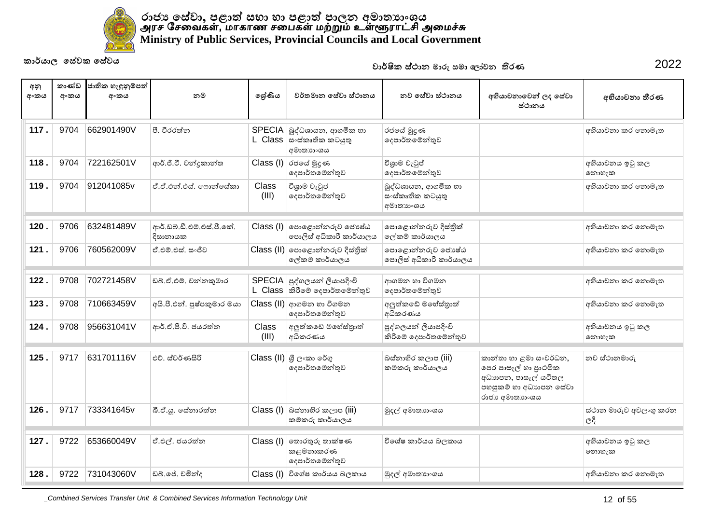

| අනු<br>අංකය | කාණ්ඩ<br>අංකය | ජාතික හැඳුනුම්පත්<br>අංකය | නම                                    | ලශ්ණිය         | වර්තමාන සේවා ස්ථානය                                                    | නව සේවා ස්ථානය                                       | අභියාචනාවෙන් ලද සේවා<br>ස්ථානය                                                                                      | අභියාචනා තීරණ                    |
|-------------|---------------|---------------------------|---------------------------------------|----------------|------------------------------------------------------------------------|------------------------------------------------------|---------------------------------------------------------------------------------------------------------------------|----------------------------------|
| 117.        | 9704          | 662901490V                | පී. වීරරත්න                           |                | SPECIA බුද්ධශාසන, ආගමික හා<br>$L$ Class  සංස්කෘතික කටයුතු<br>අමාතාහංශය | රජයේ මුදණ<br>දෙපාර්තමේන්තුව                          |                                                                                                                     | අභියාචනා කර නොමැත                |
| 118.        | 9704          | 722162501V                | ආර්.ජී.ටී. චන්දකාන්ත                  |                | Class (I) රජයේ මුදණ<br>දෙපාර්තමේන්තුව                                  | විශාම වැටුප්<br>දෙපාර්තමේන්තුව                       |                                                                                                                     | අභියාචනය ඉටු කල<br>නොහැක         |
| 119.        | 9704          | 912041085v                | ඒ.ඒ.එන්.එස්. ෆොන්සේකා                 | Class<br>(III) | විශාම වැටුප්<br>දෙපාර්තමේන්තුව                                         | බුද්ධශාසන, ආගමික හා<br>සංස්කෘතික කටයුතු<br>අමාතාගංශය |                                                                                                                     | අභියාචනා කර නොමැත                |
| 120         | 9706          | 632481489V                | ආර්.ඩබ්.ඩී.එම්.එස්.පී.කේ.<br>දිසානායක |                | $Class (I)$ $0$ පාලොන්නරුව ජොෂ්ඨ<br>පොලිස් අධිකාරී කාර්යාලය            | පොළොන්නරුව දිස්තික්<br>ලේකම් කාර්යාලය                |                                                                                                                     | අභියාවනා කර නොමැත                |
| 121.        | 9706          | 760562009V                | ඒ.එම්.එස්. සංජීව                      |                | Class (II) පොළොන්නරුව දිස්තික්<br>ලේකම් කාර්යාලය                       | පොළොන්නරුව ජොෂ්ඨ<br>පොලිස් අධිකාරී කාර්යාලය          |                                                                                                                     | අභියාවනා කර නොමැත                |
| 122.        | 9708          | 702721458V                | ඩබ්.ඒ.එම්. චන්නකුමාර                  |                | SPECIA පුද්ගලයන් ලියාපදිංචි<br>L Class කිරීමේ දෙපාර්තමේන්තුව           | ආගමන හා විගමන<br>දෙපාර්තමේන්තුව                      |                                                                                                                     | අභියාවනා කර නොමැත                |
| 123.        | 9708          | 710663459V                | අයි.පී.එන්. පුෂ්පකුමාර මයා            |                | Class (II) ආගමන හා විගමන<br>දෙපාර්තමේන්තුව                             | අලුත්කඩේ මහේස්තාත්<br>අධිකරණය                        |                                                                                                                     | අභියාවනා කර නොමැත                |
| 124.        | 9708          | 956631041V                | ආර්.ඒ.පී.වී. ජයරත්ත                   | Class<br>(III) | අලුත්කඩේ මහේස්තුාත්<br>අධිකරණය                                         | පුද්ගලයන් ලියාපදිංචි<br>කිරීමේ දෙපාර්තමේන්තුව        |                                                                                                                     | අභියාචනය ඉටු කල<br>නොහැක         |
| 125.        | 9717          | 631701116V                | එච් ස්වර්ණසිරි                        |                | Class (II) ශුී ලංකා රේගු<br>දෙපාර්තමේන්තුව                             | බස්තාහිර කලාප (iii)<br>කම්කරු කාර්යාලය               | කාන්තා හා ළමා සංවර්ධන,<br>පෙර පාසැල් හා පුාථමික<br>අධාහපන, පාසැල් යටිතල<br>පහසුකම් හා අධාහපන සේවා<br>රාජා අමාතාගංශය | නව ස්ථානමාරු                     |
| 126.        | 9717          | 733341645v                | බී.ඒ.යූ. සේනාරත්න                     |                | $Class (I)$ බස්නාහිර කලාප (iii)<br>කම්කරු කාර්යාලය                     | මුදල් අමාතාහංශය                                      |                                                                                                                     | ස්ථාන මාරුව අවලංගු කරන<br>$C\xi$ |
| 127.        | 9722          | 653660049V                | ඒ.එල්. ජයරත්න                         | Class (I)      | තොරතුරු තාක්ෂණ<br>කළමනාකරණ<br>දෙපාර්තමේන්තුව                           | විශේෂ කාර්යය බලකාය                                   |                                                                                                                     | අභියාචනය ඉටු කල<br>නොහැක         |
| 128.        | 9722          | 731043060V                | ඩබ්.ජේ. චමින්ද                        |                | Class (I) විශේෂ කාර්යය බලකාය                                           | මුදල් අමාතාගංශය                                      |                                                                                                                     | අභියාවනා කර නොමැත                |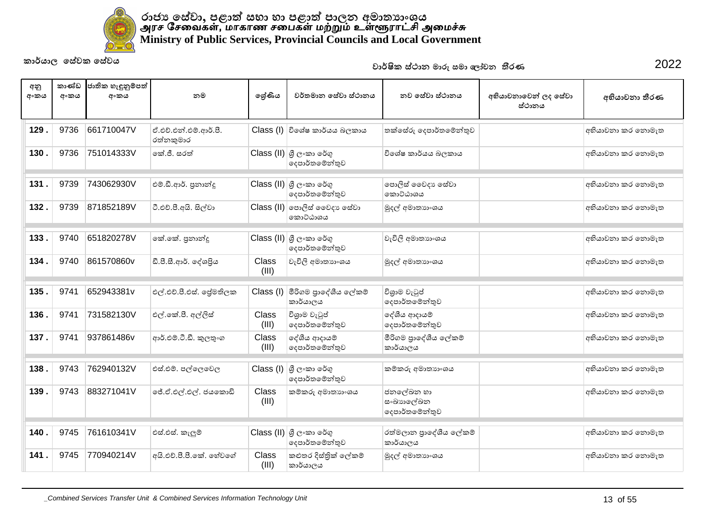

| අනු<br>අංකය | කාණ්ඩ<br>අංකය | ජාතික හැඳුනුම්පත්<br>අංකය | නම                                 | ලශ්ණිය         | වර්තමාන සේවා ස්ථානය                                 | නව සේවා ස්ථානය                           | අභියාචනාවෙන් ලද සේවා<br>ස්ථානය | අභියාචනා තීරණ     |
|-------------|---------------|---------------------------|------------------------------------|----------------|-----------------------------------------------------|------------------------------------------|--------------------------------|-------------------|
| 129.        | 9736          | 661710047V                | ඒ.එච්.එන්.එම්.ආර්.පී.<br>රත්නකුමාර |                | $Class (I)$ විශේෂ කාර්යය බලකාය                      | තක්සේරු දෙපාර්තමේන්තුව                   |                                | අභියාවනා කර නොමැත |
| 130.        | 9736          | 751014333V                | කේ.ජී. සරත්                        |                | Class (II) ශූ ලංකා රේගු<br>දෙපාර්තමේන්තුව           | විශේෂ කාර්යය බලකාය                       |                                | අභියාවනා කර නොමැත |
| 131.        | 9739          | 743062930V                | එම්.ඩී.ආර්. පුනාන්දු               |                | Class (II) ශූ ලංකා රේගු<br>දෙපාර්තමේන්තුව           | පොලිස් වෛදා සේවා<br>කොට්ඨාශය             |                                | අභියාවනා කර නොමැත |
| 132.        | 9739          | 871852189V                | ටී.එච්.පී.අයි. සිල්වා              |                | $\bigcap$ Class (II) ලපාලිස් වෛදා ෙස්වා<br>කොට්ඨාශය | මුදල් අමාතාහංශය                          |                                | අභියාචනා කර නොමැත |
| 133         | 9740          | 651820278V                | කේ.කේ. පුනාන්දු                    |                | Class (II) ශූී ලංකා රේගු<br>දෙපාර්තමේන්තුව          | වැවිලි අමාතාහංශය                         |                                | අභියාවනා කර නොමැත |
| 134         | 9740          | 861570860v                | ඩී.පී.සී.ආර්. දේශපිය               | Class<br>(III) | වැවිලි අමාතාහංශය                                    | මුදල් අමාතාහංශය                          |                                | අභියාවනා කර නොමැත |
| 135         | 9741          | 652943381v                | එල්.එච්.පී.එස්. ජේමතිලක            | Class (I)      | මීරිගම පාදේශීය ලේකම්<br>කාර්යාලය                    | විශාම වැටුප්<br>දෙපාර්තමේන්තුව           |                                | අභියාචනා කර නොමැත |
| 136         | 9741          | 731582130V                | එල්.කේ.පී. අල්ලිස්                 | Class<br>(III) | විශාම වැටුප්<br>දෙපාර්තමෙන්තුව                      | දේශීය ආදායම්<br>දෙපාර්තමේන්තුව           |                                | අභියාවනා කර නොමැත |
| 137.        | 9741          | 937861486v                | ආර්.එම්.ටී.ඩී. කුලතුංග             | Class<br>(III) | දේශීය ආදායම්<br>දෙපාර්තමේන්තුව                      | මීරිගම පුාදේශීය ලේකම්<br>කාර්යාලය        |                                | අභියාවනා කර නොමැත |
| 138         | 9743          | 762940132V                | එස්.එම්. පල්ලෙවෙල                  |                | Class (I) ශූ ලංකා රේගු<br>දෙපාර්තමේන්තුව            | කම්කරු අමාතාහංශය                         |                                | අභියාවනා කර නොමැත |
| 139.        | 9743          | 883271041V                | ජේ.ඒ.එල්.එල්. ජයකොඩි               | Class<br>(III) | කම්කරු අමාතාහංශය                                    | ජනලේඛන හා<br>සංඛාහලේඛන<br>දෙපාර්තමේන්තුව |                                | අභියාචනා කර නොමැත |
| 140         | 9745          | 761610341V                | එස්.එස්. කැලුම්                    |                | Class (II) ශූී ලංකා රේගු<br>දෙපාර්තමේන්තුව          | රත්මලාන පුාදේශීය ලේකම්<br>කාර්යාලය       |                                | අභියාචනා කර නොමැත |
| 141.        | 9745          | 770940214V                | අයි.එච්.පී.පී.කේ. හේවගේ            | Class<br>(III) | කළුතර දිස්තික් ලේකම්<br>කාර්යාලය                    | මුදල් අමාතාහංශය                          |                                | අභියාචනා කර නොමැත |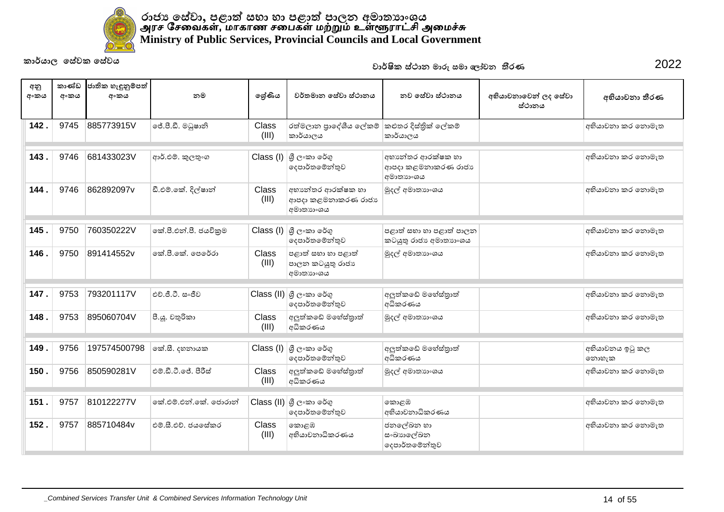

| අනු<br>අංකය | කාණ්ඩ<br>අංකය | ජාතික හැඳුනුම්පත්<br>අංකය | නම                    | ලශ්ණිය                | වර්තමාන සේවා ස්ථානය                                  | නව සේවා ස්ථානය                                       | අභියාචනාවෙන් ලද සේවා<br>ස්ථානය | අභියාචනා තීරණ            |
|-------------|---------------|---------------------------|-----------------------|-----------------------|------------------------------------------------------|------------------------------------------------------|--------------------------------|--------------------------|
| 142.        | 9745          | 885773915V                | ජේ.පී.ඩී. මධුෂානි     | Class<br>(III)        | රත්මලාන පුාදේශීය ලේකම්<br>කාර්යාලය                   | කළුතර දිස්තික් ලේකම්<br>කාර්යාලය                     |                                | අභියාවනා කර නොමැත        |
| 143.        | 9746          | 681433023V                | ආර්.එම්. කුලතුංග      |                       | Class (I) ශූ ලංකා රේගු<br>දෙපාර්තමේන්තුව             | අභාන්තර ආරක්ෂක හා<br>ආපදා කළමනාකරණ රාජා<br>අමාතාහංශය |                                | අභියාචනා කර නොමැත        |
| 144         | 9746          | 862892097v                | ඩී.එම්.කේ. දිල්ෂාන්   | Class<br>(III)        | අභාන්තර ආරක්ෂක හා<br>ආපදා කළමනාකරණ රාජා<br>අමාතාහංශය | මුදල් අමාතාහංශය                                      |                                | අභියාවනා කර නොමැත        |
| 145         | 9750          | 760350222V                | කේ.පී.එන්.පී. ජයවිකුම | Class (I)             | ශුී ල∘කා රේගු<br>දෙපාර්තමේන්තුව                      | පළාත් සහා හා පළාත් පාලන<br>කටයුතු රාජා අමාතාගංශය     |                                | අභියාවනා කර නොමැත        |
| 146.        | 9750          | 891414552v                | කේ.පී.කේ. පෙරේරා      | <b>Class</b><br>(III) | පළාත් සභා හා පළාත්<br>පාලන කටයුතු රාජා<br>අමාතාහංශය  | මුදල් අමාතාහංශය                                      |                                | අභියාචනා කර නොමැත        |
| 147.        | 9753          | 793201117V                | එච්.ජී.ටී. සංජීව      |                       | Class (II)   ශුලංකා රේගු<br>දෙපාර්තමේන්තුව           | අලුත්කඩේ මහේස්තාත්<br>අධිකරණය                        |                                | අභියාචනා කර නොමැත        |
| 148.        | 9753          | 895060704V                | පී.ශූ. චතුරිකා        | Class<br>(III)        | අලුත්කඩේ මහේස්තුාත්<br>අධිකරණය                       | මුදල් අමාතාහංශය                                      |                                | අභියාචනා කර නොමැත        |
| 149         | 9756          | 197574500798              | කේ.සී. දහනායක         | Class (I)             | ශුී ල∙කා රේගු<br>දෙපාර්තමේන්තුව                      | අලුත්කඩේ මහේස්තාත්<br>අධිකරණය                        |                                | අභියාචනය ඉටු කල<br>නොහැක |
| 150         | 9756          | 850590281V                | එම්.ඩී.ටී.ජේ. පීරිස්  | Class<br>(III)        | අලුත්කඩේ මහේස්තාත්<br>අධිකරණය                        | මුදල් අමාතාගංශය                                      |                                | අභියාවනා කර නොමැත        |
| 151.        | 9757          | 810122277V                | කේ.එම්.එන්.කේ. ජොරාන් |                       | Class (II) ශූී ලංකා රේගු<br>දෙපාර්තමේන්තුව           | කොළඹ<br>අභියාචනාධිකරණය                               |                                | අභියාවනා කර නොමැත        |
| 152.        | 9757          | 885710484v                | එම් සී එච් ජයසේකර     | <b>Class</b><br>(III) | කොළඹ<br>අභියාචනාධිකරණය                               | ජනලේඛන හා<br>සංඛාහලේඛන<br>දෙපාර්තමේන්තුව             |                                | අභියාචනා කර නොමැත        |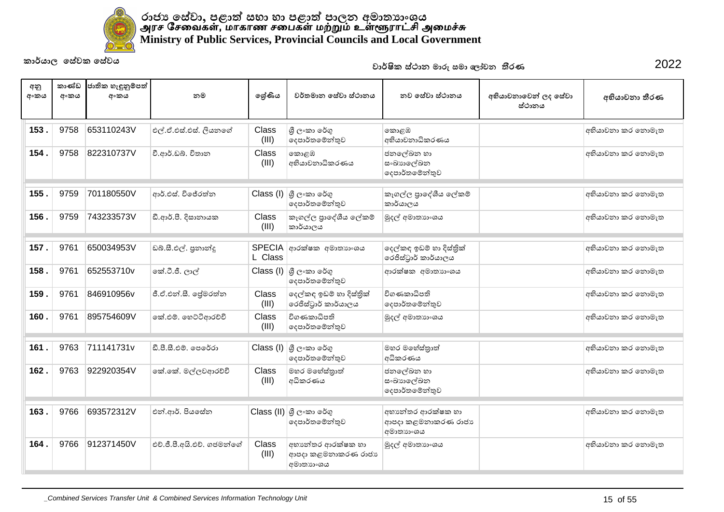

| අනු<br>අංකය | කාණ්ඩ<br>අංකය | ජාතික හැඳුනුම්පත්<br>අංකය | නම                         | ලශ්ණිය                | වර්තමාන සේවා ස්ථානය                                  | නව සේවා ස්ථානය                                       | අභියාචනාවෙන් ලද සේවා<br>ස්ථානය | අභියාචනා තීරණ     |
|-------------|---------------|---------------------------|----------------------------|-----------------------|------------------------------------------------------|------------------------------------------------------|--------------------------------|-------------------|
| 153.        | 9758          | 653110243V                | එල්.ඒ.එස්.එස්. ලියනගේ      | Class<br>(III)        | ශී ලංකා රේගු<br>දෙපාර්තමේන්තුව                       | කොළඹ<br>අභියාවනාධිකරණය                               |                                | අභියාචනා කර නොමැත |
| 154.        | 9758          | 822310737V                | වී.ආර්.ඩබ්. විතාන          | Class<br>(III)        | කොළඹ<br>අභියාචනාධිකරණය                               | ජනලේඛන හා<br>ස∘ඛාහලේඛන<br>දෙපාර්තමේන්තුව             |                                | අභියාවනා කර නොමැත |
| 155.        | 9759          | 701180550V                | ආර්.එස්. විජේරත්න          |                       | Class (I) ශූී ලංකා රේගු<br>දෙපාර්තමේන්තුව            | කෑගල්ල පුාදේශීය ලේකම්<br>කාර්යාලය                    |                                | අභියාචනා කර නොමැත |
| 156         | 9759          | 743233573V                | ඩී.ආර්.පී. දිසානායක        | Class<br>(III)        | කෑගල්ල පුාදේශීය ලේකම්<br>කාර්යාලය                    | මුදල් අමාතාගංශය                                      |                                | අභියාවනා කර නොමැත |
| 157         | 9761          | 650034953V                | ඩබ්.සී.එල්. පුනාන්දු       | L Class               | SPECIA ආරක්ෂක අමාතාහංශය                              | දෙල්කඳ ඉඩම් හා දිස්තිුක්<br>රෙජිස්ටුාර් කාර්යාලය     |                                | අභියාචනා කර නොමැත |
| 158.        | 9761          | 652553710v                | කේ.ටී.ජී. ලාල්             |                       | Class (I) $\beta$ ලංකා රේගු<br>දෙපාර්තමේන්තුව        | ආරක්ෂක අමාතනංශය                                      |                                | අභියාචනා කර නොමැත |
| 159.        | 9761          | 846910956v                | ජී.ඒ.එන්.සී. ජේමරත්න       | <b>Class</b><br>(III) | දෙල්කඳ ඉඩම් හා දිස්තික්<br>රෙජිස්ටුාර් කාර්යාලය      | විගණකාධිපති<br>දෙපාර්තමේන්තුව                        |                                | අභියාවනා කර නොමැත |
| 160.        | 9761          | 895754609V                | කේ.එම්. හෙට්ටිආරච්චි       | Class<br>(III)        | විගණකාධිපති<br>දෙපාර්තමේන්තුව                        | මුදල් අමාතාහංශය                                      |                                | අභියාවනා කර නොමැත |
| 161.        | 9763          | 711141731v                | ඩී.පී.සී.එම්. පෙරේරා       |                       | Class (I) ශූී ලංකා රේගු<br>දෙපාර්තමේන්තුව            | මහර මහේස්තුාත්<br>අධිකරණය                            |                                | අභියාවනා කර නොමැත |
| 162.        | 9763          | 922920354V                | කේ.කේ. මල්ලවආරච්චි         | Class<br>(III)        | මහර මහේස්තුාත්<br>අධිකරණය                            | ජනලේඛන හා<br>ස∘ඛාහලේඛන<br>දෙපාර්තමේන්තුව             |                                | අභියාචනා කර නොමැත |
| 163.        | 9766          | 693572312V                | එන්.ආර්. පියසේන            |                       | Class (II) ශූී ලංකා රේගු<br>දෙපාර්තමේන්තුව           | අභාන්තර ආරක්ෂක හා<br>ආපදා කළමනාකරණ රාජා<br>අමාතාහංශය |                                | අභියාවනා කර නොමැත |
| 164         | 9766          | 912371450V                | එච්.ජී.පී.අයි.එච්. ගජමන්ගේ | Class<br>(III)        | අභාන්තර ආරක්ෂක හා<br>ආපදා කළමනාකරණ රාජා<br>අමාතාහංශය | මුදල් අමාතාහංශය                                      |                                | අභියාවනා කර නොමැත |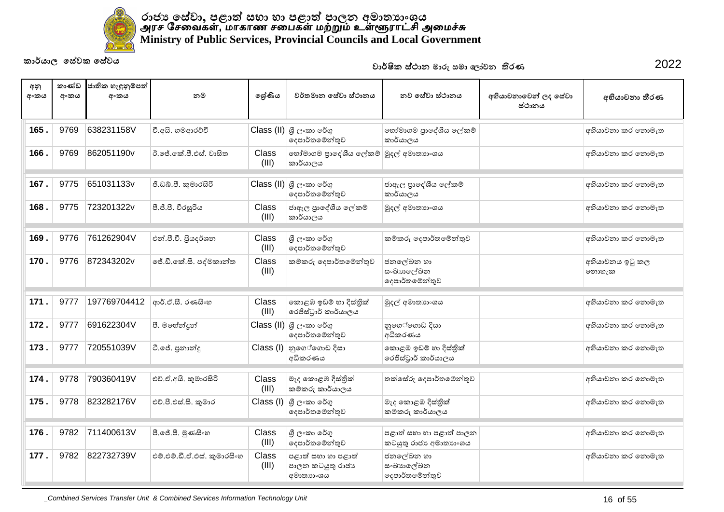

| අනු<br>අංකය | කාණ්ඩ<br>අංකය | ජාතික හැඳුනුම්පත්<br>අංකය | නම                          | ලශ්ණිය         | වර්තමාන සේවා ස්ථානය                                 | නව සේවා ස්ථානය                                   | අභියාචනාවෙන් ලද සේවා<br>ස්ථානය | අභියාචනා තීරණ            |
|-------------|---------------|---------------------------|-----------------------------|----------------|-----------------------------------------------------|--------------------------------------------------|--------------------------------|--------------------------|
| 165.        | 9769          | 638231158V                | වී.අයි. ගමආරච්චි            |                | Class (II) ශූ ලංකා රේගු<br>දෙපාර්තමේන්තුව           | හෝමාගම පුාදේශීය ලේකම්<br>කාර්යාලය                |                                | අභියාවනා කර නොමැත        |
| 166.        | 9769          | 862051190v                | ඊ.ජේ.කේ.පී.එස්. වාසිත       | Class<br>(III) | හෝමාගම පාදේශීය ලේකම්<br>කාර්යාලය                    | මුදල් අමාතාගංශය                                  |                                | අභියාවනා කර නොමැත        |
| 167.        | 9775          | 651031133v                | ජී.ඩබ්.පී. කුමාරසිරි        |                | Class (II) ශූී ලංකා රේගු<br>දෙපාර්තමේන්තුව          | ජාඇල පුාදේශීය ලේකම්<br>කාර්යාලය                  |                                | අභියාවනා කර නොමැත        |
| 168.        | 9775          | 723201322v                | පී.ජී.පී. වීරසූරිය          | Class<br>(III) | ජාඇල පුාදේශීය ලේකම්<br>කාර්යාලය                     | මුදල් අමාතාහංශය                                  |                                | අභියාවනා කර නොමැත        |
| 169.        | 9776          | 761262904V                | එන්.පී.වී. පියදර්ශන         | Class<br>(III) | ශී ලංකා රේගු<br>දෙපාර්තමේන්තුව                      | කම්කරු දෙපාර්තමේන්තුව                            |                                | අභියාචනා කර නොමැත        |
| 170.        | 9776          | 872343202v                | ජේ.ඩී.කේ.සී. පද්මකාන්ත      | Class<br>(III) | කම්කරු දෙපාර්තමේන්තුව                               | ජනලේඛන හා<br>සංඛාහලේඛන<br>දෙපාර්තමේන්තුව         |                                | අභියාවනය ඉටු කල<br>නොහැක |
| 171.        | 9777          | 197769704412              | ආර්.ඒ.සී. රණසිංහ            | Class<br>(III) | කොළඹ ඉඩම් හා දිස්තික්<br>රෙජිස්ටුාර් කාර්යාලය       | මුදල් අමාතාහංශය                                  |                                | අභියාවනා කර නොමැත        |
| 172.        | 9777          | 691622304V                | පී. මහේන්දන්                |                | Class (II) ශූී ලංකා රේගු<br>දෙපාර්තමේන්තුව          | නුගේගොඩ දිසා<br>අධිකරණය                          |                                | අභියාවනා කර නොමැත        |
| 173.        | 9777          | 720551039V                | ටී.ජේ. පුනාන්දු             |                | Class (I)  නුගේගොඩ දිසා<br>අධිකරණය                  | කොළඹ ඉඩම් හා දිස්තික්<br>රෙජිස්ටුාර් කාර්යාලය    |                                | අභියාවනා කර නොමැත        |
| 174.        | 9778          | 790360419V                | එච්.ඒ.අයි. කුමාරසිරි        | Class<br>(III) | මැද කොළඹ දිස්තික්<br>කම්කරු කාර්යාලය                | තක්සේරු දෙපාර්තමේන්තුව                           |                                | අභියාවනා කර නොමැත        |
| 175.        | 9778          | 823282176V                | එච්.පී.එස්.සී. කුමාර        | Class (I)      | ශී ලංකා රේගු<br> ලදපාර්තමේන්තුව                     | මැද කොළඹ දිස්තික්<br>කම්කරු කාර්යාලය             |                                | අභියාචනා කර නොමැත        |
| 176.        | 9782          | 711400613V                | පී.ජේ.පී. මුණසිංහ           | Class<br>(III) | ශී ලංකා රේගු<br>දෙපාර්තමේන්තුව                      | පළාත් සභා හා පළාත් පාලන<br>කටයුතු රාජා අමාතාගංශය |                                | අභියාචනා කර නොමැත        |
| 177.        | 9782          | 822732739V                | එම්.එම්.ඩී.ඒ.එස්. කුමාරසිංහ | Class<br>(III) | පළාත් සභා හා පළාත්<br>පාලන කටයුතු රාජා<br>අමාතාහංශය | ජනලේඛන හා<br>සංඛාහලේඛන<br>දෙපාර්තමේන්තුව         |                                | අභියාචනා කර නොමැත        |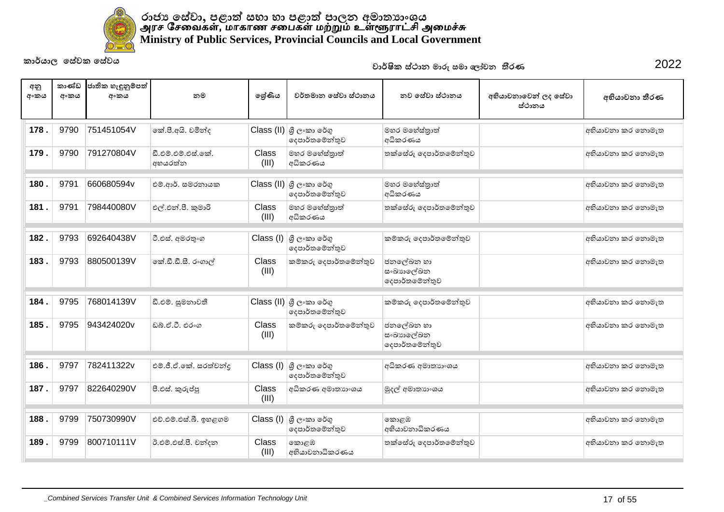

| අනු<br>අංකය | කාණ්ඩ<br>අංකය | ජාතික හැඳුනුම්පත්<br>අංකය | නම                            | ලශ්ණිය         | වර්තමාන සේවා ස්ථානය                           | නව සේවා ස්ථානය                           | අභියාචනාවෙන් ලද සේවා<br>ස්ථානය | අභියාචනා තීරණ     |
|-------------|---------------|---------------------------|-------------------------------|----------------|-----------------------------------------------|------------------------------------------|--------------------------------|-------------------|
| 178.        | 9790          | 751451054V                | කේ.පී.අයි. චමින්ද             |                | Class (II) ශූ ලංකා රේගු<br>දෙපාර්තමේන්තුව     | මහර මහේස්තුාත්<br>අධිකරණය                |                                | අභියාචනා කර නොමැත |
| 179         | 9790          | 791270804V                | ඩී.එම්.එම්.එස්.කේ.<br>අභයරත්න | Class<br>(III) | මහර මහේස්තාත්<br>අධිකරණය                      | තක්සේරු දෙපාර්තමේන්තුව                   |                                | අභියාචනා කර නොමැත |
| 180         | 9791          | 660680594v                | එම්.ආර්. සමරනායක              |                | Class (II) ශූ ලංකා රේගු<br>දෙපාර්තමේන්තුව     | මහර මහේස්තාත්<br>අධිකරණය                 |                                | අභියාචනා කර නොමැත |
| 181.        | 9791          | 798440080V                | එල්.එන්.පී. කුමාරි            | Class<br>(III) | මහර මහේස්තාත්<br>අධිකරණය                      | තක්සේරු දෙපාර්තමේන්තුව                   |                                | අභියාවනා කර නොමැත |
| 182.        | 9793          | 692640438V                | ටී.එස්. අමරතුංග               |                | Class (I) $\beta$ ලංකා රේගු<br>දෙපාර්තමේන්තුව | කම්කරු දෙපාර්තමේන්තුව                    |                                | අභියාචනා කර නොමැත |
| 183.        | 9793          | 880500139V                | කේ.ඩී.ඩී.සී. රංගාල්           | Class<br>(III) | කම්කරු දෙපාර්තමේන්තුව                         | ජනලේඛන හා<br>සංඛාහලේඛන<br>දෙපාර්තමේන්තුව |                                | අභියාචනා කර නොමැත |
| 184         | 9795          | 768014139V                | ඩී.එම්. සුමනාවතී              |                | $Class$ (II) ශූී ලංකා රේගු<br>දෙපාර්තමේන්තුව  | කම්කරු දෙපාර්තමේන්තුව                    |                                | අභියාවනා කර නොමැත |
| 185         | 9795          | 943424020v                | ඩුබු.ඒ.ටී. එරංග               | Class<br>(III) | කම්කරු දෙපාර්තමේන්තුව                         | ජනලේඛන හා<br>සංඛාහලේඛන<br>දෙපාර්තමේන්තුව |                                | අභියාචනා කර නොමැත |
| 186         | 9797          | 782411322v                | එම්.ජී.ඒ.කේ. සරත්වන්ද         |                | Class (I) ශූී ලංකා රේගු<br>දෙපාර්තමේන්තුව     | අධිකරණ අමාතාහංශය                         |                                | අභියාචනා කර නොමැත |
| 187.        | 9797          | 822640290V                | පී.එස්. කුරුප්පු              | Class<br>(III) | අධිකරණ අමාතාහංශය                              | මුදල් අමාතාහංශය                          |                                | අභියාවනා කර නොමැත |
| 188.        | 9799          | 750730990V                | එච්.එම්.එස්.බී. ඉහළගම         |                | Class (I) $\beta$ ලංකා රේගු<br>දෙපාර්තමේන්තුව | කොළඹ<br>අභියාචනාධිකරණය                   |                                | අභියාවනා කර නොමැත |
| 189.        | 9799          | 800710111V                | ඊ.එම්.එස්.පී. චන්දන           | Class<br>(III) | කොළඹ<br>අභියාචනාධිකරණය                        | තක්සේරු දෙපාර්තමේන්තුව                   |                                | අභියාචනා කර නොමැත |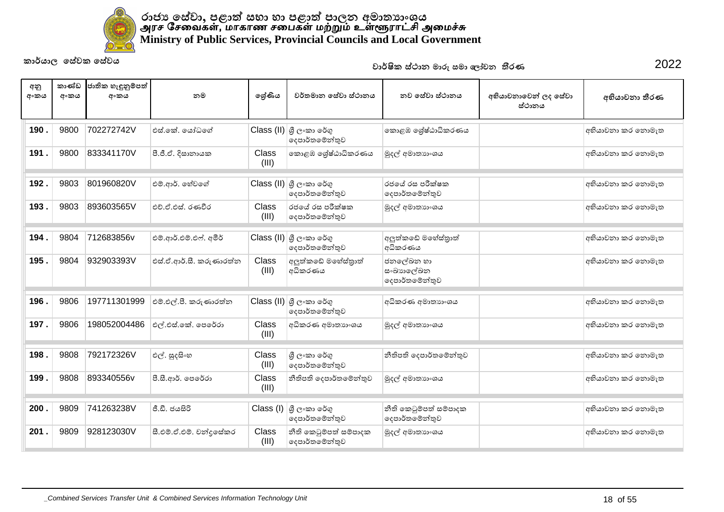

| අනු<br>අංකය | කාණ්ඩ<br>අංකය | ජාතික හැඳුනුම්පත්<br>අංකය | නම                      | ලශ්ණිය         | වර්තමාන සේවා ස්ථානය                                                        | නව සේවා ස්ථානය                           | අභියාචනාවෙන් ලද සේවා<br>ස්ථානය | අභියාචනා තීරණ     |
|-------------|---------------|---------------------------|-------------------------|----------------|----------------------------------------------------------------------------|------------------------------------------|--------------------------------|-------------------|
| 190.        | 9800          | 702272742V                | එස්.කේ. යෝධගේ           |                | $\textsf{Class}\left(\textsf{II}\right)$   ශුී ලංකා රේගු<br>දෙපාර්තමේන්තුව | කොළඹ ශේෂ්ඨාධිකරණය                        |                                | අභියාචනා කර නොමැත |
| 191.        | 9800          | 833341170V                | පී.ජී.ඒ. දිසානායක       | Class<br>(III) | කොළඹ ශේෂ්ඨාධිකරණය                                                          | මුදල් අමාතාහංශය                          |                                | අභියාචනා කර නොමැත |
| 192.        | 9803          | 801960820V                | එම්.ආර්. හේවගේ          |                | $\textsf{Class}\left(\textsf{II}\right)$ ශූී ලංකා රේගු<br>දෙපාර්තමේන්තුව   | රජයේ රස පරීක්ෂක<br>දෙපාර්තමේන්තුව        |                                | අභියාවනා කර නොමැත |
| 193.        | 9803          | 893603565V                | එච්.ඒ.එස්. රණවීර        | Class<br>(III) | රජයේ රස පරීක්ෂක<br>දෙපාර්තමේන්තුව                                          | මුදල් අමාතාගංශය                          |                                | අභියාචනා කර නොමැත |
| 194         | 9804          | 712683856v                | එම්.ආර්.එම්.එෆ්. අමීර්  |                | $Class$ (II) $\beta$ ලංකා රේගු<br>දෙපාර්තමේන්තුව                           | අලුත්කඩේ මහේස්තුාත්<br>අධිකරණය           |                                | අභියාචනා කර නොමැත |
| 195.        | 9804          | 932903393V                | එස්.ඒ.ආර්.සී. කරුණාරත්ත | Class<br>(III) | අලුත්කඩේ මහේස්තුාත්<br>අධිකරණය                                             | ජනලේඛන හා<br>සංඛාහලේඛන<br>දෙපාර්තමේන්තුව |                                | අභියාවනා කර නොමැත |
| 196.        | 9806          | 197711301999              | එම්.එල්.පී. කරුණාරත්න   |                | $\textsf{Class}\left(\textsf{II}\right)$ ශූී ලංකා රේගු<br>දෙපාර්තමේන්තුව   | අධිකරණ අමාතාහංශය                         |                                | අභියාවනා කර නොමැත |
| 197.        | 9806          | 198052004486              | එල්.එස්.කේ. පෙරේරා      | Class<br>(III) | අධිකරණ අමාතාහංශය                                                           | මුදල් අමාතාහංශය                          |                                | අභියාවනා කර නොමැත |
| 198.        | 9808          | 792172326V                | එල්. සුදසිංහ            | Class<br>(III) | ශී ලංකා රේගු<br>දෙපාර්තමේන්තුව                                             | නීතිපති දෙපාර්තමේන්තුව                   |                                | අභියාවනා කර නොමැත |
| 199         | 9808          | 893340556v                | පී.සී.ආර්. පෙරේරා       | Class<br>(III) | නීතිපති දෙපාර්තමේන්තුව                                                     | මුදල් අමාතාහංශය                          |                                | අභියාචනා කර නොමැත |
| 200         | 9809          | 741263238V                | ජී.ඩී. ජයසිරි           |                | Class (I) ශූ ලංකා රේගු<br>දෙපාර්තමේන්තුව                                   | නීති කෙටුම්පත් සම්පාදක<br>දෙපාර්තමේන්තුව |                                | අභියාවනා කර නොමැත |
| 201.        | 9809          | 928123030V                | සී.එම්.ඒ.එම්. චන්දුසේකර | Class<br>(III) | නීති කෙටුම්පත් සම්පාදක<br>දෙපාර්තමේන්තුව                                   | මුදල් අමාතාගංශය                          |                                | අභියාවනා කර නොමැත |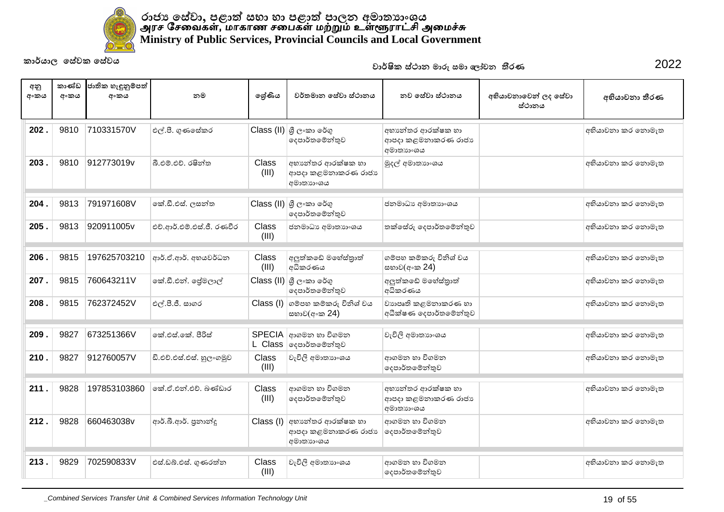

| අනු<br>අංකය | කාණ්ඩ<br>අංකය | ජාතික හැඳුනුම්පත්<br>අංකය | නම                        | ලශ්ණිය         | වර්තමාන සේවා ස්ථානය                                  | නව සේවා ස්ථානය                                       | අභියාචනාවෙන් ලද සේවා<br>ස්ථානය | අභියාචනා තීරණ     |
|-------------|---------------|---------------------------|---------------------------|----------------|------------------------------------------------------|------------------------------------------------------|--------------------------------|-------------------|
| 202.        | 9810          | 710331570V                | එල්.පී. ගුණසේකර           |                | Class (II) ශූ ලංකා රේගු<br>දෙපාර්තමේන්තුව            | අභාන්තර ආරක්ෂක හා<br>ආපදා කළමනාකරණ රාජා<br>අමාතාහංශය |                                | අභියාචනා කර නොමැත |
| 203.        | 9810          | 912773019v                | බී.එම්.එච්. රෂින්ත        | Class<br>(III) | අභාන්තර ආරක්ෂක හා<br>ආපදා කළමනාකරණ රාජා<br>අමාතාහංශය | මුදල් අමාතාගංශය                                      |                                | අභියාවනා කර නොමැත |
| 204.        | 9813          | 791971608V                | කේ.ඩී.එස්. ලසන්ත          |                | Class (II) ශූී ලංකා රේගු<br>දෙපාර්තමේන්තුව           | ජනමාධා අමාතාහංශය                                     |                                | අභියාවනා කර නොමැත |
| 205.        | 9813          | 920911005v                | එච්.ආර්.එම්.එස්.ජී. රණවීර | Class<br>(III) | ජනමාධා අමාතාහංශය                                     | තක්සේරු දෙපාර්තමේන්තුව                               |                                | අභියාවනා කර නොමැත |
| 206.        | 9815          | 197625703210              | ආර්.ඒ.ආර්. අභයවර්ධන       | Class<br>(III) | අලුත්කඩේ මහේස්තුාත්<br>අධිකරණය                       | ගම්පහ කම්කරු විනිශ් වය<br>සභාව(අංක 24)               |                                | අභියාචනා කර නොමැත |
| 207.        | 9815          | 760643211V                | කේ.ඩී.එන්. පේුමලාල්       |                | Class (II) ශූ ලංකා රේගු<br>දෙපාර්තමේන්තුව            | අලුත්කඩේ මහේස්තුාත්<br>අධිකරණය                       |                                | අභියාවනා කර නොමැත |
| 208         | 9815          | 762372452V                | එල්.පී.ජී. සාගර           |                | Class (I) ගම්පහ කම්කරු විනිශ් වය<br>සභාව(අංක 24)     | වාහපෘති කළමනාකරණ හා<br>අධීක්ෂණ දෙපාර්තමේන්තුව        |                                | අභියාචනා කර නොමැත |
| 209.        | 9827          | 673251366V                | ඉක්.එස්.කේ. පීරිස්        | <b>SPECIA</b>  | ආගමන හා විගමන<br>L Class ලදපාර්තමේන්තුව              | වැවිලි අමාතාහංශය                                     |                                | අභියාවනා කර නොමැත |
| 210.        | 9827          | 912760057V                | ඩි.එච්.එස්.එස්. හුලංගමුව  | Class<br>(III) | වැවිලි අමාතාහංශය                                     | ආගමන හා විගමන<br>දෙපාර්තමේන්තුව                      |                                | අභියාවනා කර නොමැත |
| 211.        | 9828          | 197853103860              | කේ.ඒ.එන්.එච්. බණ්ඩාර      | Class<br>(III) | ආගමන හා විගමන<br>දෙපාර්තමේන්තුව                      | අභාන්තර ආරක්ෂක හා<br>ආපදා කළමනාකරණ රාජා<br>අමාතාහංශය |                                | අභියාවනා කර නොමැත |
| 212.        | 9828          | 660463038v                | ආර්.බී.ආර්. පුනාන්දු      | Class (I)      | අභාන්තර ආරක්ෂක හා<br>ආපදා කළමනාකරණ රාජා<br>අමාතාහංශය | ආගමන හා විගමන<br>දෙපාර්තමේන්තුව                      |                                | අභියාවනා කර නොමැත |
| 213.        | 9829          | 702590833V                | එස්.ඩබ්.එස්. ගුණරත්න      | Class<br>(III) | වැවිලි අමාතාහංශය                                     | ආගමන හා විගමන<br>දෙපාර්තමේන්තුව                      |                                | අභියාචනා කර නොමැත |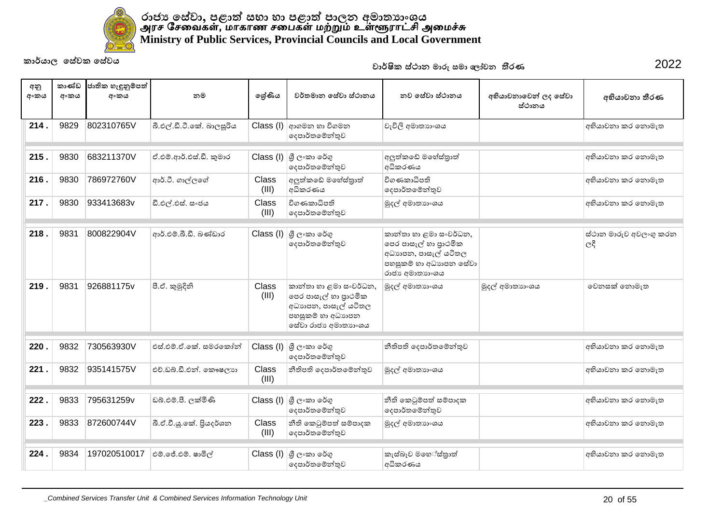

| අනු  | කාණ්ඩ | ජාතික හැඳුනුම්පත් |                           |                       |                                                                                                                      |                                                                                                                     |                                |                                       |
|------|-------|-------------------|---------------------------|-----------------------|----------------------------------------------------------------------------------------------------------------------|---------------------------------------------------------------------------------------------------------------------|--------------------------------|---------------------------------------|
| අංකය | අංකය  | අංකය              | නම                        | ලශ්ණිය                | වර්තමාන සේවා ස්ථානය                                                                                                  | නව සේවා ස්ථානය                                                                                                      | අභියාචනාවෙන් ලද සේවා<br>ස්ථානය | අභියාචනා තීරණ                         |
| 214. | 9829  | 802310765V        | බී.එල්.ඩී.ටී.කේ. බාලසූරිය |                       | $Class$ (I) ආගමන හා විගමන<br>දෙපාර්තමේන්තුව                                                                          | වැවිලි අමාතාහංශය                                                                                                    |                                | අභියාවනා කර නොමැත                     |
| 215. | 9830  | 683211370V        | ඒ.එම්.ආර්.එස්.ඩී. කුමාර   | Class (I)             | ශී ලංකා රේගු<br>දෙපාර්තමේන්තුව                                                                                       | අලුත්කඩේ මහේස්තුාත්<br>අධිකරණය                                                                                      |                                | අභියාවනා කර නොමැත                     |
| 216. | 9830  | 786972760V        | ආර්.ටී. ගාල්ලගේ           | Class<br>(III)        | අලුත්කඩේ මහේස්තුාත්<br>අධිකරණය                                                                                       | විගණකාධිපති<br>දෙපාර්තමේන්තුව                                                                                       |                                | අභියාවනා කර නොමැත                     |
| 217. | 9830  | 933413683v        | ඩී.එල්.එස්. සංජය          | <b>Class</b><br>(III) | විගණකාධිපති<br>දෙපාර්තමේන්තුව                                                                                        | මුදල් අමාතාහංශය                                                                                                     |                                | අභියාවනා කර නොමැත                     |
| 218. | 9831  | 800822904V        | ආර්.එම්.බී.ඩී. බණ්ඩාර     |                       | Class (I) ශූී ලංකා රේගු<br>දෙපාර්තමේන්තුව                                                                            | කාන්තා හා ළමා සංවර්ධන,<br>පෙර පාසැල් හා පුාථමික<br>අධාහපන, පාසැල් යටිතල<br>පහසුකම් හා අධාහපන සේවා<br>රාජා අමාතාගංශය |                                | ස්ථාන මාරුව අවලංගු කරන<br>$ e^{\xi} $ |
| 219. | 9831  | 926881175v        | පී.ඒ. කුමුදිනි            | Class<br>(III)        | කාන්තා හා ළමා සංවර්ධන,<br>පෙර පාසැල් හා පුාථමික<br>අධාහපන, පාසැල් යටිතල<br>පහසුකම් හා අධාහපන<br>ලස්වා රාජා අමාතාගංශය | මුදල් අමාතාහංශය                                                                                                     | මුදල් අමාතාහංශය                | වෙනසක් නොමැත                          |
|      |       |                   |                           |                       |                                                                                                                      |                                                                                                                     |                                |                                       |
| 220  | 9832  | 730563930V        | එස්.එම්.ඒ.කේ. සමරකෝන්     | Class (I)             | යුී ල∘කා රේගු<br>දෙපාර්තමේන්තුව                                                                                      | නීතිපති දෙපාර්තමේන්තුව                                                                                              |                                | අභියාවනා කර නොමැත                     |
| 221. | 9832  | 935141575V        | එච්.ඩබ්.ඩී.එන්. කෞෂලාහ    | <b>Class</b><br>(III) | නීතිපති දෙපාර්තමේන්තුව                                                                                               | මුදල් අමාතාහංශය                                                                                                     |                                | අභියාවනා කර නොමැත                     |
| 222  | 9833  | 795631259v        | ඩබ්.එම්.පී. ලක්මිණි       |                       | Class (I) ශූ ලංකා රේගු<br>දෙපාර්තමේන්තුව                                                                             | නීති කෙටුම්පත් සම්පාදක<br>දෙපාර්තමේන්තුව                                                                            |                                | අභියාවනා කර නොමැත                     |
| 223. | 9833  | 872600744V        | බී.ඒ.වී.යූ.කේ. පියදර්ශන   | Class<br>(III)        | නීති කෙටුම්පත් සම්පාදක<br>දෙපාර්තමෙන්තුව                                                                             | මුදල් අමාතාහංශය                                                                                                     |                                | අභියාචනා කර නොමැත                     |
| 224. | 9834  | 197020510017      | එම්.ජේ.එම්. ෂාමිල්        |                       | Class (I) ශූ ලංකා රේගු<br>දෙපාර්තමේන්තුව                                                                             | කැස්බෑව මහේස්තාත්<br>අධිකරණය                                                                                        |                                | අභියාචනා කර නොමැත                     |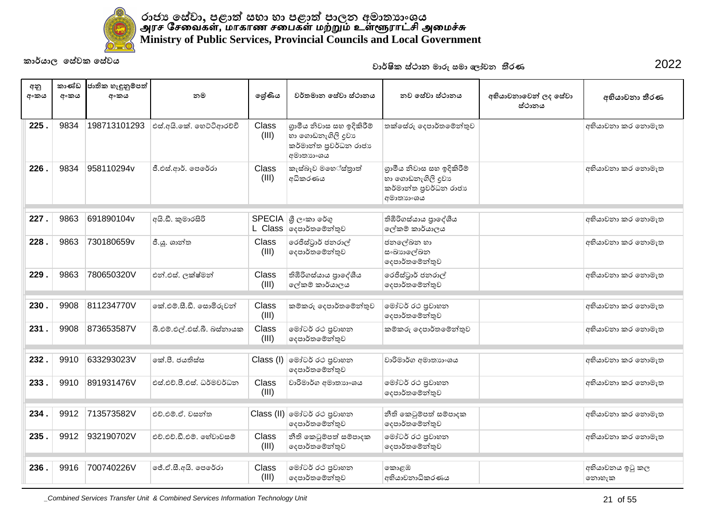

| අනු<br>අංකය | කාණ්ඩ<br>අංකය | ජාතික හැඳුනුම්පත්<br>අංකය | නම                         | ලශ්ණිය         | වර්තමාන සේවා ස්ථානය                                                                   | නව සේවා ස්ථානය                                                                      | අභියාචනාවෙන් ලද සේවා<br>ස්ථානය | අභියාචනා තීරණ            |
|-------------|---------------|---------------------------|----------------------------|----------------|---------------------------------------------------------------------------------------|-------------------------------------------------------------------------------------|--------------------------------|--------------------------|
| 225.        | 9834          | 198713101293              | එස්.අයි.කේ. හෙට්ටිආරච්චි   | Class<br>(III) | ගුාමීය නිවාස සහ ඉදිකිරීම්<br>හා ගොඩනැගිලි දුවා<br>කර්මාන්ත පුවර්ධන රාජාා<br>අමාතාහංශය | තක්සේරු දෙපාර්තමේන්තුව                                                              |                                | අභියාචනා කර නොමැත        |
| 226.        | 9834          | 958110294v                | ජී.එස්.ආර්. පෙරේරා         | Class<br>(III) | කැස්බෑව මහේස්තාත්<br>අධිකරණය                                                          | ගුාමීය නිවාස සහ ඉදිකිරීම<br>හා ගොඩනැගිලි දුවා<br>කර්මාන්ත පුවර්ධන රාජා<br>අමාතාහංශය |                                | අභියාචනා කර නොමැත        |
| 227.        | 9863          | 691890104v                | අයි.ඩී. කුමාරසිරි          |                | SPECIA @ී ලංකා රේගු<br>L Class   දෙපාර්තමේන්තුව                                       | තිඹිරිගස්යාය පුාදේශීය<br>ලේකම් කාර්යාලය                                             |                                | අභියාවනා කර නොමැත        |
| 228.        | 9863          | 730180659v                | ජී.ශූ. ශාන්ත               | Class<br>(III) | රෙජිස්ටුාර් ජනරාල්<br>දෙපාර්තමේන්තුව                                                  | ජනලේඛන හා<br>සංඛාහලේඛන<br>දෙපාර්තමේන්තුව                                            |                                | අභියාචනා කර නොමැත        |
| 229.        | 9863          | 780650320V                | එන්.එස්. ලක්ෂ්මන්          | Class<br>(III) | තිඹිරිගස්යාය පුාදේශීය<br>ලේකම් කාර්යාලය                                               | රෙජිස්ටුාර් ජනරාල්<br>දෙපාර්තමේන්තුව                                                |                                | අභියාචනා කර නොමැත        |
| 230.        | 9908          | 811234770V                | කේ.එම්.සී.ඩී. සොමිරුවන්    | Class<br>(III) | කම්කරු දෙපාර්තමේන්තුව                                                                 | මෝටර් රථ පුවාහන<br>දෙපාර්තමේන්තුව                                                   |                                | අභියාවනා කර නොමැත        |
| 231.        | 9908          | 873653587V                | බී.එම්.එල්.එස්.බී. බස්නායක | Class<br>(III) | මෝටර් රථ පුවාහන<br>දෙපාර්තමේන්තුව                                                     | කම්කරු දෙපාර්තමේන්තුව                                                               |                                | අභියාචනා කර නොමැත        |
| 232.        | 9910          | 633293023V                | කේ.පී. ජයතිස්ස             | Class (I)      | මෝටර් රථ පුවාහන<br>දෙපාර්තමේන්තුව                                                     | වාරිමාර්ග අමාතාහංශය                                                                 |                                | අභියාවනා කර නොමැත        |
| 233.        | 9910          | 891931476V                | එස්.එච්.පී.එස්. ධර්මවර්ධන  | Class<br>(III) | වාරිමාර්ග අමාතාහංශය                                                                   | මෝටර් රථ පුවාහන<br>දෙපාර්තමේන්තුව                                                   |                                | අභියාවනා කර නොමැත        |
| 234.        | 9912          | 713573582V                | එච්.එම්.ඒ. වසන්ත           |                | Class (II) මෝටර් රථ පුවාහන<br>දෙපාර්තමේන්තුව                                          | නීති කෙටුම්පත් සම්පාදක<br>දෙපාර්තමේන්තුව                                            |                                | අභියාවනා කර නොමැත        |
| 235.        | 9912          | 932190702V                | එච්.එච්.ඩී.එම්. හේවාවසම්   | Class<br>(III) | නීති කෙටුම්පත් සම්පාදක<br>දෙපාර්තමේන්තුව                                              | මෝටර් රථ පුවාහන<br>දෙපාර්තමේන්තුව                                                   |                                | අභියාචනා කර නොමැත        |
| 236.        | 9916          | 700740226V                | ්ජී.ඒ.සී.අයි. පෙරේරා       | Class<br>(III) | මෝටර් රථ පුවාහන<br>දෙපාර්තමේන්තුව                                                     | කොළඹ<br>අභියාචනාධිකරණය                                                              |                                | අභියාචනය ඉටු කල<br>නොහැක |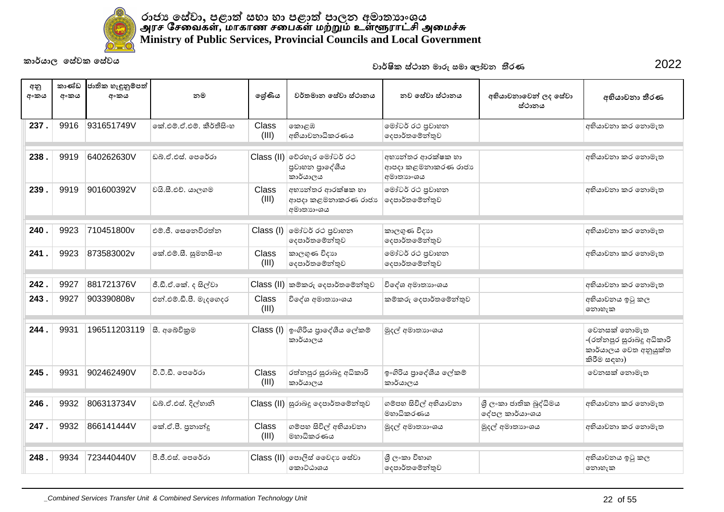

| අනු<br>අංකය | කාණ්ඩ<br>අංකය | ජාතික හැඳුනුම්පත්<br>අංකය | නම                        | ලශ්ණිය                | වර්තමාන සේවා ස්ථානය                                         | නව සේවා ස්ථානය                                       | අභියාචනාවෙන් ලද සේවා<br>ස්ථානය            | අභියාචනා තීරණ                                                                     |
|-------------|---------------|---------------------------|---------------------------|-----------------------|-------------------------------------------------------------|------------------------------------------------------|-------------------------------------------|-----------------------------------------------------------------------------------|
| 237.        | 9916          | 931651749V                | ංක්.එම්.ඒ.එම්. කීර්තීසිංහ | Class<br>(III)        | කොළඹ<br>අභියාචනාධිකරණය                                      | මෝටර් රථ පුවාහන<br>දෙපාර්තමේන්තුව                    |                                           | අභියාචනා කර නොමැත                                                                 |
| 238         | 9919          | 640262630V                | ඩබ්.ඒ.එස්. පෙරේරා         |                       | $Class$ (II) වේරහැර මෝටර් රථ<br>පුවාහන පුාදේශීය<br>කාර්යාලය | අභානේතර ආරක්ෂක හා<br>ආපදා කළමනාකරණ රාජා<br>අමාතාහංශය |                                           | අභියාවනා කර නොමැත                                                                 |
| 239.        | 9919          | 901600392V                | වයි.සී.එච්. යාලගම         | <b>Class</b><br>(III) | අභාන්තර ආරක්ෂක හා<br>ආපදා කළමනාකරණ රාජා<br>අමාතාහංශය        | මෝටර් රථ පුවාහන<br>දෙපාර්තමෙන්තුව                    |                                           | අභියාචනා කර නොමැත                                                                 |
| 240         | 9923          | 710451800v                | එම්.ජී. සෙතෙවිරත්න        | Class (I)             | මෝටර් රථ පුවාහන<br>දෙපාර්තමේන්තුව                           | කාලගුණ විදාහ<br>දෙපාර්තමේන්තුව                       |                                           | අභියාවනා කර නොමැත                                                                 |
| 241.        | 9923          | 873583002v                | කේ.එම්.සී. සුමනසිංහ       | Class<br>(III)        | කාලගුණ විදාහ<br>දෙපාර්තමේන්තුව                              | මෝටර් රථ පුවාහන<br>දෙපාර්තමේන්තුව                    |                                           | අභියාවනා කර නොමැත                                                                 |
| 242         | 9927          | 881721376V                | ජී.ඩී.ඒ.කේ. ද සිල්වා      |                       | Class (II) කම්කරු දෙපාර්තමේන්තුව                            | විදේශ අමාතාහංශය                                      |                                           | අභියාවනා කර නොමැත                                                                 |
| 243.        | 9927          | 903390808v                | එන්.එම්.ඩී.පී. මැදගෙදර    | Class<br>(III)        | විදේශ අමාතාහංශය                                             | කම්කරු දෙපාර්තමේන්තුව                                |                                           | අභියාවනය ඉටු කල<br>නොහැක                                                          |
| 244         | 9931          | 196511203119              | සී. අබෙවිකුම              |                       | Class (I) ඉංගිරිය පාලේශීය ලේකම්<br>කාර්යාලය                 | මුදල් අමාතාහංශය                                      |                                           | වෙනසක් නොමැත<br>-(රත්නපුර සුරාබදු අධිකාරි<br>කාර්යාලය වෙත අනුයුක්ත<br>කිරීම සඳහා) |
| 245.        | 9931          | 902462490V                | වී.ටී.ඩී. පෙරේරා          | Class<br>(III)        | රත්නපුර සුරාබදු අධිකාරි<br>කාර්යාලය                         | ඉංගිරිය පාදේශීය ලේකම්<br>කාර්යාලය                    |                                           | වෙනසක් නොමැත                                                                      |
| 246         | 9932          | 806313734V                | ඩබ.ඒ.එස්. දිල්හානි        |                       | Class (II) සුරාබදු දෙපාර්තමේන්තුව                           | ගම්පහ සිවිල් අභියාචනා<br>මහාධිකරණය                   | ශී ලංකා ජාතික බුද්ධිමය<br> ලේපල කාර්යා∘ශය | අභියාවනා කර නොමැත                                                                 |
| 247.        | 9932          | 866141444V                | කේ.ඒ.පී. පුනාන්දු         | Class<br>(III)        | ගම්පහ සිවිල් අභියාචනා<br>මහාධිකරණය                          | මුදල් අමාතාහංශය                                      | මුදල් අමාතාහංශය                           | අභියාචනා කර නොමැත                                                                 |
| 248         | 9934          | 723440440V                | පී.ජී.එස්. පෙරේරා         |                       | $\text{Class (II)}$ පොලිස් වෛදා සේවා<br>කොට්ඨාශය            | ශී ලංකා විහාග<br>දෙපාර්තමේන්තුව                      |                                           | අභියාචනය ඉටු කල<br>නොහැක                                                          |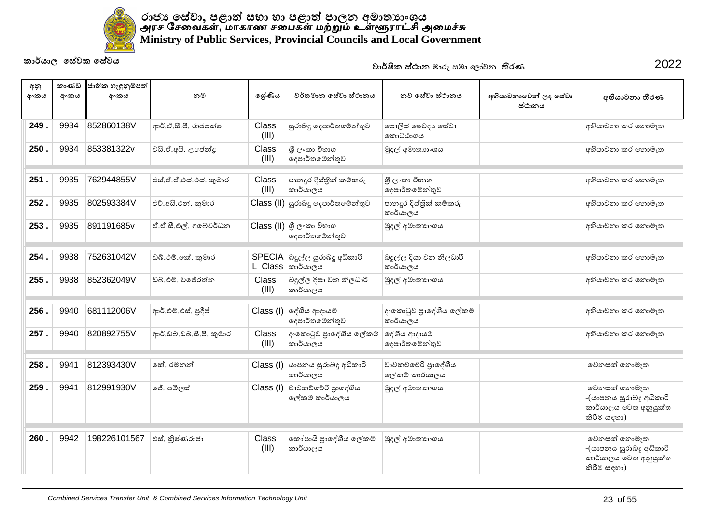

| අනු<br>අංකය | කාණ්ඩ<br>අංකය | ජාතික හැඳුනුම්පත්<br>අංකය | නම                       | ලශ්ණිය                | වර්තමාන සේවා ස්ථානය                                | නව සේවා ස්ථානය                        | අභියාචනාවෙන් ලද සේවා<br>ස්ථානය | අභියාචනා තීරණ                                                                   |
|-------------|---------------|---------------------------|--------------------------|-----------------------|----------------------------------------------------|---------------------------------------|--------------------------------|---------------------------------------------------------------------------------|
| 249.        | 9934          | 852860138V                | ආර්.ඒ.සී.පී. රාජපක්ෂ     | Class<br>(III)        | සුරාබදු දෙපාර්තමේන්තුව                             | පොලිස් වෛදා සේවා<br>කොට්ඨාශය          |                                | අභියාවනා කර නොමැත                                                               |
| 250.        | 9934          | 853381322v                | වයි.ඒ.අයි. උපේන්දු       | <b>Class</b><br>(III) | ශී ලංකා විහාග<br>දෙපාර්තමේන්තුව                    | මුදල් අමාතාහංශය                       |                                | අභියාවනා කර නොමැත                                                               |
| 251.        | 9935          | 762944855V                | එස්.ඒ.ඒ.එස්.එස්. කුමාර   | Class<br>(III)        | පානදූර දිස්තික් කම්කරු<br>කාර්යාලය                 | ශී ලංකා විහාග<br>දෙපාර්තමේන්තුව       |                                | අභියාවනා කර නොමැත                                                               |
| 252.        | 9935          | 802593384V                | එච්.අයි.එන්. කුමාර       |                       | Class (II) සුරාබදු දෙපාර්තමේන්තුව                  | පානදූර දිස්තික් කම්කරු<br>කාර්යාලය    |                                | අභියාචනා කර නොමැත                                                               |
| 253.        | 9935          | 891191685v                | ඒ.ඒ.සී.එල්. අබේවර්ධන     |                       | Class (II) ශූ ලංකා විහාග<br>දෙපාර්තමේන්තුව         | මුදල් අමාතාහංශය                       |                                | අභියාචනා කර නොමැත                                                               |
| 254.        | 9938          | 752631042V                | ඩබ්.එම්.කේ. කුමාර        |                       | SPECIA බදුල්ල සුරාබදු අධිකාරි<br>L Class  කාර්යාලය | බදුල්ල දිසා වන නිලධාරී<br>කාර්යාලය    |                                | අභියාචනා කර නොමැත                                                               |
| 255.        | 9938          | 852362049V                | ඩබු,එම්, විජේරත්න        | <b>Class</b><br>(III) | බදුල්ල දිසා වන නිලධාරී<br>කාර්යාලය                 | මුදල් අමාතාහංශය                       |                                | අභියාචනා කර නොමැත                                                               |
| 256.        | 9940          | 681112006V                | ආර්.එම්.එස්. පුදීප්      |                       | $Class (I)$ ලද්ශීය ආදායම්<br>දෙපාර්තමේන්තුව        | දංකොටුව පාදේශීය ලේකම්<br>කාර්යාලය     |                                | අභියාචනා කර නොමැත                                                               |
| 257.        | 9940          | 820892755V                | ආර්.ඩබ්.ඩබ්.සී.පී. කුමාර | Class<br>(III)        | දංකොටුව පාදේශීය ලේකම්<br>කාර්යාලය                  | දේශීය ආදායම්<br>දෙපාර්තමේන්තුව        |                                | අභියාවනා කර නොමැත                                                               |
| 258         | 9941          | 812393430V                | කේ. රමනන්                |                       | $Class (I)$ යාපනය සුරාබදු අධිකාරි<br>කාර්යාලය      | චාවකච්චේරි පුාදේශීය<br>ලේකම් කාර්යාලය |                                | වෙනසක් නොමැත                                                                    |
| 259.        | 9941          | 812991930V                | ් ජේ. පමිලස්             | Class (I)             | වාවකච්චේරි පුාදේශීය<br>ලේකම් කාර්යාලය              | මුදල් අමාතාහංශය                       |                                | වෙනසක් නොමැත<br>-(යාපනය සුරාබදු අධිකාරි<br>කාර්යාලය වෙත අනුයුක්ත<br>කිරීම සඳහා) |
| 260.        | 9942          | 198226101567              | එස්. කිුෂ්ණරාජා          | Class<br>(III)        | කෝපායි පුාදේශීය ලේකම්<br>කාර්යාලය                  | මුදල් අමාතාගංශය                       |                                | වෙනසක් නොමැත<br>-(යාපනය සුරාබදු අධිකාරි<br>කාර්යාලය වෙත අනුයුක්ත<br>කිරීම සඳහා) |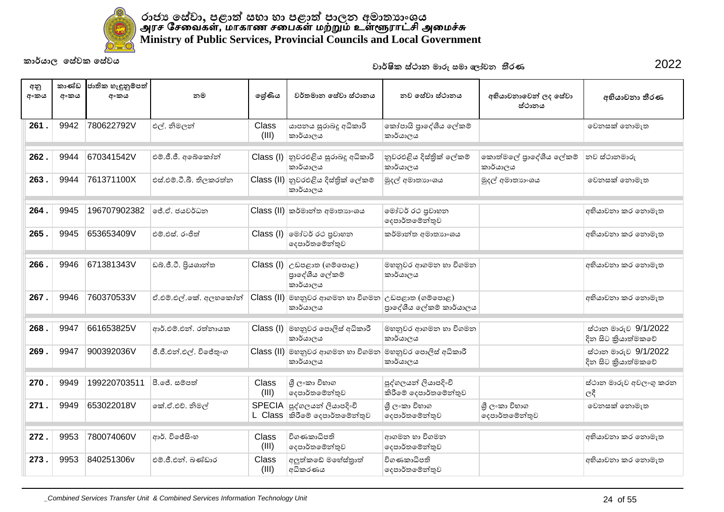

| අනු<br>අංකය | කාණ්ඩ<br>අංකය | ජාතික හැඳුනුම්පත්<br>අංකය | නම                      | ලශ්ණිය         | වර්තමාන සේවා ස්ථානය                                                         | නව සේවා ස්ථානය                                | අභියාචනාවෙන් ලද සේවා<br>ස්ථානය     | අභියාචනා තීරණ                              |
|-------------|---------------|---------------------------|-------------------------|----------------|-----------------------------------------------------------------------------|-----------------------------------------------|------------------------------------|--------------------------------------------|
| 261.        | 9942          | 780622792V                | එල්. නිමලන්             | Class<br>(III) | යාපනය සුරාබදු අධිකාරි<br>කාර්යාලය                                           | කෝපායි පාදේශීය ලේකම්<br>කාර්යාලය              |                                    | වෙනසක් නොමැත                               |
| 262         | 9944          | 670341542V                | එම්.ජී.ජී. අබේකෝන්      |                | Class (I) නුවරඑළිය සුරාබදු අධිකාරි<br>කාර්යාලය                              | නුවරඑළිය දිස්තික් ලේකම්<br>කාර්යාලය           | කොත්මලේ පුාදේශීය ලේකම්<br>කාර්යාලය | නව ස්ථානමාරු                               |
| 263.        | 9944          | 761371100X                | එස්.එම්.ටී.බී. තිලකරත්න |                | Class (II) නුවරඑළිය දිස්තුික් ලේකම්<br>කාර්යාලය                             | මුදල් අමාතාහංශය                               | මුදල් අමාතාහංශය                    | වෙනසක් නොමැත                               |
| 264         | 9945          | 196707902382              | ජේ. ඒ. ජයවර්ධන          |                | $\text{Class (II)}$ කර්මාන්ත අමාතාහංශය                                      | මෝටර් රථ පුවාහන<br>දෙපාර්තමේන්තුව             |                                    | අභියාවනා කර නොමැත                          |
| 265         | 9945          | 653653409V                | එම් එස්, රංජිත්         |                | $Class (I)$ මෝටර් රථ පුවාහන<br>දෙපාර්තමේන්තුව                               | කර්මාන්ත අමාතාහංශය                            |                                    | අභියාවනා කර නොමැත                          |
| 266.        | 9946          | 671381343V                | ඩබ්.ජී.ටී. පියශාන්ත     | Class (I)      | උඩපළාත (ගම්පොළ)<br>පාදේශීය ලේකම්<br>කාර්යාලය                                | මහනුවර ආගමන හා විගමන<br>කාර්යාලය              |                                    | අභියාවනා කර නොමැත                          |
| 267.        | 9946          | 760370533V                | ඒ.එම්.එල්.කේ. අලහකෝන්   |                | $ {\rm Class\ (II)} $ මහනුවර ආගමන හා විගමන $ _C$ ඩපළාත (ගම්පොළ)<br>කාර්යාලය | පාදේශීය ලේකම් කාර්යාලය                        |                                    | අභියාචනා කර නොමැත                          |
| 268         | 9947          | 661653825V                | ආර්.එම්.එන්. රත්නායක    |                | Class (I) මහනුවර පොලිස් අධිකාරී<br>කාර්යාලය                                 | මහනුවර ආගමන හා විගමන<br>කාර්යාලය              |                                    | ස්ථාන මාරුව 9/1/2022<br>දින සිට කියාත්මකවේ |
| 269.        | 9947          | 900392036V                | ජී.ජී.එන්.එල්. විජේතුංග |                | Class (II) මහනුවර ආගමන හා විගමන<br>කාර්යාලය                                 | මහනුවර පොලිස් අධිකාරී<br>කාර්යාලය             |                                    | ස්ථාන මාරුව 9/1/2022<br>දින සිට කියාත්මකවේ |
| 270.        | 9949          | 199220703511              | පී.ජේ. සම්පත්           | Class<br>(III) | ශී ලංකා විහාග<br>දෙපාර්තමේන්තුව                                             | පුද්ගලයන් ලියාපදිංචි<br>කිරීමේ දෙපාර්තමේන්තුව |                                    | ස්ථාන මාරුව අවලංගු කරන<br>$ e^{\xi} $      |
| 271.        | 9949          | 653022018V                | කේ.ඒ.එච්. නිමල්         |                | SPECIA පුද්ගලයන් ලියාපදිංචි<br>L Class කිරීමේ දෙපාර්තමේන්තුව                | ශී ලංකා විහාග<br>දෙපාර්තමේන්තුව               | ශී ලංකා විහාග<br> ලදපාර්තමේන්තුව   | වෙනසක් නොමැත                               |
| 272         | 9953          | 780074060V                | ආර්. විජේසිංහ           | Class<br>(III) | විගණකාධිපති<br>දෙපාර්තමේන්තුව                                               | ආගමන හා විගමන<br>දෙපාර්තමේන්තුව               |                                    | අභියාවනා කර නොමැත                          |
| 273.        | 9953          | 840251306v                | එම්.ජී.එන්. බණ්ඩාර      | Class<br>(III) | අලුත්කඩේ මහේස්තාත්<br>අධිකරණය                                               | විගණකාධිපති<br>දෙපාර්තමේන්තුව                 |                                    | අභියාවනා කර නොමැත                          |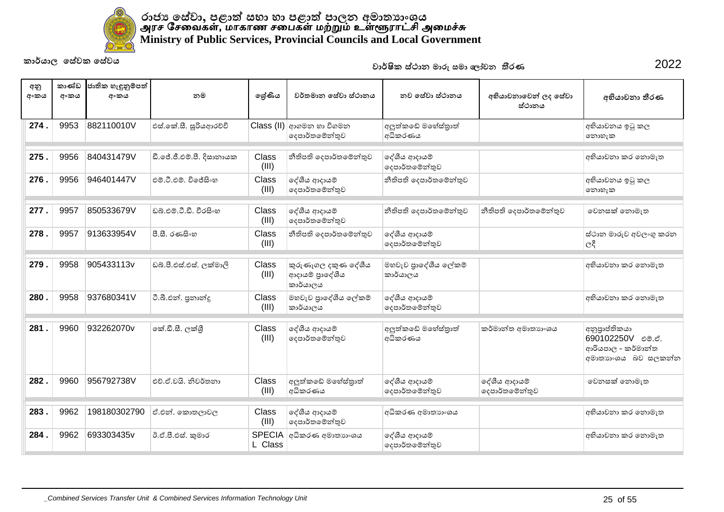

| අනු<br>අංකය | කාණ්ඩ<br>අංකය | ජාතික හැඳුනුම්පත්<br>අංකය | නම                        | ලශ්ණිය         | වර්තමාන සේවා ස්ථානය                               | නව සේවා ස්ථානය                  | අභියාචනාවෙන් ලද සේවා<br>ස්ථානය | අභියාචනා තීරණ                                                                    |
|-------------|---------------|---------------------------|---------------------------|----------------|---------------------------------------------------|---------------------------------|--------------------------------|----------------------------------------------------------------------------------|
| 274.        | 9953          | 882110010V                | එස්.කේ.සී. සුරියආරච්චි    |                | Class (II) ආගමන හා විගමන<br>දෙපාර්තමේන්තුව        | අලුත්කඩේ මහේස්තුාත්<br>අධිකරණය  |                                | අභියාවනය ඉටු කල<br>නොහැක                                                         |
| 275         | 9956          | 840431479V                | ඩී.ජේ.ජී.එම්.පී. දිසානායක | Class<br>(III) | නීතිපති දෙපාර්තමේන්තුව                            | දේශීය ආදායම්<br>දෙපාර්තමේන්තුව  |                                | අභියාචනා කර නොමැත                                                                |
| 276         | 9956          | 946401447V                | එම්.ටී.එම්. විජේසිංහ      | Class<br>(III) | දේශීය ආදායම්<br>දෙපාර්තමේන්තුව                    | නීතිපති දෙපාර්තමේන්තුව          |                                | අභියාචනය ඉටු කල<br>නොහැක                                                         |
| 277         | 9957          | 850533679V                | ඩුබු,එම්.ටී.ඩී. වීරසිංහ   | Class<br>(III) | දේශීය ආදායම්<br>දෙපාර්තමේන්තුව                    | නීතිපති දෙපාර්තමේන්තුව          | නීතිපති දෙපාර්තමේන්තුව         | වෙනසක් නොමැත                                                                     |
| 278         | 9957          | 913633954V                | පී.සී. රණසිංහ             | Class<br>(III) | නීතිපති දෙපාර්තමේන්තුව                            | දේශීය ආදායම්<br>දෙපාර්තමේන්තුව  |                                | ස්ථාන මාරුව අවලංගු කරන<br>ලදී                                                    |
| 279.        | 9958          | 905433113v                | ඩබ්.පී.එස්.එස්. ලක්මාලි   | Class<br>(III) | කුරුණෑගල දකුණ දේශීය<br>ආදායම් පාදේශීය<br>කාර්යාලය | මහවැව පාදේශීය ලේකම්<br>කාර්යාලය |                                | අභියාචනා කර නොමැත                                                                |
| 280         | 9958          | 937680341V                | ටී.බී.එන්. පුනාන්දු       | Class<br>(III) | මහවැව පුාදේශීය ලේකම්<br>කාර්යාලය                  | දේශීය ආදායම්<br>දෙපාර්තමේන්තුව  |                                | අභියාවනා කර නොමැත                                                                |
| 281.        | 9960          | 932262070v                | නේ.ඩී.සී. ලක්ශී           | Class<br>(III) | දේශීය ආදායම්<br>දෙපාර්තමේන්තුව                    | අලුත්කඩේ මහේස්තුාත්<br>අධිකරණය  | කර්මාන්ත අමාතාහංශය             | අනුපාප්තිකයා<br>690102250V ಲಿಲ್ಲಿಲೆ.<br>ආරියපාල - කර්මාන්ත<br>අමාතහංශය බව සලකන්න |
| 282         | 9960          | 956792738V                | එච්.ඒ.වයි. නිවර්තනා       | Class<br>(III) | අලුත්කඩේ මහේස්තාත්<br>අධිකරණය                     | දේශීය ආදායම්<br>දෙපාර්තමේන්තුව  | දේශීය ආදායම්<br>දෙපාර්තමේන්තුව | වෙනසක් නොමැත                                                                     |
| 283         | 9962          | 198180302790              | ඒ.එන්. කොතලාවල            | Class<br>(III) | දේශීය ආදායම්<br>දෙපාර්තමේන්තුව                    | අධිකරණ අමාතාහංශය                |                                | අභියාවනා කර නොමැත                                                                |
| 284         | 9962          | 693303435v                | ඊ.ඒ.පී.එස්. කුමාර         | L Class        | SPECIA අධිකරණ අමාතාහංශය                           | දේශීය ආදායම්<br>දෙපාර්තමේන්තුව  |                                | අභියාචනා කර නොමැත                                                                |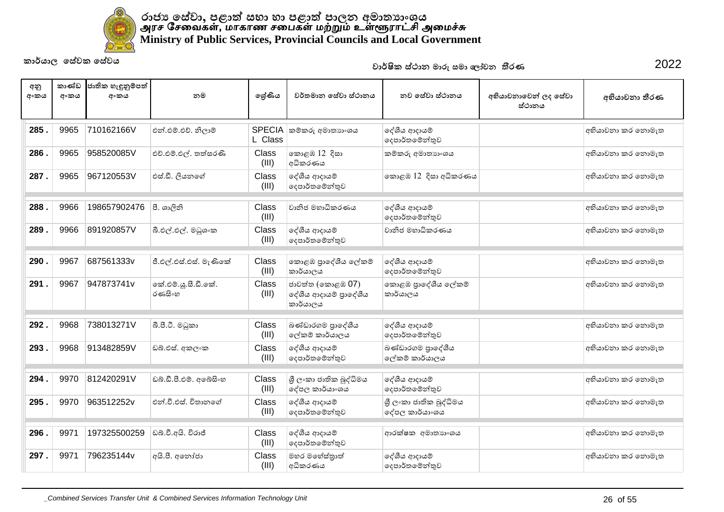

| අනු<br>අංකය | කාණ්ඩ<br>අංකය | ජාතික හැඳුනුම්පත්<br>අංකය | නම                            | ලශ්ණිය                | වර්තමාන සේවා ස්ථානය                                  | නව සේවා ස්ථානය                           | අභියාචනාවෙන් ලද සේවා<br>ස්ථානය | අභියාචනා තීරණ     |
|-------------|---------------|---------------------------|-------------------------------|-----------------------|------------------------------------------------------|------------------------------------------|--------------------------------|-------------------|
| 285.        | 9965          | 710162166V                | එන්.එම්.එච්. නිලාම්           | L Class               | SPECIA  කම්කරු අමාතාහංශය                             | දේශීය ආදායම්<br>දෙපාර්තමේන්තුව           |                                | අභියාචනා කර නොමැත |
| 286.        | 9965          | 958520085V                | එච්.එම්.එල්. තත්සරණි          | Class<br>(III)        | කොළඹ 12 දිසා<br>අධිකරණය                              | කම්කරු අමාතාහංශය                         |                                | අභියාචනා කර නොමැත |
| 287.        | 9965          | 967120553V                | එස්.ඩී. ලියනගේ                | Class<br>(III)        | දේශීය ආදායම්<br>දෙපාර්තමේන්තුව                       | කොළඹ 12 දිසා අධිකරණය                     |                                | අභියාචනා කර නොමැත |
| 288         | 9966          | 198657902476              | පී. ශාලීනි                    | Class<br>(III)        | වානිජ මහාධිකරණය                                      | දේශීය ආදායම්<br>දෙපාර්තමේන්තුව           |                                | අභියාවනා කර නොමැත |
| 289.        | 9966          | 891920857V                | බී.එල්.එල්. මධුශංක            | Class<br>(III)        | දේශීය ආදායම්<br>දෙපාර්තමේන්තුව                       | වානිජ මහාධිකරණය                          |                                | අභියාචනා කර නොමැත |
| 290.        | 9967          | 687561333v                | ජී.එල්.එස්.එස්. මැණිකේ        | Class<br>(III)        | කොළඹ පුාදේශීය ලේකම්<br>කාර්යාලය                      | දේශීය ආදායම්<br>දෙපාර්තමේන්තුව           |                                | අභියාවනා කර නොමැත |
| 291.        | 9967          | 947873741v                | කේ.එම්.යූ.සී.ඩී.කේ.<br>රණසිංහ | Class<br>(III)        | ජාවත්ත (කොළඹ 07)<br>දේශීය ආදායම් පාදේශීය<br>කාර්යාලය | කොළඹ පුාදේශීය ලේකම්<br>කාර්යාලය          |                                | අභියාචනා කර නොමැත |
| 292.        | 9968          | 738013271V                | බී.පී.ටී. මධුකා               | Class<br>(III)        | බණ්ඩාරගම පුාදේශීය<br>ලේකම් කාර්යාලය                  | දේශීය ආදායම්<br>දෙපාර්තමේන්තුව           |                                | අභියාචනා කර නොමැත |
| 293.        | 9968          | 913482859V                | ඩබ්.එස්. අකලංක                | Class<br>(III)        | දේශීය ආදායම්<br>දෙපාර්තමේන්තුව                       | බණ්ඩාරගම පුාදේශීය<br>ලේකම් කාර්යාලය      |                                | අභියාවනා කර නොමැත |
| 294.        | 9970          | 812420291V                | ඩබ්.ඩී.පී.එම්. අබේසිංහ        | Class<br>(III)        | ශී ලංකා ජාතික බුද්ධිමය<br>දේපල කාර්යාංශය             | දේශීය ආදායම්<br>දෙපාර්තමේන්තුව           |                                | අභියාචනා කර නොමැත |
| 295.        | 9970          | 963512252v                | එන් වී.එස්, විතානගේ           | Class<br>(III)        | දේශීය ආදායම්<br>දෙපාර්තමේන්තුව                       | ශී ලංකා ජාතික බුද්ධිමය<br>දේපල කාර්යාංශය |                                | අභියාවනා කර නොමැත |
| 296.        | 9971          | 197325500259              | ඩබ්.වී.අයි. විරාජ්            | <b>Class</b><br>(III) | දේශීය ආදායම්<br>දෙපාර්තමේන්තුව                       | ආරක්ෂක අමාතාහංශය                         |                                | අභියාචනා කර නොමැත |
| 297.        | 9971          | 796235144v                | අයි.පී. අතෝජා                 | Class<br>(III)        | මහර මහේස්තුාත්<br>අධිකරණය                            | දේශීය ආදායම්<br>දෙපාර්තමේන්තුව           |                                | අභියාවනා කර නොමැත |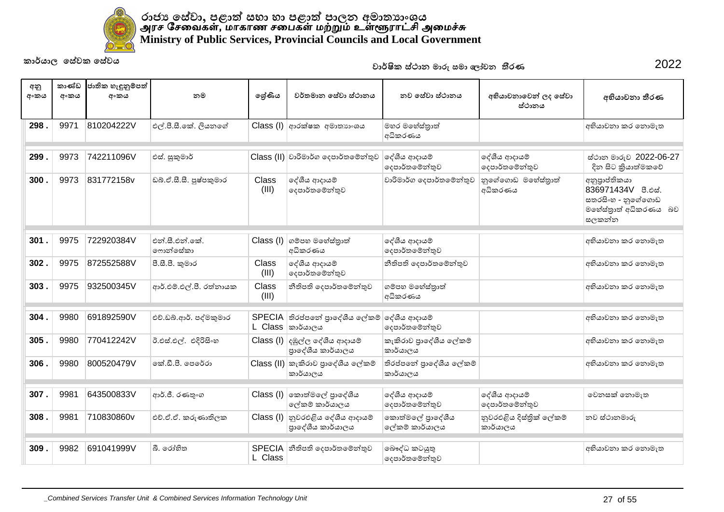

| අනු<br>අංකය | කාණ්ඩ<br>අංකය | ජාතික හැඳුනුම්පත්<br>අංකය | නම                        | ලේණිය          | වර්තමාන සේවා ස්ථානය                                 | නව සේවා ස්ථානය                     | අභියාචනාවෙන් ලද සේවා<br>ස්ථානය      | අභියාචනා තීරණ                                                                              |
|-------------|---------------|---------------------------|---------------------------|----------------|-----------------------------------------------------|------------------------------------|-------------------------------------|--------------------------------------------------------------------------------------------|
| 298.        | 9971          | 810204222V                | එල්.පී.සී.කේ. ලියනගේ      |                | Class (I) ආරක්ෂක අමාතාහංශය                          | මහර මහේස්තුාත්<br>අධිකරණය          |                                     | අභියාචනා කර නොමැත                                                                          |
| 299.        | 9973          | 742211096V                | එස්. සුකුමාර්             |                | Class (II) වාරිමාර්ග දෙපාර්තමේන්තුව                 | දේශීය ආදායම්<br>දෙපාර්තමේන්තුව     | දේශීය ආදායම්<br>දෙපාර්තමේන්තුව      | ස්ථාන මාරුව 2022-06-27<br>දින සිට කියාත්මකවේ                                               |
| 300         | 9973          | 831772158v                | ඩබ්.ඒ.සී.සී. පුෂ්පකුමාර   | Class<br>(III) | දේශීය ආදායම්<br>දෙපාර්තමේන්තුව                      | වාරිමාර්ග දෙපාර්තමේන්තුව           | නුගේගොඩ මහේස්තුාත්<br>අධිකරණය       | අනුපාප්තිකයා<br>836971434V පී.එස්.<br>සතරසිංහ - නුගේගොඩ<br>මහේස්තුාත් අධිකරණය බව<br>සලකන්න |
| 301.        | 9975          | 722920384V                | එන් සී.එන් කේ.<br>෩න්සේකා |                | Class (I) ගම්පහ මහේස්තාත්<br>අධිකරණය                | දේශීය ආදායම්<br>දෙපාර්තමේන්තුව     |                                     | අභියාවනා කර නොමැත                                                                          |
| 302.        | 9975          | 872552588V                | පී.සී.පී. කුමාර           | Class<br>(III) | දේශීය ආදායම්<br>දෙපාර්තමේන්තුව                      | නීතිපති දෙපාර්තමේන්තුව             |                                     | අභියාචනා කර නොමැත                                                                          |
| 303.        | 9975          | 932500345V                | ආර්.එම්.එල්.පී. රත්නායක   | Class<br>(III) | නීතිපති දෙපාර්තමේන්තුව                              | ගම්පහ මහේස්තුාත්<br>අධිකරණය        |                                     | අභියාචනා කර නොමැත                                                                          |
| 304         | 9980          | 691892590V                | එච්.ඩබ්.ආර්. පද්මකුමාර    |                | SPECIA තිරප්පතේ පුාදේශීය ලේකම්<br>L Class කාර්යාලය  | දේශීය ආදායම්<br>දෙපාර්තමේන්තුව     |                                     | අභියාචනා කර නොමැත                                                                          |
| 305.        | 9980          | 770412242V                | ඊ.එස්.එල්. එදිරිසිංහ      |                | Class (I) දඹුල්ල දේශීය ආදායම්<br>පාදේශීය කාර්යාලය   | කැකිරාව පාදේශීය ලේකම්<br>කාර්යාලය  |                                     | අභියාචනා කර නොමැත                                                                          |
| 306.        | 9980          | 800520479V                | කේ.ඩී.පී. පෙරේරා          |                | Class (II) කැකිරාව පුාදේශීය ලේකම්<br>කාර්යාලය       | තිරප්පතේ පාදේශීය ලේකම්<br>කාර්යාලය |                                     | අභියාචනා කර නොමැත                                                                          |
| 307.        | 9981          | 643500833V                | ආර්.ජී. රණතුංග            |                | Class (I) කොත්මලේ පුාදේශීය<br>ලේකම් කාර්යාලය        | දේශීය ආදායම්<br>දෙපාර්තමේන්තුව     | දේශීය ආදායම්<br>දෙපාර්තමේන්තුව      | වෙනසක් නොමැත                                                                               |
| 308.        | 9981          | 710830860v                | එච්.ඒ.ඒ. කරුණාතිලක        |                | Class (I) නුවරඑළිය දේශීය ආදායම්<br>පාදේශීය කාර්යාලය | කොත්මලේ පුාදේශීය<br>ලේකම් කාර්යාලය | නුවරඑළිය දිස්තික් ලේකම්<br>කාර්යාලය | නව ස්ථානමාරු                                                                               |
| 309         | 9982          | 691041999V                | බී. රෝහිත                 | L Class        | $SPECIA$ නීතිපති දෙපාර්තමේන්තුව                     | බෞද්ධ කටයුතු<br>දෙපාර්තමේන්තුව     |                                     | අභියාචනා කර නොමැත                                                                          |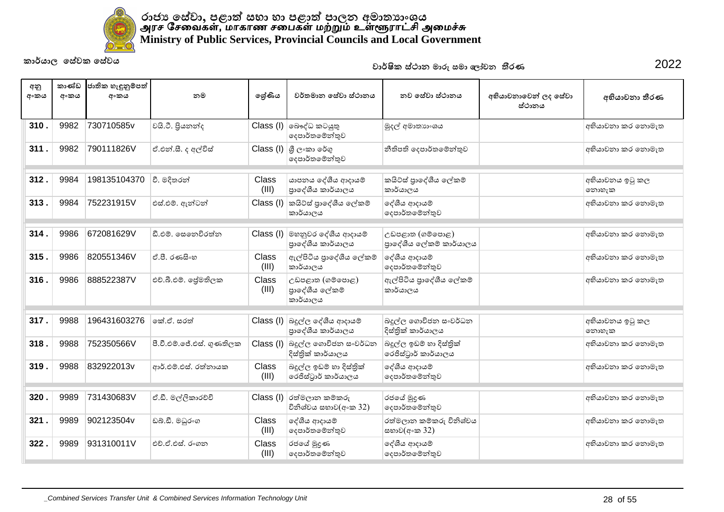

| අනු<br>අංකය | කාණ්ඩ<br>අංකය | ජාතික හැඳුනුම්පත්<br>අංකය | නම                        | ලශ්ණිය         | වර්තමාන සේවා ස්ථානය                                  | නව සේවා ස්ථානය                                  | අභියාචනාවෙන් ලද සේවා<br>ස්ථානය | අභියාචනා තීරණ            |
|-------------|---------------|---------------------------|---------------------------|----------------|------------------------------------------------------|-------------------------------------------------|--------------------------------|--------------------------|
| 310.        | 9982          | 730710585v                | වයි.ටී. පියනන්ද           |                | $Class (I)$ බෞද්ධ කටයුතු<br>දෙපාර්තමේන්තුව           | මුදල් අමාතාගංශය                                 |                                | අභියාචනා කර නොමැත        |
| 311.        | 9982          | 790111826V                | ඒ.එන්.සී. ද අල්විස්       |                | Class (I) ශූී ලංකා රේගු<br>දෙපාර්තමේන්තුව            | නීතිපති දෙපාර්තමේන්තුව                          |                                | අභියාචනා කර නොමැත        |
| 312.        | 9984          | 198135104370              | වී. මදිතරන්               | Class<br>(III) | යාපනය දේශීය ආදායම්<br>පාදේශීය කාර්යාලය               | කයිට්ස් පුාදේශීය ලේකම්<br>කාර්යාලය              |                                | අභියාචනය ඉටු කල<br>නොහැක |
| 313.        | 9984          | 752231915V                | එස්.එම්. ඇන්ටන්           | Class (I)      | කයිට්ස් පාදේශීය ලේකම්<br>කාර්යාලය                    | දේශීය ආදායම්<br>දෙපාර්තමේන්තුව                  |                                | අභියාවනා කර නොමැත        |
| 314.        | 9986          | 672081629V                | ඩී එම සෙතෙවිරත්න          |                | Class (I) මහනුවර දේශීය ආදායම්<br>පාදේශීය කාර්යාලය    | උඩපළාත (ගම්පොළ)<br>පාදේශීය ලේකම් කාර්යාලය       |                                | අභියාචනා කර නොමැත        |
| 315.        | 9986          | 820551346V                | ඒ.පී. රණසිංහ              | Class<br>(III) | ඇල්පිටිය පුාදේශීය ලේකම්<br>කාර්යාලය                  | දේශීය ආදායම්<br>දෙපාර්තමේන්තුව                  |                                | අභියාචනා කර නොමැත        |
| 316.        | 9986          | 888522387V                | එච්.බී.එම්. ලේමතිලක       | Class<br>(III) | උඩපළාත (ගම්පොළ)<br>පාදේශීය ලේකම්<br>කාර්යාලය         | ඇල්පිටිය පුාදේශීය ලේකම්<br>කාර්යාලය             |                                | අභියාචනා කර නොමැත        |
| 317.        | 9988          | 196431603276              | කේ.ඒ. සරත්                |                | $Class (I)$ බදුල්ල දේශීය ආදායම්<br>පාදේශීය කාර්යාලය  | බදුල්ල ගොවිජන සංවර්ධන<br>දිස්තික් කාර්යාලය      |                                | අභියාවනය ඉටු කල<br>නොහැක |
| 318.        | 9988          | 752350566V                | පී.වී.එම්.ජේ.එස්. ගුණතිලක |                | Class (I) බදුල්ල ගොවිජන සංවර්ධන<br>දිස්තික් කාර්යාලය | බදුල්ල ඉඩම් හා දිස්තික්<br>රෙජිස්ටුාර් කාර්යාලය |                                | අභියාවනා කර නොමැත        |
| 319         | 9988          | 832922013v                | ආර්.එම්.එස්. රත්නායක      | Class<br>(III) | බදුල්ල ඉඩම් හා දිස්තික්<br>රෙජිස්ටුාර් කාර්යාලය      | දේශීය ආදායම්<br>දෙපාර්තමේන්තුව                  |                                | අභියාචනා කර නොමැත        |
| 320         | 9989          | 731430683V                | ඒ.ඩී. මල්ලිකාරච්චි        |                | $Class (I)$ රත්මලාන කම්කරු<br>විනිශ්චය සභාව(අංක 32)  | රජයේ මුදුණ<br>දෙපාර්තමේන්තුව                    |                                | අභියාචනා කර නොමැත        |
| 321.        | 9989          | 902123504v                | ඩබ්.ඩී. මධුරංග            | Class<br>(III) | දේශීය ආදායම්<br>දෙපාර්තමේන්තුව                       | රත්මලාන කම්කරු විනිශ්චය<br>සභාව(අංක 32)         |                                | අභියාවනා කර නොමැත        |
| 322.        | 9989          | 931310011V                | එච්. ඒ. එස්. රංගන         | Class<br>(III) | රජයේ මුදණ<br>දෙපාර්තමේන්තුව                          | දේශීය ආදායම්<br>දෙපාර්තමේන්තුව                  |                                | අභියාචනා කර නොමැත        |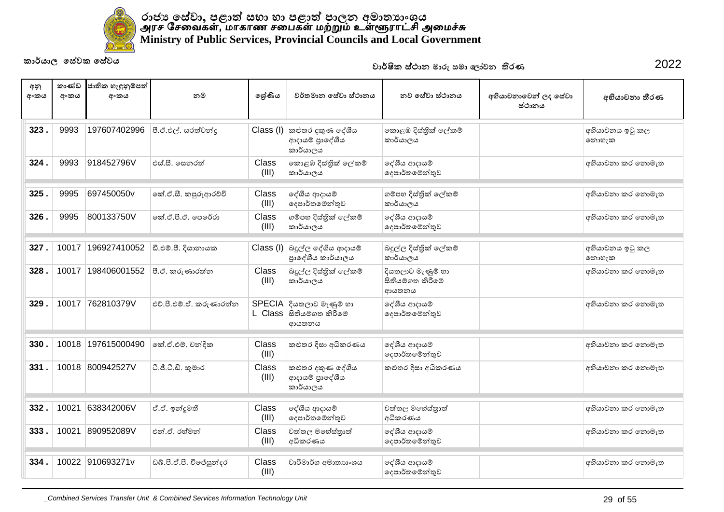

| අනු<br>අංකය | කාණ්ඩ<br>අංකය | ජාතික හැඳුනුම්පත්<br>අංකය | නම                      | ලශ්ණිය                | වර්තමාන සේවා ස්ථානය                                          | නව සේවා ස්ථානය                                 | අභියාචනාවෙන් ලද සේවා<br>ස්ථානය | අභියාචනා තීරණ            |
|-------------|---------------|---------------------------|-------------------------|-----------------------|--------------------------------------------------------------|------------------------------------------------|--------------------------------|--------------------------|
| 323.        | 9993          | 197607402996              | පී.ඒ.එල්. සරත්වන්ද      |                       | Class (I) කළුතර දකුණ දේශීය<br>ආදායම් පාදේශීය<br>කාර්යාලය     | කොළඹ දිස්තික් ලේකම්<br>කාර්යාලය                |                                | අභියාචනය ඉටු කල<br>නොහැක |
| 324.        | 9993          | 918452796V                | එස්.සී. සෙනරත්          | Class<br>(III)        | කොළඹ දිස්තික් ලේකම්<br>කාර්යාලය                              | දේශීය ආදායම්<br>දෙපාර්තමේන්තුව                 |                                | අභියාචනා කර නොමැත        |
| 325.        | 9995          | 697450050v                | කේ.ඒ.සී. කපුරුආරච්චි    | Class<br>(III)        | දේශීය ආදායම්<br>දෙපාර්තමේන්තුව                               | ගම්පහ දිස්තික් ලේකම්<br>කාර්යාලය               |                                | අභියාවනා කර නොමැත        |
| 326.        | 9995          | 800133750V                | කේ.ඒ.පී.ඒ. පෙරේරා       | Class<br>(III)        | ගම්පහ දිස්තිුක් ලේකම්<br>කාර්යාලය                            | දේශීය ආදායම්<br>දෙපාර්තමේන්තුව                 |                                | අභියාවනා කර නොමැත        |
| 327.        | 10017         | 196927410052              | ඩී.එම්.පී. දිසානායක     |                       | $Class (I)$ බදුල්ල දේශීය ආදායම්<br>පාදේශීය කාර්යාලය          | බදුල්ල දිස්තිුක් ලේකම්<br>කාර්යාලය             |                                | අභියාචනය ඉටු කල<br>නොහැක |
| 328.        | 10017         | 198406001552              | පී.ඒ. කරුණාරත්ත         | Class<br>(III)        | බදුල්ල දිස්තික් ලේකම්<br>කාර්යාලය                            | දියතලාව මැණුම් හා<br>සිතියම්ගත කිරීමේ<br>ආයතනය |                                | අභියාචනා කර නොමැත        |
| 329         |               | 10017 762810379V          | එච්.පී.එම්.ඒ. කරුණාරත්ත |                       | SPECIA දියතලාව මැණුම් හා<br>L Class සිතියමගත කිරීමේ<br>ආයතනය | දේශීය ආදායම්<br>දෙපාර්තමේන්තුව                 |                                | අභියාවනා කර නොමැත        |
| 330         | 10018         | 197615000490              | ංක්.ඒ.එම්. චන්දික       | Class<br>(III)        | කළුතර දිසා අධිකරණය                                           | දේශීය ආදායම්<br>දෙපාර්තමේන්තුව                 |                                | අභියාචනා කර නොමැත        |
| 331.        |               | 10018 800942527V          | ටී.ජී.ටී.ඩී. කුමාර      | <b>Class</b><br>(III) | කළුතර දකුණ දේශීය<br>ආදායම් පාදේශීය<br>කාර්යාලය               | කළුතර දිසා අධිකරණය                             |                                | අභියාවනා කර නොමැත        |
| 332         | 10021         | 638342006V                | ඒ.ඒ. ඉන්දුමතී           | Class<br>(III)        | දේශීය ආදායම්<br>දෙපාර්තමේන්තුව                               | වත්තල මහේස්තුාත්<br>අධිකරණය                    |                                | අභියාචනා කර නොමැත        |
| 333.        | 10021         | 890952089V                | එන්.ඒ. රහ්මන්           | Class<br>(III)        | වත්තල මහේස්තාත්<br>අධිකරණය                                   | දේශීය ආදායම්<br>දෙපාර්තමේන්තුව                 |                                | අභියාවනා කර නොමැත        |
| 334         | 10022         | 910693271v                | ඩබ්.පී.ඒ.පී. විජේසුන්දර | Class<br>(III)        | වාරිමාර්ග අමාතාහංශය                                          | දේශීය ආදායම්<br>දෙපාර්තමේන්තුව                 |                                | අභියාවනා කර නොමැත        |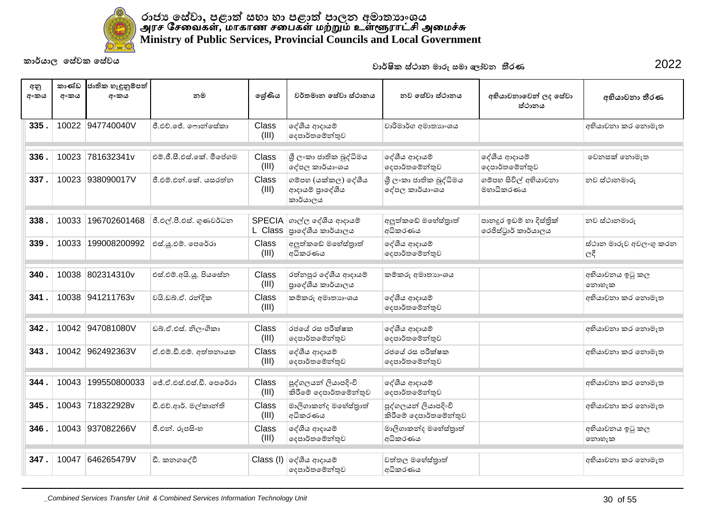

| අනු<br>අංකය | කාණ්ඩ<br>අංකය | ජාතික හැඳුනුම්පත්<br>අංකය | නම                       | ලශ්ණිය                   | වර්තමාන සේවා ස්ථානය                               | නව සේවා ස්ථානය                                | අභියාචනාවෙන් ලද සේවා<br>ස්ථානය                  | අභියාචනා තීරණ                 |
|-------------|---------------|---------------------------|--------------------------|--------------------------|---------------------------------------------------|-----------------------------------------------|-------------------------------------------------|-------------------------------|
| 335         | 10022         | 947740040V                | ජී.එච්.ජේ. ෆොන්සේකා      | Class<br>(III)           | දේශීය ආදායම්<br>දෙපාර්තමේන්තුව                    | වාරිමාර්ග අමාතාහංශය                           |                                                 | අභියාවනා කර නොමැත             |
| 336         | 10023         | 781632341v                | එම්.ජී.සී.එස්.කේ. මීපේගම | Class<br>(III)           | ශී ලංකා ජාතික බුද්ධිමය<br>දේපල කාර්යා∘ශය          | දේශීය ආදායම්<br>දෙපාර්තමේන්තුව                | දේශීය ආදායම්<br>දෙපාර්තමේන්තුව                  | වෙනසක් නොමැත                  |
| 337.        | 10023         | 938090017V                | ජී.එම්.එන්.කේ. යසරත්න    | Class<br>(III)           | ගම්පහ (යක්කල) දේශීය<br>ආදායම් පාදේශීය<br>කාර්යාලය | ශී ලංකා ජාතික බුද්ධිමය<br>දේපල කාර්යා∘ශය      | ගම්පහ සිවිල් අභියාචනා<br>මහාධිකරණය              | නව ස්ථානමාරු                  |
| 338         | 10033         | 196702601468              | ජී.එල්.පී.එස්. ගුණවර්ධන  | <b>SPECIA</b><br>L Class | ගාල්ල දේශීය ආදායම්<br> පාදේශීය කාර්යාලය           | අලුත්කඩේ මහේස්තුාත්<br>අධිකරණය                | පානදූර ඉඩම් හා දිස්තික්<br>රෙජිස්ටුාර් කාර්යාලය | නව ස්ථානමාරු                  |
| 339         | 10033         | 199008200992              | එස්.ශූ.එම්. පෙරේරා       | Class<br>(III)           | අලුත්කඩේ මහේස්තුාත්<br>අධිකරණය                    | දේශීය ආදායම්<br>දෙපාර්තමේන්තුව                |                                                 | ස්ථාන මාරුව අවලංගු කරන<br>ලදී |
| 340         | 10038         | 802314310v                | එස්.එම්.අයි.යූ. පියසේත   | Class<br>(III)           | රත්නපුර දේශීය ආදායම්<br>පාදේශීය කාර්යාලය          | කම්කරු අමාතාහංශය                              |                                                 | අභියාචනය ඉටු කල<br>නොහැක      |
| 341         | 10038         | 941211763v                | වයි.ඩබ්.ඒ. රත්දික        | Class<br>(III)           | කම්කරු අමාතාහංශය                                  | දේශීය ආදායම්<br>දෙපාර්තමේන්තුව                |                                                 | අභියාචනා කර නොමැත             |
| 342.        | 10042         | 947081080V                | ඩබ්.ඒ.එස්. නිලංගිකා      | Class<br>(III)           | රජයේ රස පරීක්ෂක<br>දෙපාර්තමේන්තුව                 | දේශීය ආදායම්<br>දෙපාර්තමේන්තුව                |                                                 | අභියාචනා කර නොමැත             |
| 343.        |               | 10042 962492363V          | ඒ.එම්.ඩී.එම්. අත්තනායක   | Class<br>(III)           | දේශීය ආදායම්<br>දෙපාර්තමේන්තුව                    | රජයේ රස පරීක්ෂක<br>දෙපාර්තමේන්තුව             |                                                 | අභියාචනා කර නොමැත             |
| 344         | 10043         | 199550800033              | ලේ.ඒ.එස්.එස්.ඩී. පෙරේරා  | Class<br>(III)           | පුද්ගලයන් ලියාපදිංචි<br>කිරීමේ දෙපාර්තමේන්තුව     | දේශීය ආදායම්<br>දෙපාර්තමේන්තුව                |                                                 | අභියාචනා කර නොමැත             |
| 345.        | 10043         | 718322928v                | ඩී.එච්.ආර්. මල්කාන්ති    | Class<br>(III)           | මාලිගාකන්ද මහේස්තුාත්<br>අධිකරණය                  | පුද්ගලයන් ලියාපදිංචි<br>කිරීමේ දෙපාර්තමේන්තුව |                                                 | අභියාචනා කර නොමැත             |
| 346.        | 10043         | 937082266V                | ජී.එන්. රූපසිංහ          | Class<br>(III)           | දේශීය ආදායම්<br>දෙපාර්තමේන්තුව                    | මාලිගාකන්ද මහේස්තුාත්<br>අධිකරණය              |                                                 | අභියාචනය ඉටු කල<br>නොහැක      |
| 347.        | 10047         | 646265479V                | ඩී. කනගදේවී              |                          | $Class (I)$ ලද්ශීය ආදායම්<br>දෙපාර්තමේන්තුව       | වත්තල මහේස්තුාත්<br>අධිකරණය                   |                                                 | අභියාවනා කර නොමැත             |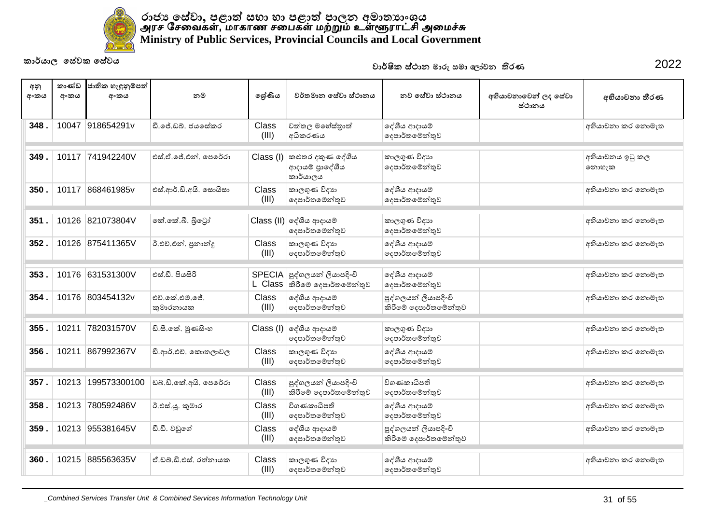

| අනු<br>අංකය | කාණ්ඩ<br>අංකය | ජාතික හැඳුනුම්පත්<br>අංකය | නම                          | ලශ්ණිය                | වර්තමාන සේවා ස්ථානය                                          | නව සේවා ස්ථානය                                | අභියාචනාවෙන් ලද සේවා<br>ස්ථානය | අභියාචනා තීරණ            |
|-------------|---------------|---------------------------|-----------------------------|-----------------------|--------------------------------------------------------------|-----------------------------------------------|--------------------------------|--------------------------|
| 348         | 10047         | 918654291v                | ඩී.ජේ.ඩබ්. ජයසේකර           | Class<br>(III)        | වත්තල මහේස්තුාත්<br>අධිකරණය                                  | දේශීය ආදායම්<br>දෙපාර්තමේන්තුව                |                                | අභියාචනා කර නොමැත        |
| 349         |               | 10117 741942240V          | එස්.ඒ.ජේ.එන්. පෙරේරා        | Class (I)             | කළුතර දකුණ දේශීය<br>ආදායම් පාදේශීය<br>කාර්යාලය               | කාලගුණ විදාහ<br>දෙපාර්තමේන්තුව                |                                | අභියාචනය ඉටු කල<br>නොහැක |
| 350         | 10117         | 868461985v                | එස්.ආර්.ඩී.අයි. සොයිසා      | Class<br>(III)        | කාලගුණ විදාහ<br>දෙපාර්තමේන්තුව                               | දේශීය ආදායම්<br>දෙපාර්තමේන්තුව                |                                | අභියාචනා කර නොමැත        |
| 351         |               | 10126 821073804V          | කේ.කේ.බී. බිටෝ              |                       | Class (II) ලද්ශීය ආදායම්<br>දෙපාර්තමේන්තුව                   | කාලගුණ විදාහ<br>දෙපාර්තමේන්තුව                |                                | අභියාචනා කර නොමැත        |
| 352         |               | 10126 875411365V          | ඊ.එච්.එන්. පුනාන්දු         | <b>Class</b><br>(III) | කාලගුණ විදාහ<br>දෙපාර්තමේන්තුව                               | දේශීය ආදායම්<br>දෙපාර්තමේන්තුව                |                                | අභියාවනා කර නොමැත        |
| 353         | 10176         | 631531300V                | එස්.ඩී. පියසිරි             |                       | SPECIA පුද්ගලයන් ලියාපදිංචි<br>L Class කිරීමේ දෙපාර්තමේන්තුව | දේශීය ආදායම්<br>දෙපාර්තමේන්තුව                |                                | අභියාචනා කර නොමැත        |
| 354         |               | 10176 803454132v          | එච්.කේ.එම්.ජේ.<br>කුමාරනායක | Class<br>(III)        | දේශීය ආදායම්<br>දෙපාර්තමෙන්තුව                               | පුද්ගලයන් ලියාපදිංචි<br>කිරීමේ දෙපාර්තමේන්තුව |                                | අභියාචනා කර නොමැත        |
| 355         | 10211         | 782031570V                | ඩි.සී.කේ. මුණසිංහ           |                       | $Class (I)$ ලද්ශීය ආදායම්<br>දෙපාර්තමේන්තුව                  | කාලගුණ විදාහ<br>දෙපාර්තමේන්තුව                |                                | අභියාචනා කර නොමැත        |
| 356         | 10211         | 867992367V                | ඩී.ආර්.එච්. කොතලාවල         | Class<br>(III)        | කාලගුණ විදාහ<br>දෙපාර්තමේන්තුව                               | දේශීය ආදායම්<br>දෙපාර්තමේන්තුව                |                                | අභියාචනා කර නොමැත        |
| 357.        | 10213         | 199573300100              | ඩබ්.ඩී.කේ.අයි. පෙරේරා       | Class<br>(III)        | පුද්ගලයන් ලියාපදිංචි<br>කිරීමේ දෙපාර්තමේන්තුව                | විගණකාධිපති<br>දෙපාර්තමේන්තුව                 |                                | අභියාචනා කර නොමැත        |
| 358         | 10213         | 780592486V                | ඊ.එස්.ශූ. කුමාර             | Class<br>(III)        | විගණකාධිපති<br>දෙපාර්තමේන්තුව                                | දේශීය ආදායම්<br>දෙපාර්තමේන්තුව                |                                | අභියාචනා කර නොමැත        |
| 359         | 10213         | 955381645V                | ඩී.ඩී. වඩුගේ                | Class<br>(III)        | දේශීය ආදායම්<br>දෙපාර්තමේන්තුව                               | පුද්ගලයන් ලියාපදිංචි<br>කිරීමේ දෙපාර්තමේන්තුව |                                | අභියාචනා කර නොමැත        |
| 360         | 10215         | 885563635V                | ් එ.ඩබ්.ඩී.එස්, රත්නායක     | Class<br>(III)        | කාලගුණ විදාහ<br>දෙපාර්තමේන්තුව                               | දේශීය ආදායම්<br>දෙපාර්තමේන්තුව                |                                | අභියාවනා කර නොමැත        |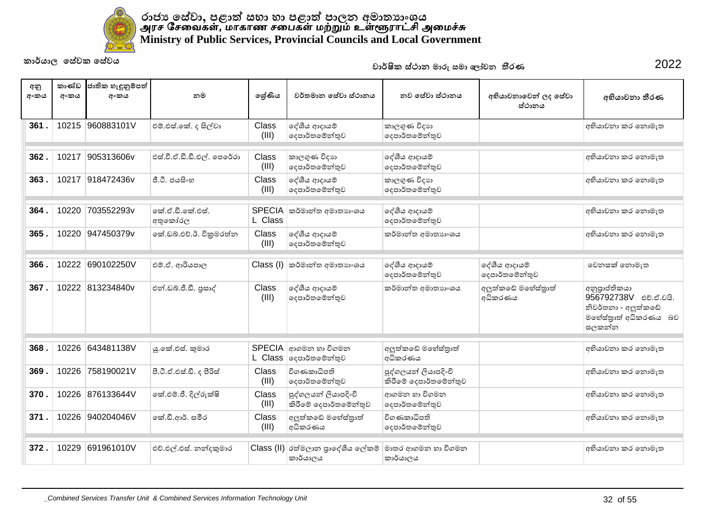

| අනු<br>අංකය | කාණ්ඩ<br>අංකය | ජාතික හැඳුනුම්පත්<br>අංකය | නම                         | ලශ්ණිය         | වර්තමාන සේවා ස්ථානය                           | නව සේවා ස්ථානය                                | අභියාචනාවෙන් ලද සේවා<br>ස්ථානය   | අභියාචනා තීරණ                                                                                   |
|-------------|---------------|---------------------------|----------------------------|----------------|-----------------------------------------------|-----------------------------------------------|----------------------------------|-------------------------------------------------------------------------------------------------|
| 361.        |               | 10215 960883101V          | එම්.එස්.කේ. ද සිල්වා       | Class<br>(III) | දේශීය ආදායම්<br>දෙපාර්තමෙන්තුව                | කාලගුණ විදාහ<br>දෙපාර්තමේන්තුව                |                                  | අභියාචනා කර නොමැත                                                                               |
| 362         | 10217         | 905313606v                | එස්.වී.ඒ.ඩී.ඩී.එල්. පෙරේරා | Class<br>(III) | කාලගුණ විදාහ<br>දෙපාර්තමේන්තුව                | දේශීය ආදායම්<br>දෙපාර්තමේන්තුව                |                                  | අභියාචනා කර නොමැත                                                                               |
| 363         |               | 10217 918472436v          | ජී.ටී. ජයසිංහ              | Class<br>(III) | දේශීය ආදායම්<br>දෙපාර්තමේන්තුව                | කාලගුණ විදාහ<br>දෙපාර්තමේන්තුව                |                                  | අභියාවනා කර නොමැත                                                                               |
| 364         | 10220         | 703552293v                | කේ.ඒ.ඩී.කේ.එස්.<br>අතුකෝරල | L Class        | SPECIA කර්මාන්ත අමාතාහංශය                     | දේශීය ආදායම්<br>දෙපාර්තමේන්තුව                |                                  | අභියාචනා කර නොමැත                                                                               |
| 365         | 10220         | 947450379v                | කේ.ඩබ්.එච්.ඊ. විකුමරත්න    | Class<br>(III) | දේශීය ආදායම්<br>දෙපාර්තමෙන්තුව                | කර්මාන්ත අමාතාහංශය                            |                                  | අභියාවනා කර නොමැත                                                                               |
| 366         | 10222         | 690102250V                | එම්.ඒ. ආරියපාල             | Class (I)      | කර්මාන්ත අමාතාහංශය                            | දේශීය ආදායම්<br>දෙපාර්තමේන්තුව                | ලද්ශීය ආදායම්<br> ලදපාර්තමේන්තුව | වෙනසක් නොමැත                                                                                    |
| 367         | 10222         | 813234840v                | එන්.ඩබ්.ජී.ඩී. පුසාද්      | Class<br>(III) | දේශීය ආදායම්<br>දෙපාර්තමේන්තුව                | කර්මාන්ත අමාතාහංශය                            | අලුත්කඩේ මහේස්තුාත්<br>අධිකරණය   | අනුපාප්තිකයා<br>956792738V එච්.ඒ.වයි.<br>නිවර්තනා - අලුත්කඩේ<br>මහේස්තුාත් අධිකරණය බව<br>සලකන්න |
| 368         | 10226         | 643481138V                | යු.කේ.එස්. කුමාර           | <b>SPECIA</b>  | ආගමන හා විගමන<br>L Class   දෙපාර්තමේන්තුව     | අලුත්කඩේ මහේස්තාත්<br>අධිකරණය                 |                                  | අභියාවනා කර නොමැත                                                                               |
| 369         | 10226         | 758190021V                | පී.ටී.ඒ.එස්.ඩී. ද පීරිස්   | Class<br>(III) | විගණකාධිපති<br>දෙපාර්තමේන්තුව                 | පුද්ගලයන් ලියාපදිංචි<br>කිරීමේ දෙපාර්තමේන්තුව |                                  | අභියාවනා කර නොමැත                                                                               |
| 370         | 10226         | 876133644V                | කේ.එම්.ජී. දිල්රුක්ෂි      | Class<br>(III) | පුද්ගලයන් ලියාපදිංචි<br>කිරීමේ දෙපාර්තමේන්තුව | ආගමන හා විගමන<br>දෙපාර්තමේන්තුව               |                                  | අභියාවනා කර නොමැත                                                                               |
| 371.        | 10226         | 940204046V                | කේ.ඩී.ආර්. සමීර            | Class<br>(III) | අලුත්කඩේ මහේස්තුාත්<br>අධිකරණය                | විගණකාධිපති<br>දෙපාර්තමේන්තුව                 |                                  | අභියාවනා කර නොමැත                                                                               |
| 372         | 10229         | 691961010V                | එච්.එල්.එස්. නන්දකුමාර     |                | Class (II) රත්මලාන පුාදේශීය ලේකම්<br>කාර්යාලය | මාතර ආගමන හා විගමන<br>කාර්යාලය                |                                  | අභියාවනා කර නොමැත                                                                               |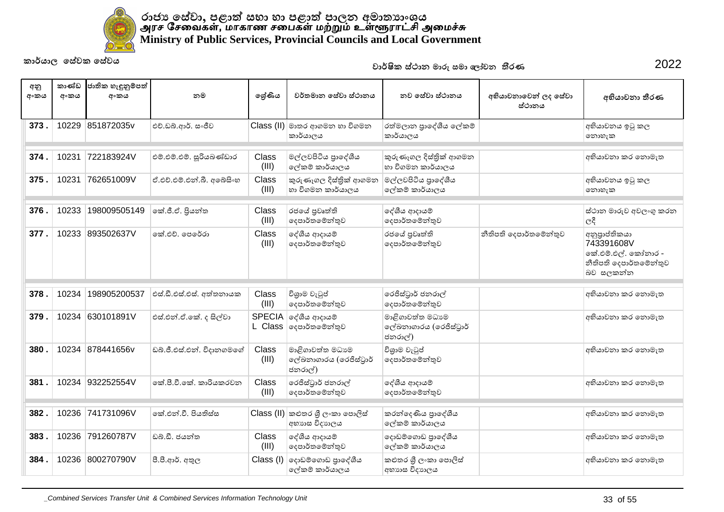

| අනු<br>අංකය | කාණ්ඩ<br>අංකය | ජාතික හැඳුනුම්පත්<br>අංකය | නම                        | ලශ්ණිය         | වර්තමාන සේවා ස්ථානය                                   | නව සේවා ස්ථානය                                        | අභියාචනාවෙන් ලද සේවා<br>ස්ථානය | අභියාචනා තීරණ                                                                            |
|-------------|---------------|---------------------------|---------------------------|----------------|-------------------------------------------------------|-------------------------------------------------------|--------------------------------|------------------------------------------------------------------------------------------|
| 373         | 10229         | 851872035v                | එච්.ඩබ්.ආර්. සංජීව        |                | Class (II) මාතර ආගමන හා විගමන<br>කාර්යාලය             | රත්මලාන පුාදේශීය ලේකම්<br>කාර්යාලය                    |                                | අභියාවනය ඉටු කල<br>නොහැක                                                                 |
| 374         | 10231         | 722183924V                | එම්.එම්.එම්. සූරියබණ්ඩාර  | Class<br>(III) | මල්ලවපිටිය පුාදේශීය<br>ලේකම් කාර්යාලය                 | කුරුණෑගල දිස්තික් ආගමන<br>හා විගමන කාර්යාලය           |                                | අභියාචනා කර නොමැත                                                                        |
| 375.        | 10231         | 762651009V                | ඒ.එච්.එම්.එන්.බී. අබේසිංහ | Class<br>(III) | කුරුණෑගල දිස්තික් ආගමන<br>හා විගමන කාර්යාලය           | මල්ලවපිටිය පාදේශීය<br>ලේකම් කාර්යාලය                  |                                | අභියාචනය ඉටු කල<br>නොහැක                                                                 |
| 376         | 10233         | 198009505149              | කේ.ජී.ඒ. පියන්ත           | Class<br>(III) | රජයේ පුවෘත්ති<br>දෙපාර්තමේන්තුව                       | දේශීය ආදායම්<br>දෙපාර්තමේන්තුව                        |                                | ස්ථාන මාරුව අවලංගු කරන<br>ලදී                                                            |
| 377.        | 10233         | 893502637V                | කේ.එච්. පෙරේරා            | Class<br>(III) | දේශීය ආදායම්<br>දෙපාර්තමේන්තුව                        | රජයේ පුවෘත්ති<br>දෙපාර්තමේන්තුව                       | නීතිපති දෙපාර්තමේන්තුව         | අනුපාප්තිකයා<br>743391608V<br>කේ.එම්.එල්. කෝතාර -<br>නීතිපති දෙපාර්තමේන්තුව<br>බව සලකන්න |
| 378         | 10234         | 198905200537              | එස්.ඩී.එස්.එස්. අත්තනායක  | Class<br>(III) | විශාම වැටුප්<br>දෙපාර්තමේන්තුව                        | රෙජිස්ටුාර් ජනරාල්<br>දෙපාර්තමේන්තුව                  |                                | අභියාචනා කර නොමැත                                                                        |
| 379         |               | 10234 630101891V          | එස්.එන්.ඒ.කේ. ද සිල්වා    |                | SPECIA   ලේශීය ආදායම්<br>L Class ලදපාර්තමේන්තුව       | මාළිගාවත්ත මධාාම<br>ලේඛනාගාරය (රෙජිස්ටුාර්<br>ජනරාල්) |                                | අභියාචනා කර නොමැත                                                                        |
| 380.        |               | 10234 878441656v          | ඩබ්.ජී.එස්.එන්. විදානගමගේ | Class<br>(III) | මාළිගාවත්ත මධාාම<br>ලේඛනාගාරය (රෙජිස්ටුාර්<br>ජනරාල්) | විශාම වැටුප්<br>දෙපාර්තමේන්තුව                        |                                | අභියාචනා කර නොමැත                                                                        |
| 381.        |               | 10234 932252554V          | කේ.පී.වී.කේ. කාරියකරවන    | Class<br>(III) | රෙජිස්ටුාර් ජනරාල්<br>දෙපාර්තමේන්තුව                  | දේශීය ආදායම්<br>දෙපාර්තමේන්තුව                        |                                | අභියාවනා කර නොමැත                                                                        |
| 382.        | 10236         | 741731096V                | ඉක්.එන්.වී. පියතිස්ස      |                | Class (II) කළුතර ශූී ලංකා පොලිස්<br>අභාහස විදාහලය     | කරන්දෙණිය පාදේශීය<br>ලේකම් කාර්යාලය                   |                                | අභියාචනා කර නොමැත                                                                        |
| 383         |               | 10236 791260787V          | ඩබ්.ඩී. ජයන්ත             | Class<br>(III) | දේශීය ආදායම්<br>දෙපාර්තමේන්තුව                        | දොඩම්ගොඩ පුාදේශීය<br>ලේකම් කාර්යාලය                   |                                | අභියාචනා කර නොමැත                                                                        |
| 384         |               | 10236 800270790V          | පී.පී.ආර්. අතුල           | Class (I)      | දොඩම්ගොඩ පුාදේශීය<br>ලේකම් කාර්යාලය                   | කළුතර ශී ලංකා පොලිස්<br>අභාහස විදාහලය                 |                                | අභියාචනා කර නොමැත                                                                        |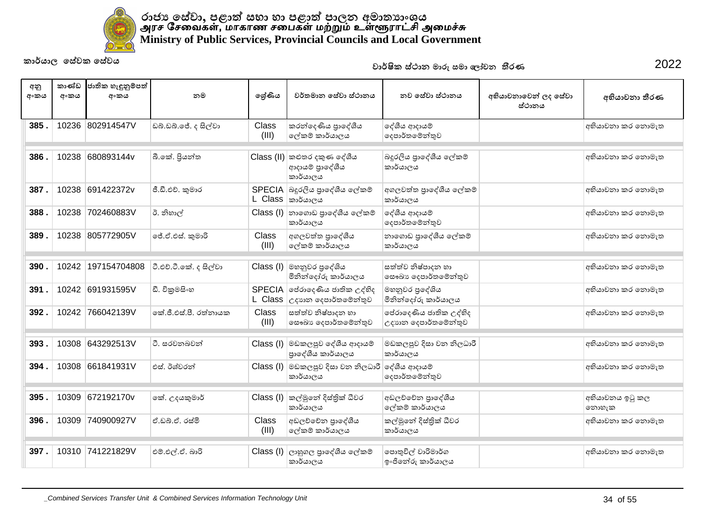

| අනු<br>අංකය | කාණ්ඩ<br>අංකය | ජාතික හැඳුනුම්පත්<br>අංකය | නම                     | ලශ්ණිය                | වර්තමාන සේවා ස්ථානය                                                   | නව සේවා ස්ථානය                                 | අභියාචනාවෙන් ලද සේවා<br>ස්ථානය | අභියාචනා තීරණ            |
|-------------|---------------|---------------------------|------------------------|-----------------------|-----------------------------------------------------------------------|------------------------------------------------|--------------------------------|--------------------------|
| 385.        |               | 10236 802914547V          | ඩබ්.ඩබ්.ජේ. ද සිල්වා   | Class<br>(III)        | කරන්දෙණිය පාදේශීය<br>ලේකම් කාර්යාලය                                   | දේශීය ආදායම්<br>දෙපාර්තමේන්තුව                 |                                | අභියාවනා කර නොමැත        |
| 386.        | 10238         | 680893144v                | බී.කේ. පියන්ත          |                       | Class (II) කළුතර දකුණ දේශීය<br>ආදායම් පාදේශීය<br>කාර්යාලය             | බදුරලිය පාදේශීය ලේකම්<br>කාර්යාලය              |                                | අභියාචනා කර නොමැත        |
| 387.        | 10238         | 691422372v                | ජී.ඩී.එච්. කුමාර       |                       | SPECIA බදුරලිය පුාදේශීය ලේකම්<br>L Class  කාර්යාලය                    | අගලවත්ත පුාදේශීය ලේකම්<br>කාර්යාලය             |                                | අභියාවනා කර නොමැත        |
| 388.        | 10238         | 702460883V                | ඊ. නිහාල්              |                       | Class (I) නාගොඩ පාලේශීය ලේකම්<br>කාර්යාලය                             | දේශීය ආදායම්<br>දෙපාර්තමේන්තුව                 |                                | අභියාචනා කර නොමැත        |
| 389.        | 10238         | 805772905V                | ජේ.ඒ.එස්. කුමාරි       | <b>Class</b><br>(III) | අගලවත්ත පාදේශීය<br>ලේකම් කාර්යාලය                                     | නාගොඩ පාදේශීය ලේකම්<br>කාර්යාලය                |                                | අභියාවනා කර නොමැත        |
| 390         | 10242         | 197154704808              | ටී.එච්.ටී.කේ. ද සිල්වා |                       | Class (I) මහනුවර පුදේශිය<br>මිනින්දෝරු කාර්යාලය                       | සත්ත්ව නිෂ්පාදන හා<br>සෞඛා දෙපාර්තමේන්තුව      |                                | අභියාචනා කර නොමැත        |
| 391.        |               | 10242 691931595V          | ඩී. විකුමසිංහ          |                       | SPECIA   ජෙරාදෙණිය ජාතික උද්භිද<br>$L$ Class $ c$ දාහන දෙපාර්තමේන්තුව | මහනුවර පුදේශිය<br>මිනින්දෝරු කාර්යාලය          |                                | අභියාවනා කර නොමැත        |
| 392.        |               | 10242 766042139V          | කේ.ජී.එස්.පී. රත්නායක  | Class<br>(III)        | සත්ත්ව නිෂ්පාදන හා<br>සෞඛා දෙපාර්තමේන්තුව                             | පේරාදෙණිය ජාතික උද්භිද<br>උදාහන දෙපාර්තමේන්තුව |                                | අභියාචනා කර නොමැත        |
| 393         | 10308         | 643292513V                | ථි, සරවනබවත්           |                       | Class (I) මඩකලපුව දේශීය ආදායම්<br>පාදේශීය කාර්යාලය                    | මඩකලපුව දිසා වන නිලධාරී<br>කාර්යාලය            |                                | අභියාචනා කර නොමැත        |
| 394         |               | 10308 661841931V          | එස් ඊශ්වරත්            |                       | Class (I) මඩකලපුව දිසා වන නිලධාරී දේශීය ආදායම්<br>කාර්යාලය            | දෙපාර්තමේන්තුව                                 |                                | අභියාචනා කර නොමැත        |
| 395         | 10309         | 672192170v                | කේ. උදයකුමාර්          |                       | $Class (I)$ කල්මුනේ දිස්තිුක් ධීවර<br>කාර්යාලය                        | අඩලච්චේන පාදේශීය<br>ලේකම් කාර්යාලය             |                                | අභියාවනය ඉටු කල<br>නොහැක |
| 396.        | 10309         | 740900927V                | ඒ ඩබු ඒ, රස්මි         | <b>Class</b><br>(III) | අඩලව්වේන පුාදේශීය<br>ලේකම් කාර්යාලය                                   | කල්මුනේ දිස්තික් ධීවර<br>කාර්යාලය              |                                | අභියාචනා කර නොමැත        |
| 397.        | 10310         | 741221829V                | එම්.එල්.ඒ. බාරි        |                       | $Class (I)$ ලාහුගල පුාදේශීය ලේකම්<br>කාර්යාලය                         | පොතුවිල් වාරිමාර්ග<br>ෞජිතේරු කාර්යාලය         |                                | අභියාචනා කර නොමැත        |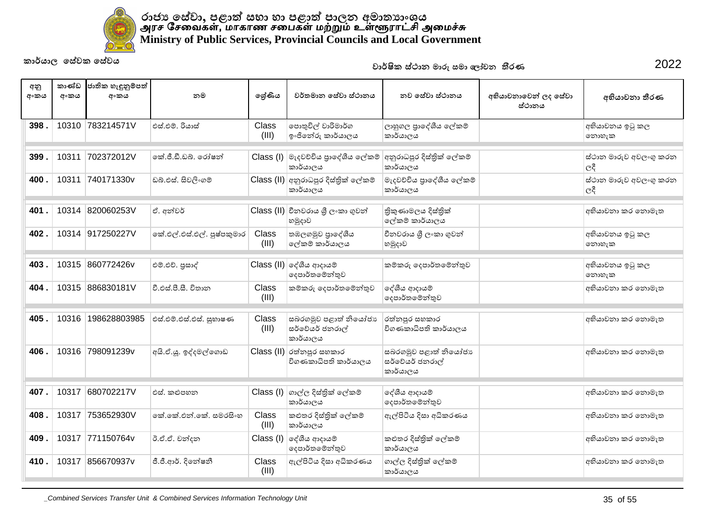

| අනු<br>අංකය | කාණ්ඩ<br>අංකය | ජාතික හැඳුනුම්පත්<br>අංකය | නම                         | ලශ්ණිය                | වර්තමාන සේවා ස්ථානය                                 | නව සේවා ස්ථානය                                      | අභියාචනාවෙන් ලද සේවා<br>ස්ථානය | අභියාචනා තීරණ                 |
|-------------|---------------|---------------------------|----------------------------|-----------------------|-----------------------------------------------------|-----------------------------------------------------|--------------------------------|-------------------------------|
| 398         | 10310         | 783214571V                | එස්.එම්. රියාස්            | Class<br>(III)        | පොතුවිල් වාරිමාර්ග<br>ඉංජිනේරු කාර්යාලය             | ලාහුගල පුාදේශීය ලේකම්<br>කාර්යාලය                   |                                | අභියාචනය ඉටු කල<br>නොහැක      |
| 399         |               | 10311 702372012V          | කේ.ජී.ඩී.ඩබ්. රෝෂන්        |                       | Class (I) මැදවච්චිය පුාදේශීය ලේකම්<br>කාර්යාලය      | අනුරාධපුර දිස්තික් ලේකම්<br>කාර්යාලය                |                                | ස්ථාන මාරුව අවලංගු කරන<br>ලදී |
| 400         |               | 10311 740171330v          | ඩබ්.එස්. සිවලිංගම්         |                       | Class (II) අනුරාධපුර දිස්තික් ලේකම්<br>කාර්යාලය     | මැදවච්චිය පුාදේශීය ලේකම්<br>කාර්යාලය                |                                | ස්ථාන මාරුව අවලංගු කරන<br>ලදී |
| 401         | 10314         | 820060253V                | ඒ. අන්වර්                  |                       | Class (II) චීනවරාය ශූී ලංකා ගුවන්<br>හමුදාව         | තිකුණාමලය දිස්තික්<br>ලේකම් කාර්යාලය                |                                | අභියාවනා කර නොමැත             |
| 402.        |               | 10314 917250227V          | කේ.එල්.එස්.එල්. පුෂ්පකුමාර | Class<br>(III)        | තඹලගමුව පාදේශීය<br>ලේකම් කාර්යාලය                   | චීනවරාය ශූී ලංකා ගුවන්<br>හමුදාව                    |                                | අභියාචනය ඉටු කල<br>නොහැක      |
| 403.        |               | 10315 860772426v          | එම්.එච්. පුසාද්            |                       | Class (II) ලද්ශීය ආදායම්<br>දෙපාර්තමේන්තුව          | කම්කරු දෙපාර්තමේන්තුව                               |                                | අභියාචනය ඉටු කල<br>නොහැක      |
| 404         |               | 10315 886830181V          | වී.එස්.පී.සී. විතාන        | Class<br>(III)        | කම්කරු දෙපාර්තමේන්තුව                               | දේශීය ආදායම්<br>දෙපාර්තමේන්තුව                      |                                | අභියාචනා කර නොමැත             |
| 405         | 10316         | 198628803985              | එස්.එම්.එස්.එස්. සුහාෂණ    | Class<br>(III)        | සබරගමුව පළාත් නියෝජා<br>සර්වේයර් ජනරාල්<br>කාර්යාලය | රත්නපුර සහකාර<br>විගණකාධිපති කාර්යාලය               |                                | අභියාවනා කර නොමැත             |
| 406.        |               | 10316 798091239v          | අයි.ඒ.යූ. ඉද්දමල්ගොඩ       |                       | Class (II) රත්නපුර සහකාර<br>විගණකාධිපති කාර්යාලය    | සබරගමුව පළාත් නියෝජා<br>සර්වේයර් ජනරාල්<br>කාර්යාලය |                                | අභියාචනා කර නොමැත             |
| 407.        | 10317         | 680702217V                | එස්, කළුපහන                |                       | Class (I) ගාල්ල දිස්තික් ලේකම්<br>කාර්යාලය          | දේශීය ආදායම්<br>දෙපාර්තමේන්තුව                      |                                | අභියාවනා කර නොමැත             |
| 408.        |               | 10317 753652930V          | කේ.කේ.එන්.කේ. සමරසිංහ      | <b>Class</b><br>(III) | කළුතර දිස්තික් ලේකම්<br>කාර්යාලය                    | ඇල්පිටිය දිසා අධිකරණය                               |                                | අභියාවනා කර නොමැත             |
| 409.        |               | 10317 771150764v          | ඊ.ඒ.ඒ. චන්දන               | Class (I)             | ලද්ශීය ආදායම්<br>දෙපාර්තමේන්තුව                     | කළුතර දිස්තික් ලේකම්<br>කාර්යාලය                    |                                | අභියාචනා කර නොමැත             |
| 410.        |               | 10317 856670937v          | ජී.ජී.ආර්. දිනේෂනී         | Class<br>(III)        | ඇල්පිටිය දිසා අධිකරණය                               | ගාල්ල දිස්තික් ලේකම්<br>කාර්යාලය                    |                                | අභියාවනා කර නොමැත             |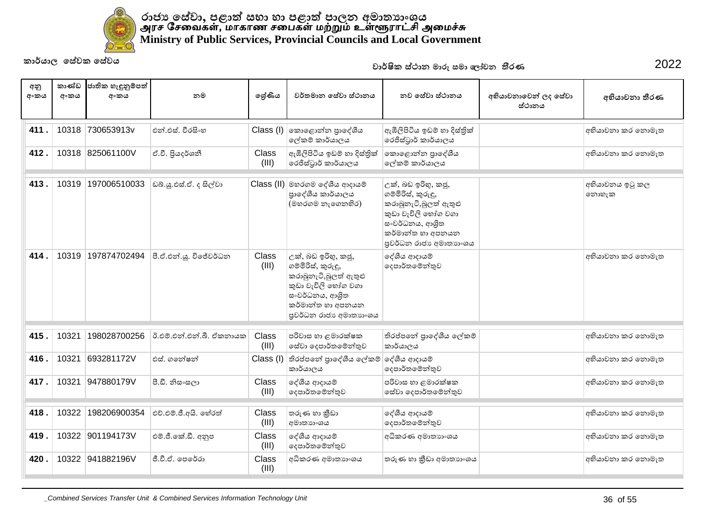

| අනු<br>අංකය | කාණ්ඩ<br>අංකය | ජාතික හැඳුනුම්පත්<br>අංකය | නම                       | ලේණිය                 | වර්තමාන සේවා ස්ථානය                                                                                                                                        | නව සේවා ස්ථානය                                                                                                                                              | අභියාචනාවෙන් ලද සේවා<br>ස්ථානය | අභියාචනා තීරණ            |
|-------------|---------------|---------------------------|--------------------------|-----------------------|------------------------------------------------------------------------------------------------------------------------------------------------------------|-------------------------------------------------------------------------------------------------------------------------------------------------------------|--------------------------------|--------------------------|
| 411.        |               | 10318 730653913v          | එන්.එස්. වීරසිංහ         |                       | Class (I) කොළොන්න පුාදේශීය<br>ලේකම් කාර්යාලය                                                                                                               | ඇඹිලිපිටිය ඉඩම් හා දිස්තිුක්<br>රෙජිස්ටුාර් කාර්යාලය                                                                                                        |                                | අභියාචනා කර නොමැත        |
| 412.        |               | 10318 825061100V          | ඒ.වී. පියදර්ශනී          | Class<br>(III)        | ඇඹිලිපිටිය ඉඩම් හා දිස්තිුක්<br>රෙජිස්ටුාර් කාර්යාලය                                                                                                       | කොළොන්න පුාදේශීය<br>ලේකම් කාර්යාලය                                                                                                                          |                                | අභියාචනා කර නොමැත        |
| 413.        | 10319         | 197006510033              | ඩබ්.ශූ.එස්.ඒ. ද සිල්වා   |                       | Class (II) මහරගම දේශීය ආදායම්<br>පාදේශීය කාර්යාලය<br>(මහරගම නැගෙනහිර)                                                                                      | උක්, බඩ ඉරිහු, කජූ,<br>ගම්මිරිස්, කුරුඳු,<br>කරාබුනැටි,බුලත් ඇතුළු<br>කුඩා වැවිලි හෝග වගා<br>සංවර්ධනය, ආශිුත<br>කර්මාන්ත හා අපනයන<br>පුවර්ධන රාජා අමාතාහංශය |                                | අභියාචනය ඉටු කල<br>නොහැක |
| 414.        |               | 10319 197874702494        | පී.ඒ.එන්.යූ. විජේවර්ධන   | Class<br>(III)        | උක්, බඩ ඉරිහු, කජූ,<br>ගම්මිරිස්, කුරුඳු,<br>කරාබුනැටි,බුලත් ඇතුළු<br>කුඩා වැවිලි හෝග වගා<br>සංවර්ධනය, ආශිත<br>කර්මාන්ත හා අපනයන<br>පුවර්ධන රාජා අමාතාහංශය | දේශීය ආදායම්<br>දෙපාර්තමේන්තුව                                                                                                                              |                                | අභියාචනා කර නොමැත        |
| 415         | 10321         | 198028700256              | ඊ.එම්.එන්.එන්.බී. ඒකනායක | Class<br>(III)        | පරිවාස හා ළමාරක්ෂක<br>සේවා දෙපාර්තමේන්තුව                                                                                                                  | තිරප්පතේ පාදේශීය ලේකම්<br>කාර්යාලය                                                                                                                          |                                | අභියාචනා කර නොමැත        |
| 416.        | 10321         | 693281172V                | එස්, ගතේෂන්              | Class (I)             | තිරප්පතේ පාදේශීය ලේකම්<br>කාර්යාලය                                                                                                                         | ලද්ශීය ආදායම්<br>දෙපාර්තමේන්තුව                                                                                                                             |                                | අභියාචනා කර නොමැත        |
| 417.        |               | 10321 947880179V          | පී.ඩී. නිසංසලා           | Class<br>(III)        | දේශීය ආදායම්<br>දෙපාර්තමේන්තුව                                                                                                                             | පරිවාස හා ළමාරක්ෂක<br>සේවා දෙපාර්තමේන්තුව                                                                                                                   |                                | අභියාචනා කර නොමැත        |
| 418.        | 10322         | 198206900354              | එච්.එම්.ජී.අයි. හේරත්    | <b>Class</b><br>(III) | තරුණ හා කීඩා<br>අමාතාහංශය                                                                                                                                  | දේශීය ආදායම්<br>දෙපාර්තමේන්තුව                                                                                                                              |                                | අභියාචනා කර නොමැත        |
| 419         |               | 10322 901194173V          | එම්.ජී.කේ.ඩී. අනුප       | Class<br>(III)        | දේශීය ආදායම්<br>දෙපාර්තමේන්තුව                                                                                                                             | අධිකරණ අමාතාහංශය                                                                                                                                            |                                | අභියාචනා කර නොමැත        |
| 420         |               | 10322 941882196V          | ජී.වී.ඒ. පෙරේරා          | Class<br>(III)        | අධිකරණ අමාතාහංශය                                                                                                                                           | තරුණ හා කීඩා අමාතාහංශය                                                                                                                                      |                                | අභියාචනා කර නොමැත        |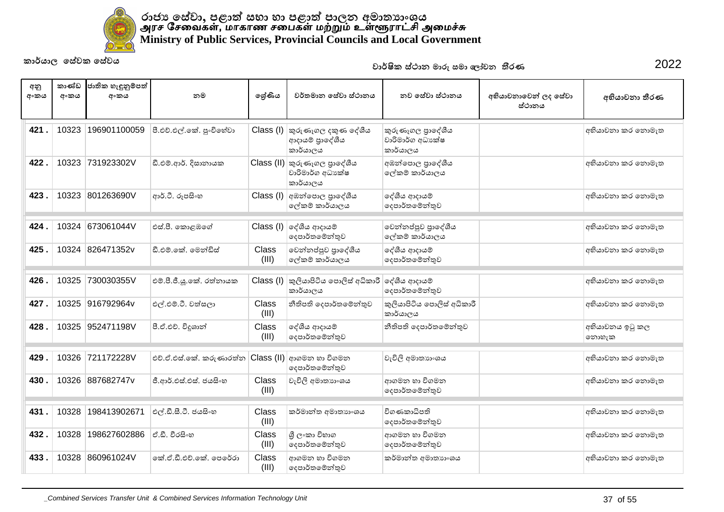

| අනු<br>අංකය | කාණ්ඩ<br>අංකය | ජාතික හැඳුනුම්පත්<br>අංකය | නම                       | ලේණිය          | වර්තමාන සේවා ස්ථානය                                           | නව සේවා ස්ථානය                                     | අභියාවනාවෙන් ලද සේවා<br>ස්ථානය | අභියාචනා තීරණ            |
|-------------|---------------|---------------------------|--------------------------|----------------|---------------------------------------------------------------|----------------------------------------------------|--------------------------------|--------------------------|
| 421.        | 10323         | 196901100059              | පී.එච්.එල්.කේ. පුංචිගේවා | Class (I)      | කුරුණෑගල දකුණ දේශීය<br>ආදායම් පාදේශීය<br>කාර්යාලය             | කුරුණෑගල පුාදේශීය<br>වාරිමාර්ග අධා¤ක්ෂ<br>කාර්යාලය |                                | අභියාචනා කර නොමැත        |
| 422.        |               | 10323 731923302V          | ඩී.එම්.ආර්. දිසානායක     |                | Class (II) කුරුණෑගල පුාදේශීය<br>වාරිමාර්ග අධාගක්ෂ<br>කාර්යාලය | අඹන්පොල පුාදේශීය<br>ලේකම් කාර්යාලය                 |                                | අභියාචනා කර නොමැත        |
| 423.        |               | 10323 801263690V          | ආර්.ටී. රූපසිංහ          |                | $Class (I)$ අඹන්පොල පුාදේශීය<br>ලේකම් කාර්යාලය                | දේශීය ආදායම්<br>දෙපාර්තමේන්තුව                     |                                | අභියාචනා කර නොමැත        |
| 424.        | 10324         | 673061044V                | එස්.පී. කොළඹගේ           |                | Class (I) ලද්ශීය ආදායම්<br>දෙපාර්තමේන්තුව                     | වෙන්නප්පුව පුාදේශීය<br>ලේකම් කාර්යාලය              |                                | අභියාචනා කර නොමැත        |
| 425         | 10324         | 826471352v                | ඩී.එම්.කේ. මෙන්ඩිස්      | Class<br>(III) | වෙන්නප්පුව පුාදේශීය<br>ලේකම් කාර්යාලය                         | දේශීය ආදායම්<br>දෙපාර්තමේන්තුව                     |                                | අභියාචනා කර නොමැත        |
| 426.        | 10325         | 730030355V                | එම්.පී.ජී.යූ.කේ. රත්නායක | Class (I)      | කුලියාපිටිය පොලිස් අධිකාරී<br>කාර්යාලය                        | ලද්ශීය ආදායම්<br>දෙපාර්තමේන්තුව                    |                                | අභියාචනා කර නොමැත        |
| 427.        | 10325         | 916792964v                | එල්.එම්.ටී. වත්සලා       | Class<br>(III) | නීතිපති දෙපාර්තමේන්තුව                                        | කුලියාපිටිය පොලිස් අධිකාරී<br>කාර්යාලය             |                                | අභියාචනා කර නොමැත        |
| 428         | 10325         | 952471198V                | පී.ඒ.එච්. විදුශාන්       | Class<br>(III) | දේශීය ආදායම්<br> ලදපාර්තමේන්තුව                               | නීතිපති දෙපාර්තමේන්තුව                             |                                | අභියාචනය ඉටු කල<br>නොහැක |
| 429.        | 10326         | 721172228V                | එච්.ඒ.එස්.කේ. කරුණාරත්ත  |                | Class (II) ආගමන හා විගමන<br>දෙපාර්තමේන්තුව                    | වැවිලි අමාතාහංශය                                   |                                | අභියාචනා කර නොමැත        |
| 430.        | 10326         | 887682747v                | ජී.ආර්.එස්.එස්. ජයසිංහ   | Class<br>(III) | වැවිලි අමාතාහංශය                                              | ආගමන හා විගමන<br>දෙපාර්තමේන්තුව                    |                                | අභියාචනා කර නොමැත        |
| 431.        | 10328         | 198413902671              | එල්.ඩී.සී.ටී. ජයසිංහ     | Class<br>(III) | කර්මාන්ත අමාතාහංශය                                            | විගණකාධිපති<br>දෙපාර්තමේන්තුව                      |                                | අභියාචනා කර නොමැත        |
| 432.        | 10328         | 198627602886              | ඒ.ඩී. වීරසිංහ            | Class<br>(III) | ශී ලංකා විහාග<br>දෙපාර්තමේන්තුව                               | ආගමන හා විගමන<br>දෙපාර්තමේන්තුව                    |                                | අභියාචනා කර නොමැත        |
| 433.        | 10328         | 860961024V                | කේ.ඒ.ඩී.එච්.කේ. පෙරේරා   | Class<br>(III) | ආගමන හා විගමන<br>දෙපාර්තමේන්තුව                               | කර්මාන්ත අමාතාහංශය                                 |                                | අභියාවනා කර නොමැත        |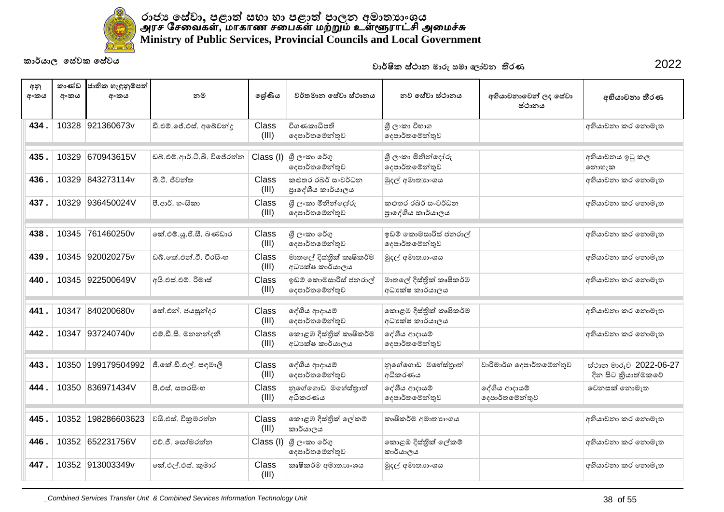

| අනු<br>අංකය | කාණ්ඩ<br>අංකය | ජාතික හැඳුනුම්පත්<br>අංකය | නම                          | ලශ්ණිය         | වර්තමාන සේවා ස්ථානය                           | නව සේවා ස්ථානය                              | අභියාචනාවෙන් ලද සේවා<br>ස්ථානය | අභියාචනා තීරණ                                |
|-------------|---------------|---------------------------|-----------------------------|----------------|-----------------------------------------------|---------------------------------------------|--------------------------------|----------------------------------------------|
| 434         | 10328         | 921360673v                | ඩී.එම්.ජේ.එස්. අබේවන්ද      | Class<br>(III) | විගණකාධිපති<br>දෙපාර්තමේන්තුව                 | ශී ලංකා විහාග<br>දෙපාර්තමේන්තුව             |                                | අභියාවනා කර නොමැත                            |
| 435         | 10329         | 670943615V                | ඩබ්.එම්.ආර්.ටී.බී. විජේරත්න |                | Class (I) $\beta$ ලංකා රේගු<br>දෙපාර්තමේන්තුව | ශී ලංකා මිනින්දෝරු<br>දෙපාර්තමේන්තුව        |                                | අභියාවනය ඉටු කල<br>නොහැක                     |
| 436         | 10329         | 843273114v                | බී.ටී. ජීවත්ත               | Class<br>(III) | කුළුතර රබර් සංවර්ධන<br>පාදේශීය කාර්යාලය       | මුදල් අමාතාගංශය                             |                                | අභියාවනා කර නොමැත                            |
| 437.        | 10329         | 936450024V                | පී.ආර්. හංසිකා              | Class<br>(III) | ශී ලංකා මිනින්දෝරු<br>දෙපාර්තමේන්තුව          | කුළුතර රබර් සංවර්ධන<br>පාදේශීය කාර්යාලය     |                                | අභියාවනා කර නොමැත                            |
| 438.        | 10345         | 761460250v                | කේ.එම්.යූ.ජී.සී. බණ්ඩාර     | Class<br>(III) | ශී ලංකා රේගු<br>දෙපාර්තමේන්තුව                | ඉඩම් කොමසාරිස් ජනරාල්<br>දෙපාර්තමේන්තුව     |                                | අභියාවනා කර නොමැත                            |
| 439         | 10345         | 920020275v                | ඩබ්.කේ.එන්.ටී. වීරසිංහ      | Class<br>(III) | මාතලේ දිස්තික් කෘෂිකර්ම<br>අධා ක්ෂ කාර්යාලය   | මුදල් අමාතාගංශය                             |                                | අභියාවනා කර නොමැත                            |
| 440.        | 10345         | 922500649V                | අයි.එස්.එම්. රිමාස්         | Class<br>(III) | ඉඩම් කොමසාරිස් ජනරාල්<br>දෙපාර්තමේන්තුව       | මාතලේ දිස්තික් කෘෂිකර්ම<br>අධා ක්ෂ කාර්යාලය |                                | අභියාචනා කර නොමැත                            |
| 441         | 10347         | 840200680v                | කේ.එන්. ජයසුන්දර            | Class<br>(III) | දේශීය ආදායම්<br>දෙපාර්තමේන්තුව                | කොළඹ දිස්තික් කෘෂිකර්ම<br>අධා ක්ෂ කාර්යාලය  |                                | අභියාවනා කර නොමැත                            |
| 442.        | 10347         | 937240740v                | එම්.ඩී.සී. මනනන්දනී         | Class<br>(III) | කොළඹ දිස්තික් කෘෂිකර්ම<br>අධාකේෂ කාර්යාලය     | දේශීය ආදායම්<br>දෙපාර්තමේන්තුව              |                                | අභියාචනා කර නොමැත                            |
| 443.        | 10350         | 199179504992              | ජී.කේ.ඩී.එල්. සඳමාලි        | Class<br>(III) | දේශීය ආදායම්<br>දෙපාර්තමේන්තුව                | නුගේගොඩ මහේස්තුාත්<br>අධිකරණය               | වාරිමාර්ග දෙපාර්තමේන්තුව       | ස්ථාන මාරුව 2022-06-27<br>දින සිට කියාත්මකවේ |
| 444         | 10350         | 836971434V                | පී.එස්. සතරසිංහ             | Class<br>(III) | නුගේගොඩ මහේස්තුාත්<br>අධිකරණය                 | දේශීය ආදායම්<br>දෙපාර්තමේන්තුව              | දේශීය ආදායම්<br>දෙපාර්තමේන්තුව | වෙනසක් නොමැත                                 |
| 445.        | 10352         | 198286603623              | වයි.එස්. විකුමරත්න          | Class<br>(III) | කොළඹ දිස්තික් ලේකම්<br>කාර්යාලය               | කෘෂිකර්ම අමාතාහංශය                          |                                | අභියාවනා කර නොමැත                            |
| 446         |               | 10352 652231756V          | එච්.ජී. සෝමරත්ත             | Class (I)      | ු ලි∘කා රේගු<br>දෙපාර්තමේන්තුව                | කොළඹ දිස්තික් ලේකම්<br>කාර්යාලය             |                                | අභියාචනා කර නොමැත                            |
| 447.        |               | 10352 913003349v          | කේ.එල්.එස්. කුමාර           | Class<br>(III) | කෘෂිකර්ම අමාතාහංශය                            | මුදල් අමාතාහංශය                             |                                | අභියාචනා කර නොමැත                            |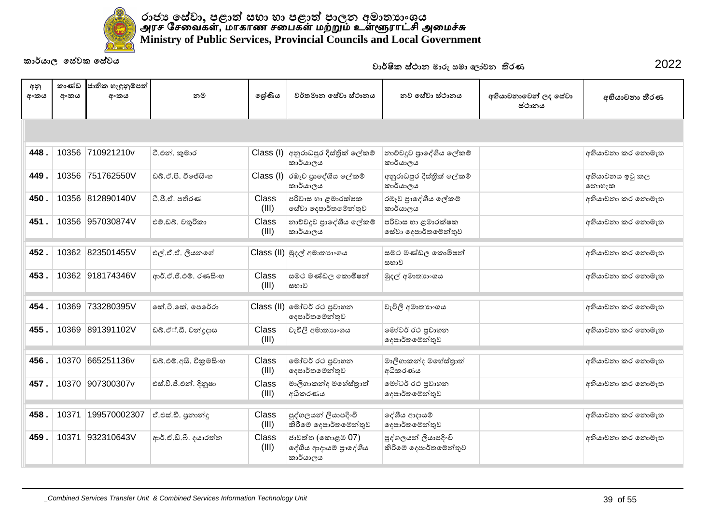

|             |               | කාර්යාල සේවක සේවය         |                        |                       |                                                      | වාර්ෂික ස්ථාන මාරු සමා ලෝචන තීරණ              |                                | 2022                     |
|-------------|---------------|---------------------------|------------------------|-----------------------|------------------------------------------------------|-----------------------------------------------|--------------------------------|--------------------------|
| අනු<br>අංකය | කාණ්ඩ<br>අංකය | ජාතික හැඳුනුම්පත්<br>අංකය | නම                     | ලශ්ණිය                | වර්තමාන සේවා ස්ථානය                                  | නව සේවා ස්ථානය                                | අභියාචනාවෙන් ලද සේවා<br>ස්ථානය | අභියාචනා තීරණ            |
|             |               |                           |                        |                       |                                                      |                                               |                                |                          |
| 448.        |               | 10356 710921210v          | ටී.එන්. කුමාර          |                       | Class (I) අනුරාධපුර දිස්තික් ලේකම්<br>කාර්යාලය       | නාව්වදුව පාදේශීය ලේකම්<br>කාර්යාලය            |                                | අභියාවනා කර නොමැත        |
| 449.        |               | 10356 751762550V          | ඩබ්.ඒ.පී. විජේසිංහ     |                       | Class (I) රඹෑව පාදේශීය ලේකම්<br>කාර්යාලය             | අනුරාධපුර දිස්තික් ලේකම්<br>කාර්යාලය          |                                | අභියාචනය ඉටු කල<br>නොහැක |
| 450.        |               | 10356 812890140V          | ටී.පී.ඒ, පතිරණ         | <b>Class</b><br>(III) | පරිවාස හා ළමාරක්ෂක<br>සේවා දෙපාර්තමේන්තුව            | රඹෑව පාදේශීය ලේකම්<br>කාර්යාලය                |                                | අභියාචනා කර නොමැත        |
| 451.        |               | 10356 957030874V          | එම්.ඩබ්. චතුරිකා       | Class<br>(III)        | නාව්වදුව පුාදේශීය ලේකම්<br>කාර්යාලය                  | පරිවාස හා ළමාරක්ෂක<br>සේවා දෙපාර්තමේන්තුව     |                                | අභියාචනා කර නොමැත        |
| 452.        |               | 10362 823501455V          | එල්.ඒ.ඒ. ලියනගේ        |                       | Class (II) මුදල් අමාතාහංශය                           | සමථ මණ්ඩල කොමිෂන්<br>සභාව                     |                                | අභියාවනා කර නොමැත        |
| 453.        |               | 10362 918174346V          | ආර්.ඒ.ජී.එම්. රණසිංහ   | Class<br>(III)        | සමථ මණ්ඩල කොමිෂන්<br>සභාව                            | මුදල් අමාතාගංශය                               |                                | අභියාචනා කර නොමැත        |
| 454.        | 10369         | 733280395V                | කේ.ටී.කේ. පෙරේරා       |                       | Class (II) මෝටර් රථ පුවාහන<br>දෙපාර්තමේන්තුව         | වැවිලි අමාතාහංශය                              |                                | අභියාවනා කර නොමැත        |
| 455.        | 10369         | 891391102V                | ඩබ්.ඒ්.ඩී. චන්දුදාස    | Class<br>(III)        | වැවිලි අමාතාගංශය                                     | මෝටර් රථ පුවාහන<br>දෙපාර්තමේන්තුව             |                                | අභියාචනා කර නොමැත        |
| 456.        | 10370         | 665251136v                | ඩබ්.එම්.අයි. විකුමසිංහ | <b>Class</b><br>(III) | මෝටර් රථ පුවාහන<br>දෙපාර්තමේන්තුව                    | මාලිගාකන්ද මහේස්තුාත්<br>අධිකරණය              |                                | අභියාචනා කර නොමැත        |
| 457.        | 10370         | 907300307v                | එස්.වී.ජී.එන්. දිනුෂා  | Class<br>(III)        | මාලිගාකන්ද මහේස්තුාත්<br>අධිකරණය                     | මෝටර් රථ පුවාහන<br>දෙපාර්තමේන්තුව             |                                | අභියාචනා කර නොමැත        |
| 458.        | 10371         | 199570002307              | ඒ.එස්.ඩී. පුනාන්දු     | <b>Class</b><br>(III) | පුද්ගලයන් ලියාපදිංචි<br>කිරීමේ දෙපාර්තමේන්තුව        | දේශීය ආදායම්<br>දෙපාර්තමේන්තුව                |                                | අභියාවනා කර නොමැත        |
| 459.        | 10371         | 932310643V                | ආර්.ඒ.ඩී.බී. දයාරත්ත   | Class<br>(III)        | ජාවත්ත (කොළඹ 07)<br>දේශීය ආදායම් පාදේශීය<br>කාර්යාලය | පුද්ගලයන් ලියාපදිංචි<br>කිරීමේ දෙපාර්තමේන්තුව |                                | අභියාචනා කර නොමැත        |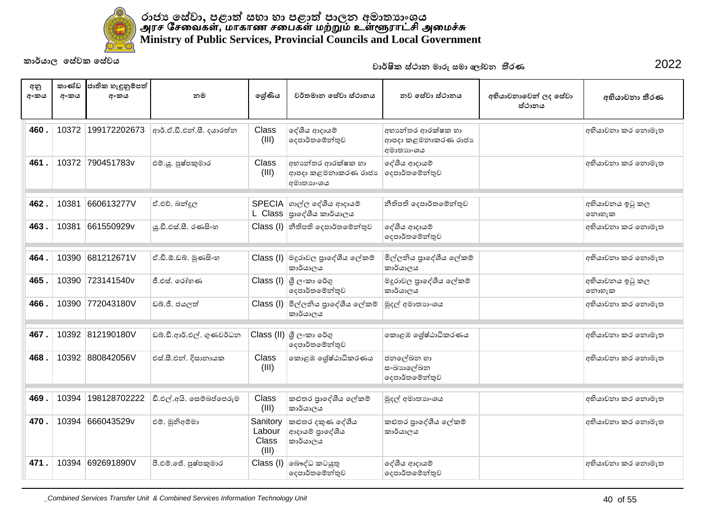

| අනු<br>අංකය | කාණ්ඩ<br>අංකය | ජාතික හැඳුනුම්පත්<br>අංකය | නම                       | ලශ්ණිය                                      | වර්තමාන සේවා ස්ථානය                                   | නව සේවා ස්ථානය                                       | අභියාචනාවෙන් ලද සේවා<br>ස්ථානය | අභියාචනා තීරණ            |
|-------------|---------------|---------------------------|--------------------------|---------------------------------------------|-------------------------------------------------------|------------------------------------------------------|--------------------------------|--------------------------|
| 460.        | 10372         | 199172202673              | ආර්.ඒ.ඩී.එන්.සී. දයාරත්න | Class<br>(III)                              | දේශීය ආදායම්<br>දෙපාර්තමේන්තුව                        | අභාන්තර ආරක්ෂක හා<br>ආපදා කළමනාකරණ රාජා<br>අමාතාගංශය |                                | අභියාචනා කර නොමැත        |
| 461.        |               | 10372 790451783v          | එම්.ශූ. පුෂ්පකුමාර       | Class<br>(III)                              | අභාන්තර ආරක්ෂක හා<br>ආපදා කළමනාකරණ රාජා<br>අමාතාගංශය  | දේශීය ආදායම්<br>දෙපාර්තමේන්තුව                       |                                | අභියාචනා කර නොමැත        |
| 462         | 10381         | 660613277V                | ඒ.එච්. බන්දුල            |                                             | SPECIA ගාල්ල දේශීය ආදායම්<br>L Class පාලේශීය කාර්යාලය | නීතිපති දෙපාර්තමේන්තුව                               |                                | අභියාචනය ඉටු කල<br>නොහැක |
| 463         | 10381         | 661550929v                | ශු.ඩී.එස්.සී. රණසිංහ     |                                             | Class (I) නීතිපති දෙපාර්තමේන්තුව                      | දේශීය ආදායම්<br>දෙපාර්තමේන්තුව                       |                                | අභියාවනා කර නොමැත        |
| 464         | 10390         | 681212671V                | ඒ.ඩී.ඕ.ඩබ්. මුණසිංහ      |                                             | Class (I) මදුරාවල පුාදේශීය ලේකම්<br>කාර්යාලය          | මිල්ලනිය පුාදේශීය ලේකම්<br>කාර්යාලය                  |                                | අභියාවනා කර නොමැත        |
| 465.        | 10390         | 723141540v                | ජී.එස්. රෝහණ             |                                             | Class (I) ශූ ලංකා රේගු<br>දෙපාර්තමේන්තුව              | මදුරාවල පුාදේශීය ලේකම්<br>කාර්යාලය                   |                                | අභියාචනය ඉටු කල<br>නොහැක |
| 466         |               | 10390 772043180V          | ඩබ්.ජී. ජයලත්            |                                             | Class (I) මිල්ලනිය පාදේශීය ලේකම්<br>කාර්යාලය          | මුදල් අමාතාහංශය                                      |                                | අභියාචනා කර නොමැත        |
| 467.        |               | 10392 812190180V          | ඩබ්.ඩී.ආර්.එල්. ගුණවර්ධන |                                             | Class (II) ශූ ලංකා රේගු<br>දෙපාර්තමේන්තුව             | කොළඹ ශේෂ්ඨාධිකරණය                                    |                                | අභියාචනා කර නොමැත        |
| 468         |               | 10392 880842056V          | එස්.සී.එන්. දිසානායක     | <b>Class</b><br>(III)                       | කොළඹ ශේෂ්ඨාධිකරණය                                     | ජනලේඛන හා<br>ස∘ඛාහලේඛන<br>දෙපාර්තමේන්තුව             |                                | අභියාචනා කර නොමැත        |
| 469         | 10394         | 198128702222              | ඩී.එල්.අයි. සෙම්බප්පෙරුම | Class<br>(III)                              | කළුතර පාදේශීය ලේකම්<br>කාර්යාලය                       | මුදල් අමාතාහංශය                                      |                                | අභියාචනා කර නොමැත        |
| 470.        | 10394         | 666043529v                | එම්. මුනිඅම්මා           | Sanitory<br>Labour<br><b>Class</b><br>(III) | කළුතර දකුණ දේශීය<br>ආදායම් පාදේශීය<br>කාර්යාලය        | කළුතර පාදේශීය ලේකම්<br>කාර්යාලය                      |                                | අභියාවනා කර නොමැත        |
| 471.        | 10394         | 692691890V                | පී.එම්.ජේ. පුෂ්පකුමාර    |                                             | $Class (I)$ බෞද්ධ කටයුතු<br>දෙපාර්තමෙන්තුව            | දේශීය ආදායම්<br>දෙපාර්තමේන්තුව                       |                                | අභියාවනා කර නොමැත        |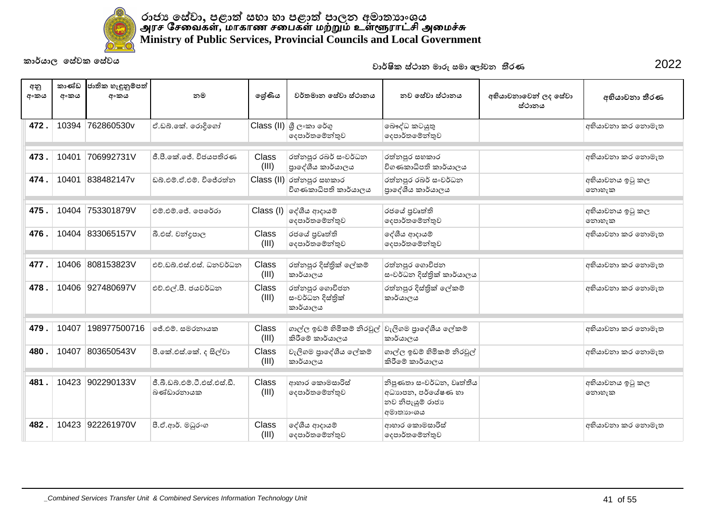

| අනු<br>අංකය | කාණ්ඩ<br>අංකය | ජාතික හැඳුනුම්පත්<br>අංකය | නම                                         | ලශ්ණිය                | වර්තමාන සේවා ස්ථානය                              | නව සේවා ස්ථානය                                                                  | අභියාචනාවෙන් ලද සේවා<br>ස්ථානය | අභියාචනා තීරණ            |
|-------------|---------------|---------------------------|--------------------------------------------|-----------------------|--------------------------------------------------|---------------------------------------------------------------------------------|--------------------------------|--------------------------|
| 472.        | 10394         | 762860530v                | ඒ.ඩබ්.කේ. රොදිගෝ                           |                       | $Class$ (II) ශූී ලංකා රේගු<br>දෙපාර්තමේන්තුව     | බෞද්ධ කටයුතු<br>දෙපාර්තමේන්තුව                                                  |                                | අභියාචනා කර නොමැත        |
| 473         | 10401         | 706992731V                | ජී.පී.කේ.ජේ. විජයපතිරණ                     | Class<br>(III)        | රත්නපුර රබර් සංවර්ධන<br>පාදේශීය කාර්යාලය         | රත්නපුර සහකාර<br>විගණකාධිපති කාර්යාලය                                           |                                | අභියාචනා කර නොමැත        |
| 474         | 10401         | 838482147v                | ඩුබු,එම්,ඒ,එම්, විජේරත්ත                   |                       | Class (II) රත්නපුර සහකාර<br>විගණකාධිපති කාර්යාලය | රත්නපුර රබර් සංවර්ධන<br>පාදේශීය කාර්යාලය                                        |                                | අභියාවනය ඉටු කල<br>නොහැක |
| 475         | 10404         | 753301879V                | එම් එම් ලේ පෙරේරා                          |                       | $Class (I)$ ලද්ශීය ආදායම්<br>දෙපාර්තමේන්තුව      | රජයේ පුවෘත්ති<br>දෙපාර්තමේන්තුව                                                 |                                | අභියාචනය ඉටු කල<br>නොහැක |
| 476.        | 10404         | 833065157V                | බී.එස්. චන්දපාල                            | Class<br>(III)        | රජයේ පුවෘත්ති<br>දෙපාර්තමේන්තුව                  | දේශීය ආදායම්<br>දෙපාර්තමේන්තුව                                                  |                                | අභියාචනා කර නොමැත        |
| 477         | 10406         | 808153823V                | එච්.ඩබ්.එස්.එස්. ධනවර්ධන                   | Class<br>(III)        | රත්නපුර දිස්තික් ලේකම්<br>කාර්යාලය               | රත්නපුර ගොවිජන<br>සංවර්ධන දිස්තික් කාර්යාලය                                     |                                | අභියාවනා කර නොමැත        |
| 478.        | 10406         | 927480697V                | එච්.එල්.පී. ජයවර්ධන                        | Class<br>(III)        | රත්නපුර ගොවිජන<br>සංවර්ධන දිස්තික්<br>කාර්යාලය   | රත්නපුර දිස්තික් ලේකම්<br>කාර්යාලය                                              |                                | අභියාවනා කර නොමැත        |
| 479         | 10407         | 198977500716              | ්ජේ.එම්. සමරනායක                           | <b>Class</b><br>(III) | ගාල්ල ඉඩම් හිමිකම් නිරවුල්<br>කිරීමේ කාර්යාලය    | වැලිගම පුාදේශීය ලේකම්<br>කාර්යාලය                                               |                                | අභියාවනා කර නොමැත        |
| 480         | 10407         | 803650543V                | පී.කේ.එස්.කේ. ද සිල්වා                     | Class<br>(III)        | වැලිගම පුාදේශීය ලේකම්<br>කාර්යාලය                | ගාල්ල ඉඩම් හිමිකම් නිරවුල්<br>කිරීමේ කාර්යාලය                                   |                                | අභියාවනා කර නොමැත        |
| 481.        | 10423         | 902290133V                | ජී.බී.ඩබ්.එම්.ටී.එස්.එස්.ඩී.<br>බණ්ඩාරනායක | Class<br>(III)        | ආහාර කොමසාරිස්<br>දෙපාර්තමේන්තුව                 | නිපුණතා සංවර්ධන, වෘත්තීය<br>අධාහපන, පර්යේෂණ හා<br>නව නිපැයුම් රාජා<br>අමාතාහංශය |                                | අභියාවනය ඉටු කල<br>නොහැක |
| 482.        | 10423         | 922261970V                | පී.ඒ.ආර්. මධුරංග                           | <b>Class</b><br>(III) | දේශීය ආදායම්<br>දෙපාර්තමේන්තුව                   | ආහාර කොමසාරිස්<br>දෙපාර්තමේන්තුව                                                |                                | අභියාවනා කර නොමැත        |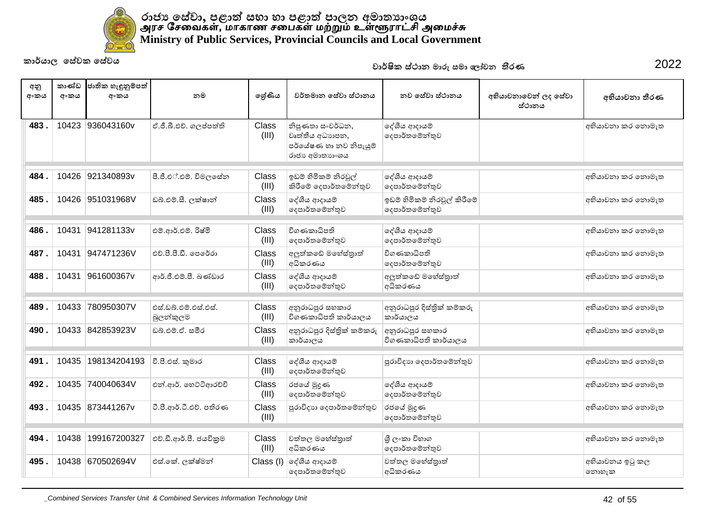

| අනු<br>අංකය | කාණ්ඩ<br>අංකය | ජාතික හැඳුනුම්පත්<br>අංකය | නම                                 | ලශ්ණිය         | වර්තමාන සේවා ස්ථානය                                                             | නව සේවා ස්ථානය                                | අභියාචනාවෙන් ලද සේවා<br>ස්ථානය | අභියාචනා තීරණ            |
|-------------|---------------|---------------------------|------------------------------------|----------------|---------------------------------------------------------------------------------|-----------------------------------------------|--------------------------------|--------------------------|
| 483         | 10423         | 936043160v                | ඒ.ජී.බී.එච්. ගලප්පත්ති             | Class<br>(III) | නිපුණතා සංවර්ධන,<br>වෘත්තීය අධාහපන,<br>පර්යේෂණ හා නව නිපැයුම්<br>රාජා අමාතාගංශය | දේශීය ආදායම්<br>දෙපාර්තමේන්තුව                |                                | අභියාවනා කර නොමැත        |
| 484         | 10426         | 921340893v                | පී.ජී.එ්.එම්. විමලසේන              | Class<br>(III) | ඉඩම් හිමිකම් නිරවුල්<br>කිරීමේ දෙපාර්තමේන්තුව                                   | දේශීය ආදායම්<br>දෙපාර්තමේන්තුව                |                                | අභියාචනා කර නොමැත        |
| 485         | 10426         | 951031968V                | ඩබ්.එම්.සී. ලක්ෂාන්                | Class<br>(III) | දේශීය ආදායම්<br>දෙපාර්තමේන්තුව                                                  | ඉඩම් හිමිකම් නිරවූල් කිරීමේ<br>දෙපාර්තමේන්තුව |                                | අභියාවනා කර නොමැත        |
| 486         | 10431         | 941281133v                | එම්.ආර්.එම්. රිෂ්මි                | Class<br>(III) | විගණකාධිපති<br>දෙපාර්තමේන්තුව                                                   | දේශීය ආදායම්<br>දෙපාර්තමේන්තුව                |                                | අභියාචනා කර නොමැත        |
| 487         | 10431         | 947471236V                | එච්.පී.පී.ඩී. පෙරේරා               | Class<br>(III) | අලුත්කඩේ මහේස්තුාත්<br>අධිකරණය                                                  | විගණකාධිපති<br>දෙපාර්තමේන්තුව                 |                                | අභියාවනා කර නොමැත        |
| 488.        | 10431         | 961600367v                | ආර්.ජී.එම්.පී. බණ්ඩාර              | Class<br>(III) | දේශීය ආදායම්<br>දෙපාර්තමේන්තුව                                                  | අලුත්කඩේ මහේස්තුාත්<br>අධිකරණය                |                                | අභියාවනා කර නොමැත        |
| 489         | 10433         | 780950307V                | එස් ඩුබ් එම් එස් එස්.<br>බුලන්කුලම | Class<br>(III) | අනුරාධපුර සහකාර<br>විගණකාධිපති කාර්යාලය                                         | අනුරාධපුර දිස්තික් කම්කරු<br>කාර්යාලය         |                                | අභියාචනා කර නොමැත        |
| 490         | 10433         | 842853923V                | ඩබු.එම්.ඒ. සමීර                    | Class<br>(III) | අනුරාධපුර දිස්තික් කම්කරු<br>කාර්යාලය                                           | අනුරාධපුර සහකාර<br>විගණකාධිපති කාර්යාලය       |                                | අභියාවනා කර නොමැත        |
| 491.        | 10435         | 198134204193              | වී.පී.එස්. කුමාර                   | Class<br>(III) | දේශීය ආදායම්<br>දෙපාර්තමේන්තුව                                                  | පුරාවිදාහ දෙපාර්තමේන්තුව                      |                                | අභියාචනා කර නොමැත        |
| 492.        | 10435         | 740040634V                | එන්.ආර්. හෙට්ටිආරච්චි              | Class<br>(III) | රජයේ මුදුණ<br>දෙපාර්තමේන්තුව                                                    | දේශීය ආදායම්<br>දෙපාර්තමේන්තුව                |                                | අභියාවනා කර නොමැත        |
| 493.        |               | 10435 873441267v          | ටී.පී.ආර්.ටී.එච්. පතිරණ            | Class<br>(III) | පුරාවිදාහ දෙපාර්තමේන්තුව                                                        | රජයේ මුදණ<br>දෙපාර්තමේන්තුව                   |                                | අභියාවනා කර නොමැත        |
| 494.        | 10438         | 199167200327              | එච්.ඩී.ආර්.පී. ජයවිකුම             | Class<br>(III) | වත්තල මහේස්තුාත්<br>අධිකරණය                                                     | ශී ලංකා විභාග<br>දෙපාර්තමේන්තුව               |                                | අභියාවනා කර නොමැත        |
| 495.        | 10438         | 670502694V                | එස්.කේ. ලක්ෂ්මන්                   | Class (I)      | ලද්ශීය ආදායම්<br>දෙපාර්තමේන්තුව                                                 | වත්තල මහේස්තුාත්<br>අධිකරණය                   |                                | අභියාවනය ඉටු කල<br>නොහැක |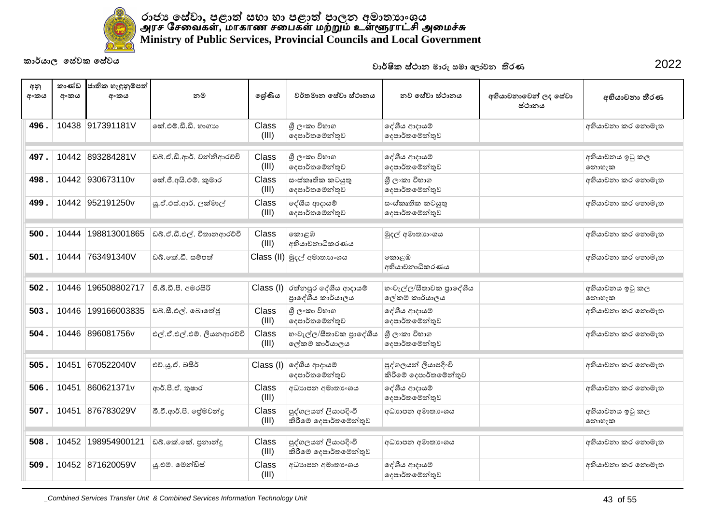

| අනු<br>අංකය | කාණ්ඩ<br>අංකය | ජාතික හැඳුනුම්පත්<br>අංකය | නම                        | ලශ්ණිය                | වර්තමාන සේවා ස්ථානය                           | නව සේවා ස්ථානය                                | අභියාචනාවෙන් ලද සේවා<br>ස්ථානය | අභියාචනා තීරණ            |
|-------------|---------------|---------------------------|---------------------------|-----------------------|-----------------------------------------------|-----------------------------------------------|--------------------------------|--------------------------|
| 496         | 10438         | 917391181V                | කේ එම්.ඩී.ඩී. හාගාහ       | Class<br>(III)        | ශී ලංකා විහාග<br>දෙපාර්තමේන්තුව               | දේශීය ආදායම්<br>දෙපාර්තමේන්තුව                |                                | අභියාචනා කර නොමැත        |
| 497.        | 10442         | 893284281V                | ඩබ්.ඒ.ඩී.ආර්. වන්නිආරච්චි | Class<br>(III)        | ශී ලංකා විහාග<br>දෙපාර්තමේන්තුව               | දේශීය ආදායම්<br>දෙපාර්තමේන්තුව                |                                | අභියාචනය ඉටු කල<br>නොහැක |
| 498         | 10442         | 930673110v                | කේ.ජී.අයි.එම්. කුමාර      | Class<br>(III)        | ස∘ස්කෘතික කටයුතු<br>දෙපාර්තමේන්තුව            | ශී ලංකා විහාග<br>දෙපාර්තමේන්තුව               |                                | අභියාවනා කර නොමැත        |
| 499         |               | 10442 952191250v          | ශු.ඒ.එස්.ආර්. ලක්මාල්     | Class<br>(III)        | දේශීය ආදායම්<br>දෙපාර්තමේන්තුව                | ස∘ස්කෘතික කටයුතු<br>දෙපාර්තමේන්තුව            |                                | අභියාවනා කර නොමැත        |
| 500         | 10444         | 198813001865              | ඩබ්.ඒ.ඩී.එල්. විතානආරච්චි | Class<br>(III)        | කොළඹ<br>අභියාචනාධිකරණය                        | මුදල් අමාතාහංශය                               |                                | අභියාචනා කර නොමැත        |
| 501         | 10444         | 763491340V                | ඩබ්.කේ.ඩී. සම්පත්         |                       | Class (II)  මුදල් අමාතාහංශය                   | කොළඹ<br>අභියාචනාධිකරණය                        |                                | අභියාවනා කර නොමැත        |
| 502         | 10446         | 196508802717              | ජී.බී.ඩී.පී. අමරසිරි      | Class (I)             | රත්නපුර දේශීය ආදායම්<br>පාදේශීය කාර්යාලය      | හංවැල්ල/සීතාවක පුාදේශීය<br>ලේකම් කාර්යාලය     |                                | අභියාචනය ඉටු කල<br>නොහැක |
| 503.        | 10446         | 199166003835              | ඩබ්.සී.එල්. බොතේජු        | Class<br>(III)        | ශී ලංකා විහාග<br>දෙපාර්තමේන්තුව               | දේශීය ආදායම්<br>දෙපාර්තමේන්තුව                |                                | අභියාචනා කර නොමැත        |
| 504.        | 10446         | 896081756v                | එල්.ඒ.එල්.එම්. ලියනආරච්චි | <b>Class</b><br>(III) | හංවැල්ල/සීතාවක පුාදේශීය<br>ලේකම් කාර්යාලය     | ශී ලංකා විභාග<br>දෙපාර්තමේන්තුව               |                                | අභියාචනා කර නොමැත        |
| 505         | 10451         | 670522040V                | එච්.ශූ.ඒ. බසීර්           |                       | $Class (I)$ ලද්ශීය ආදායම්<br>දෙපාර්තමේන්තුව   | පුද්ගලයන් ලියාපදිංචි<br>කිරීමේ දෙපාර්තමේන්තුව |                                | අභියාචනා කර නොමැත        |
| 506         | 10451         | 860621371v                | ආර්.පී.ඒ. තූෂාර           | <b>Class</b><br>(III) | අධාහපන අමාතා ශය                               | දේශීය ආදායම්<br>දෙපාර්තමේන්තුව                |                                | අභියාචනා කර නොමැත        |
| 507.        | 10451         | 876783029V                | බී.වී.ආර්.පී. ජේමචන්ද     | Class<br>(III)        | පුද්ගලයන් ලියාපදිංචි<br>කිරීමේ දෙපාර්තමේන්තුව | අධාහපන අමාතා ශය                               |                                | අභියාචනය ඉටු කල<br>නොහැක |
| 508         | 10452         | 198954900121              | ඩබ්.කේ.කේ. පුනාන්දු       | <b>Class</b><br>(III) | පුද්ගලයන් ලියාපදිංචි<br>කිරීමේ දෙපාර්තමේන්තුව | අධාහපන අමාතා ංශය                              |                                | අභියාවනා කර නොමැත        |
| 509         |               | 10452 871620059V          | ශු.එම්. මෙන්ඩිස්          | Class<br>(III)        | අධාහපන අමාතා ශය                               | දේශීය ආදායම්<br>දෙපාර්තමේන්තුව                |                                | අභියාචනා කර නොමැත        |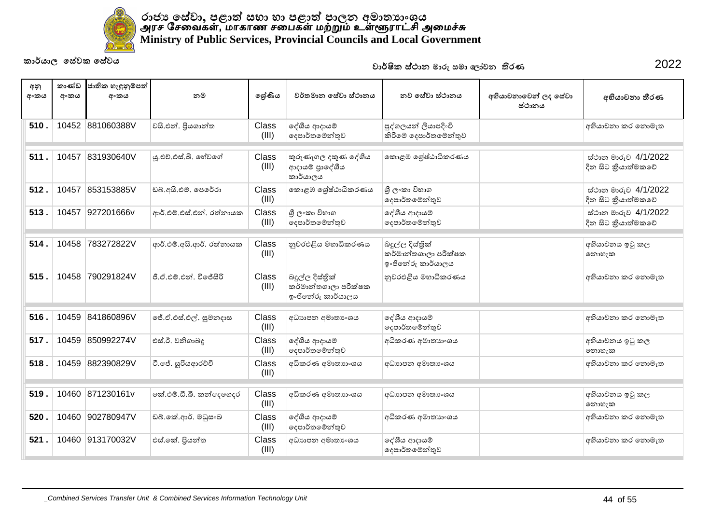

| අනු<br>අංකය | කාණ්ඩ<br>අංකය | ජාතික හැඳුනුම්පත්<br>අංකය | නම                       | ලශ්ණිය                | වර්තමාන සේවා ස්ථානය                                           | නව සේවා ස්ථානය                                              | අභියාචනාවෙන් ලද සේවා<br>ස්ථානය | අභියාචනා තීරණ                              |
|-------------|---------------|---------------------------|--------------------------|-----------------------|---------------------------------------------------------------|-------------------------------------------------------------|--------------------------------|--------------------------------------------|
| 510.        |               | 10452 881060388V          | වයි.එන්. පියශාන්ත        | Class<br>(III)        | දේශීය ආදායම්<br>දෙපාර්තමේන්තුව                                | පුද්ගලයන් ලියාපදිංචි<br>කිරීමේ දෙපාර්තමේන්තුව               |                                | අභියාචනා කර නොමැත                          |
| 511.        | 10457         | 831930640V                | ශු.එච්.එස්.බී. හේවගේ     | <b>Class</b><br>(III) | කුරුණෑගල දකුණ දේශීය<br>ආදායම් පාදේශීය<br>කාර්යාලය             | කොළඹ ශේෂ්ඨාධිකරණය                                           |                                | ස්ථාන මාරුව 4/1/2022<br>දින සිට කියාත්මකවේ |
| 512.        | 10457         | 853153885V                | ඩබ්.අයි.එම්. පෙරේරා      | Class<br>(III)        | කොළඹ ශේෂ්ඨාධිකරණය                                             | ශී ලංකා විභාග<br>දෙපාර්තමේන්තුව                             |                                | ස්ථාන මාරුව 4/1/2022<br>දින සිට කියාත්මකවේ |
| 513         | 10457         | 927201666v                | ආර්.එම්.එස්.එන්. රත්නායක | Class<br>(III)        | ශී ලංකා විහාග<br>දෙපාර්තමේන්තුව                               | දේශීය ආදායම්<br>දෙපාර්තමේන්තුව                              |                                | ස්ථාන මාරුව 4/1/2022<br>දින සිට කියාත්මකවේ |
| 514         | 10458         | 783272822V                | ආර්.එම්.අයි.ආර්. රත්නායක | Class<br>(III)        | නුවරඑළිය මහාධිකරණය                                            | බදුල්ල දිස්තික්<br>කර්මාන්තශාලා පරීක්ෂක<br>ෞජිතේරු කාර්යාලය |                                | අභියාචනය ඉටු කල<br>නොහැක                   |
| 515.        | 10458         | 790291824V                | ජී.ඒ.එම්.එන්. විජේසිරි   | Class<br>(III)        | බදුල්ල දිස්තිුක්<br>කර්මාන්තශාලා පරීක්ෂක<br>ඉංජිනේරු කාර්යාලය | නුවරඑළිය මහාධිකරණය                                          |                                | අභියාචනා කර නොමැත                          |
| 516.        | 10459         | 841860896V                | ්ජේ.ඒ.එස්.එල්. සුමනදාස   | Class<br>(III)        | අධාහපන අමාතා ශය                                               | දේශීය ආදායම්<br>දෙපාර්තමේන්තුව                              |                                | අභියාවනා කර නොමැත                          |
| 517.        | 10459         | 850992274V                | එස්.ඊ. වනිගාබදු          | Class<br>(III)        | දේශීය ආදායම්<br>දෙපාර්තමේන්තුව                                | අධිකරණ අමාතාහංශය                                            |                                | අභියාවනය ඉටු කල<br>නොහැක                   |
| 518         | 10459         | 882390829V                | ටී.ජේ. සූරියආරච්චි       | Class<br>(III)        | අධිකරණ අමාතාහංශය                                              | අධාහපන අමාතා ශය                                             |                                | අභියාවනා කර නොමැත                          |
| 519         |               | 10460 871230161v          | කේ.එම්.ඩී.බී. කන්දෙගෙදර  | Class<br>(III)        | අධිකරණ අමාතාහංශය                                              | අධාහපන අමාතා ංශය                                            |                                | අභියාවනය ඉටු කල<br>නොහැක                   |
| 520.        | 10460         | 902780947V                | ඩබ්.කේ.ආර්. මධුසංඛ       | Class<br>(III)        | දේශීය ආදායම්<br>දෙපාර්තමේන්තුව                                | අධිකරණ අමාතාහංශය                                            |                                | අභියාවනා කර නොමැත                          |
| 521.        |               | 10460 913170032V          | එස්.කේ. පියන්ත           | Class<br>(III)        | අධාහපන අමාතා ංශය                                              | දේශීය ආදායම්<br>දෙපාර්තමේන්තුව                              |                                | අභියාචනා කර නොමැත                          |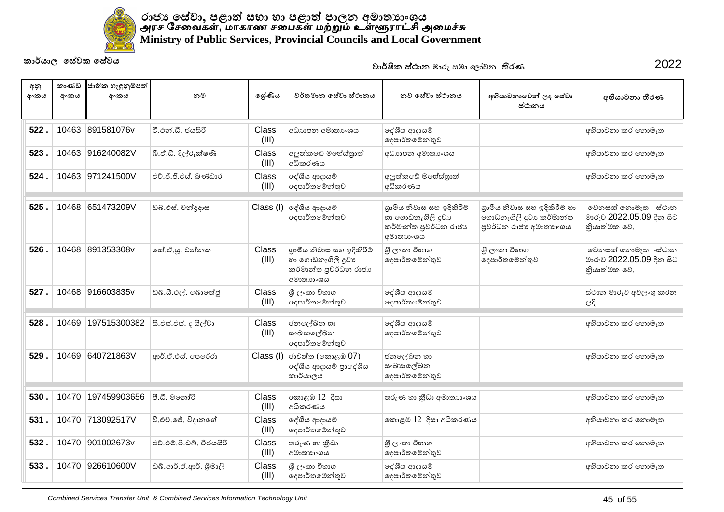

| අනු<br>අංකය | කාණ්ඩ<br>අංකය | ජාතික හැඳුනුම්පත්<br>අංකය | නම                       | ලශ්ණිය                | වර්තමාන සේවා ස්ථානය                                                                  | නව සේවා ස්ථානය                                                                       | අභියාචනාවෙන් ලද සේවා<br>ස්ථානය                                                    | අභියාචනා තීරණ                                                   |
|-------------|---------------|---------------------------|--------------------------|-----------------------|--------------------------------------------------------------------------------------|--------------------------------------------------------------------------------------|-----------------------------------------------------------------------------------|-----------------------------------------------------------------|
| 522         |               | 10463 891581076v          | ටී.එන්.ඩී. ජයසිරි        | Class<br>(III)        | අධාහපන අමාතා ංශය                                                                     | දේශීය ආදායම්<br>දෙපාර්තමේන්තුව                                                       |                                                                                   | අභියාවනා කර නොමැත                                               |
| 523.        |               | 10463 916240082V          | බී.ඒ.ඩී. දිල්රුක්ෂණි     | Class<br>(III)        | අලුත්කඩේ මහේස්තුාත්<br>අධිකරණය                                                       | අධාහපන අමාතා ංශය                                                                     |                                                                                   | අභියාචනා කර නොමැත                                               |
| 524.        |               | 10463 971241500V          | එච්.ජී.ජී.එස්. බණ්ඩාර    | Class<br>(III)        | දේශීය ආදායම්<br> ලදපාර්තමේන්තුව                                                      | අලුත්කඩේ මහේස්තුාත්<br>අධිකරණය                                                       |                                                                                   | අභියාචනා කර නොමැත                                               |
| 525.        | 10468         | 651473209V                | ඩබ්.එස්. චන්දදාස         |                       | $Class (I)$ ලද්ශීය ආදායම්<br>දෙපාර්තමේන්තුව                                          | ගුාමීය නිවාස සහ ඉදිකිරීම්<br>හා ගොඩනැගිලි දුවා<br>කර්මාන්ත පුවර්ධන රාජා<br>අමාතාහංශය | ගුාමීය නිවාස සහ ඉදිකිරීම් හා<br>ගොඩනැගිලි දුවා කර්මාන්ත<br>පුවර්ධන රාජා අමාතාහංශය | වෙනසක් නොමැත -ස්ථාන<br>මාරුව 2022.05.09 දින සිට<br>කියාත්මක වේ. |
| 526.        | 10468         | 891353308v                | ්කේ.ඒ.ශූ. චන්නක          | Class<br>(III)        | ගුාමීය නිවාස සහ ඉදිකිරීම්<br>හා ගොඩනැගිලි දුවා<br>කර්මාන්ත පුවර්ධන රාජා<br>අමාතාහංශය | ශී ලංකා විහාග<br>දෙපාර්තමේන්තුව                                                      | ශී ලංකා විහාග<br>දෙපාර්තමේන්තුව                                                   | වෙනසක් නොමැත -ස්ථාන<br>මාරුව 2022.05.09 දින සිට<br>කියාත්මක වේ. |
| 527.        |               | 10468 916603835v          | ඩබ්.සී.එල්. බොතේජු       | Class<br>(III)        | ශී ලංකා විහාග<br>දෙපාර්තමේන්තුව                                                      | දේශීය ආදායම්<br>දෙපාර්තමේන්තුව                                                       |                                                                                   | ස්ථාන මාරුව අවලංගු කරන<br>ලදී                                   |
| 528         | 10469         | 197515300382              | සී.එස්.එස්. ද සිල්වා     | <b>Class</b><br>(III) | ජනලේඛන හා<br>සංඛාහලේඛන<br>දෙපාර්තමේන්තුව                                             | දේශීය ආදායම්<br>දෙපාර්තමේන්තුව                                                       |                                                                                   | අභියාවනා කර නොමැත                                               |
| 529.        | 10469         | 640721863V                | ආර්.ඒ.එස්. පෙරේරා        | Class (I)             | ජාවත්ත (කොළඹ 07)<br>දේශීය ආදායම් පාදේශීය<br>කාර්යාලය                                 | ජනලේඛන හා<br>සංඛාහලේඛන<br>දෙපාර්තමේන්තුව                                             |                                                                                   | අභියාචනා කර නොමැත                                               |
| 530         | 10470         | 197459903656              | පී.ඩී. මනෝරි             | Class<br>(III)        | කොළඹ 12 දිසා<br>අධිකරණය                                                              | තරුණ හා කීඩා අමාතාගංශය                                                               |                                                                                   | අභියාචනා කර නොමැත                                               |
| 531.        |               | 10470 713092517V          | වී.එච්.ජේ. විදානගේ       | Class<br>(III)        | දේශීය ආදායම්<br>දෙපාර්තමේන්තුව                                                       | කොළඹ 12 දිසා අධිකරණය                                                                 |                                                                                   | අභියාචනා කර නොමැත                                               |
| 532         | 10470         | 901002673v                | එච්.එම්.පී.ඩබ්. විජයසිරි | Class<br>(III)        | තරුණ හා කීඩා<br>අමාතාහංශය                                                            | ශී ලංකා විහාග<br>දෙපාර්තමේන්තුව                                                      |                                                                                   | අභියාචනා කර නොමැත                                               |
| 533.        | 10470         | 926610600V                | ඩබ.ආර්.ඒ.ආර්. ශීමාලි     | Class<br>(III)        | ශී ලංකා විහාග<br>දෙපාර්තමේන්තුව                                                      | දේශීය ආදායම්<br>දෙපාර්තමේන්තුව                                                       |                                                                                   | අභියාචනා කර නොමැත                                               |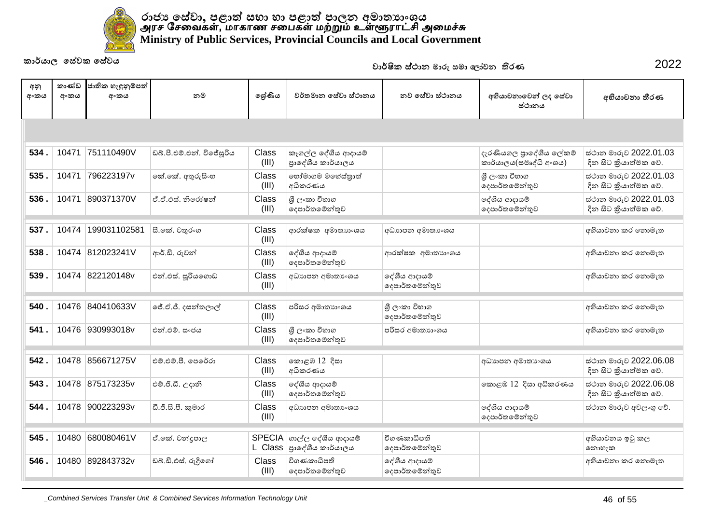

|             |               |                           |                           |                       |                                               | වාරමක සටාන මාරු සමා ලොවන තරණ    |                                                  |                                                |
|-------------|---------------|---------------------------|---------------------------|-----------------------|-----------------------------------------------|---------------------------------|--------------------------------------------------|------------------------------------------------|
| අනු<br>අංකය | කාණ්ඩ<br>අංකය | ජාතික හැඳුනුම්පත්<br>අංකය | නම                        | ලශ්ණිය                | වර්තමාන සේවා ස්ථානය                           | නව සේවා ස්ථානය                  | අභියාචනාවෙන් ලද සේවා<br>ස්ථානය                   | අභියාචනා තීරණ                                  |
|             |               |                           |                           |                       |                                               |                                 |                                                  |                                                |
| 534.        | 10471         | 751110490V                | ඩබ්.පී.එම්.එන්. විජේසුරිය | Class<br>(III)        | කෑගල්ල දේශීය ආදායම්<br>පාදේශීය කාර්යාලය       |                                 | දැරණියගල පාදේශීය ලේකම්<br>කාර්යාලය(සමෘද්ධි අංශය) | ස්ථාන මාරුව 2022.01.03<br>දින සිට කියාත්මක වේ. |
| 535.        | 10471         | 796223197v                | කේ.කේ. අතුරුසිංහ          | Class<br>(III)        | හෝමාගම මහේස්තුාත්<br>අධිකරණය                  |                                 | ශී ලංකා විහාග<br>දෙපාර්තමේන්තුව                  | ස්ථාන මාරුව 2022.01.03<br>දින සිට කියාත්මක වේ. |
| 536.        | 10471         | 890371370V                | ඒ.ඒ.එස්. නිරෝෂන්          | Class<br>(III)        | ශී ලංකා විහාග<br>දෙපාර්තමේන්තුව               |                                 | දේශීය ආදායම්<br>දෙපාර්තමේන්තුව                   | ස්ථාන මාරුව 2022.01.03<br>දින සිට කියාත්මක වේ. |
| 537.        | 10474         | 199031102581              | සී.කේ. චතුරංග             | Class<br>(III)        | ආරක්ෂක අමාතාහංශය                              | අධාහපන අමාතා ංශය                |                                                  | අභියාවනා කර නොමැත                              |
| 538.        |               | 10474 812023241V          | ආර්.ඩී. රුවන්             | <b>Class</b><br>(III) | දේශීය ආදායම්<br>දෙපාර්තමේන්තුව                | ආරක්ෂක අමාතාහංශය                |                                                  | අභියාවනා කර නොමැත                              |
| 539.        |               | 10474 822120148v          | එන්.එස්. සූරියගොඩ         | <b>Class</b><br>(III) | අධාහපන අමාතා ංශය                              | දේශීය ආදායම්<br>දෙපාර්තමේන්තුව  |                                                  | අභියාවනා කර නොමැත                              |
| 540.        |               | 10476 840410633V          | ජේ.ඒ.ජී. දසන්තලාල්        | Class<br>(III)        | පරිසර අමාතාගංශය                               | ශී ලංකා විහාග<br>දෙපාර්තමේන්තුව |                                                  | අභියාවනා කර නොමැත                              |
| 541.        |               | 10476 930993018v          | එන් එම්, සංජය             | Class<br>(III)        | ශී ලංකා විහාග<br>දෙපාර්තමේන්තුව               | පරිසර අමාතාගංශය                 |                                                  | අභියාවනා කර නොමැත                              |
| 542.        |               | 10478 856671275V          | එම්.එම්.පී. පෙරේරා        | <b>Class</b><br>(III) | කොළඹ 12 දිසා<br>අධිකරණය                       |                                 | අධාහපන අමාතා ශය                                  | ස්ථාන මාරුව 2022.06.08<br>දින සිට කියාත්මක වේ. |
| 543.        |               | 10478 875173235v          | එම්.ජී.ඩී. උදානි          | Class<br>(III)        | දේශීය ආදායම්<br>දෙපාර්තමේන්තුව                |                                 | කොළඹ 12 දිසා අධිකරණය                             | ස්ථාන මාරුව 2022.06.08<br>දින සිට කියාත්මක වේ. |
| 544.        |               | 10478 900223293v          | ඩී.ජී.සී.පී. කුමාර        | Class<br>(III)        | අධාහපන අමාතා ංශය                              |                                 | දේශීය ආදායම්<br>දෙපාර්තමේන්තුව                   | ස්ථාන මාරුව අවලංගු වේ.                         |
| 545.        | 10480         | 680080461V                | ඒ.කේ. චන්දපාල             | L Class               | SPECIA ගාල්ල දේශීය ආදායම්<br>පාදේශීය කාර්යාලය | විගණකාධිපති<br>දෙපාර්තමේන්තුව   |                                                  | අභියාචනය ඉටු කල<br>නොහැක                       |
| 546.        |               | 10480 892843732v          | ඩබ්.ඩී.එස්. රුදිගෝ        | Class<br>(III)        | විගණකාධිපති<br> ලදපාර්තමේන්තුව                | දේශීය ආදායම්<br>දෙපාර්තමේන්තුව  |                                                  | අභියාචනා කර නොමැත                              |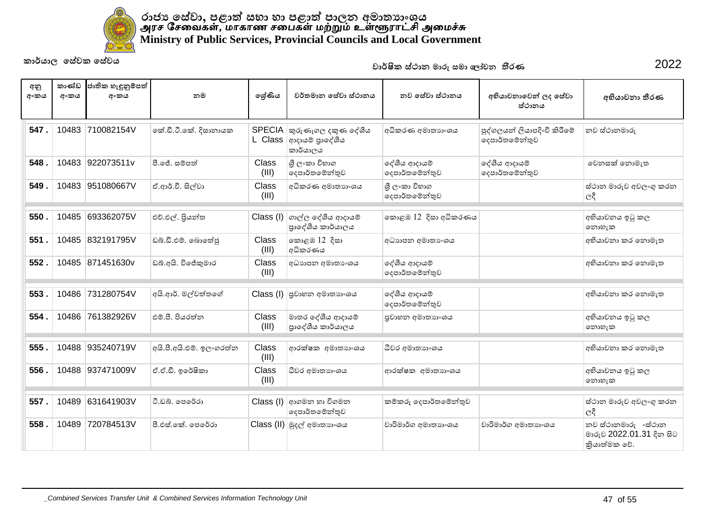

| අනු<br>අංකය | කාණ්ඩ<br>අංකය | ජාතික හැඳුනුම්පත්<br>අංකය | නම                       | ලශ්ණිය         | වර්තමාන සේවා ස්ථානය                                         | නව සේවා ස්ථානය                  | අභියාචනාවෙන් ලද සේවා<br>ස්ථානය                | අභියාචනා තීරණ                                                   |
|-------------|---------------|---------------------------|--------------------------|----------------|-------------------------------------------------------------|---------------------------------|-----------------------------------------------|-----------------------------------------------------------------|
| 547.        | 10483         | 710082154V                | කේ.ඩී.ටී.කේ. දිසානායක    | SPECIA         | කුරුණෑගල දකුණ දේශීය<br>L Class  ආදායම් පුාදේශීය<br>කාර්යාලය | අධිකරණ අමාතහාංශය                | පුද්ගලයන් ලියාපදිංචි කිරීමේ<br>දෙපාර්තමේන්තුව | නව ස්ථානමාරු                                                    |
| 548         | 10483         | 922073511v                | පී.ජේ. සම්පත්            | Class<br>(III) | ශී ලංකා විහාග<br>දෙපාර්තමේන්තුව                             | දේශීය ආදායම්<br>දෙපාර්තමේන්තුව  | දේශීය ආදායම්<br>දෙපාර්තමේන්තුව                | වෙනසක් නොමැත                                                    |
| 549         | 10483         | 951080667V                | ඒ.ආර්.වී. සිල්වා         | Class<br>(III) | අධිකරණ අමාතාහංශය                                            | ශී ලංකා විහාග<br>දෙපාර්තමේන්තුව |                                               | ස්ථාන මාරුව අවලංගු කරන<br>ලදී                                   |
| 550.        | 10485         | 693362075V                | එච්.එල්. පියන්ත          | Class (I)      | ගාල්ල දේශීය ආදායම්<br>පාදේශීය කාර්යාලය                      | කොළඹ 12 දිසා අධිකරණය            |                                               | අභියාවනය ඉටු කල<br>නොහැක                                        |
| 551         | 10485         | 832191795V                | ඩබ්.ඩී.එම්. බොතේජු       | Class<br>(III) | කොළඹ 12 දිසා<br>අධිකරණය                                     | අධාහපන අමාතා ශය                 |                                               | අභියාචනා කර නොමැත                                               |
| 552.        |               | 10485 871451630v          | ඩබ්.අයි. විජේකුමාර       | Class<br>(III) | අධාහපන අමාතා ංශය                                            | දේශීය ආදායම්<br>දෙපාර්තමේන්තුව  |                                               | අභියාචනා කර නොමැත                                               |
| 553.        | 10486         | 731280754V                | අයි.ආර්. මල්වත්තගේ       |                | Class (I) පුවාහන අමාතාහංශය                                  | දේශීය ආදායම්<br>දෙපාර්තමේන්තුව  |                                               | අභියාවනා කර නොමැත                                               |
| 554         | 10486         | 761382926V                | එම්.පී. පියරත්න          | Class<br>(III) | මාතර දේශීය ආදායම්<br>පාදේශීය කාර්යාලය                       | පුවාහන අමාතාහංශය                |                                               | අභියාචනය ඉටු කල<br>නොහැක                                        |
| 555         | 10488         | 935240719V                | අයි.පී.අයි.එම්. ඉලංගරත්ත | Class<br>(III) | ආරක්ෂක අමාතාහංශය                                            | ධීවර අමාතාහංශය                  |                                               | අභියාචනා කර නොමැත                                               |
| 556.        | 10488         | 937471009V                | ඒ.ඒ.ඩී. ඉරේෂිකා          | Class<br>(III) | ධීවර අමාතාහංශය                                              | ආරක්ෂක අමාතාහංශය                |                                               | අභියාචනය ඉටු කල<br>නොහැක                                        |
| 557.        | 10489         | 631641903V                | ටී.ඩබ්. පෙරේරා           |                | $Class (I)$ ආගමන හා විගමන<br>දෙපාර්තමේන්තුව                 | කම්කරු දෙපාර්තමේන්තුව           |                                               | ස්ථාන මාරුව අවලංගු කරන<br>ලදී                                   |
| 558.        | 10489         | 720784513V                | පී.එස්.කේ. පෙරේරා        |                | Class (II) මුදල් අමාතාහංශය                                  | වාරිමාර්ග අමාතාහංශය             | වාරිමාර්ග අමාතාහංශය                           | නව ස්ථානමාරු -ස්ථාන<br>මාරුව 2022.01.31 දින සිට<br>කියාත්මක වේ. |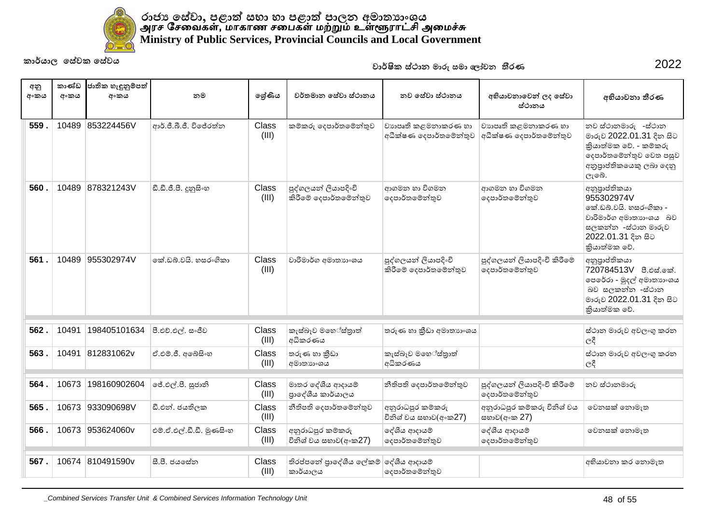

| අනු  | කාණ්ඩ | ජාතික හැඳුනුම්පත් |                          |                |                                                 |                                               |                                               |                                                                                                                                             |
|------|-------|-------------------|--------------------------|----------------|-------------------------------------------------|-----------------------------------------------|-----------------------------------------------|---------------------------------------------------------------------------------------------------------------------------------------------|
| අංකය | අංකය  | අංකය              | නම                       | ලශ්ණිය         | වර්තමාන සේවා ස්ථානය                             | නව සේවා ස්ථානය                                | අභියාචනාවෙන් ලද සේවා<br>ස්ථානය                | අභියාචනා තීරණ                                                                                                                               |
| 559  | 10489 | 853224456V        | ආර්.ජී.බී.ජී. විජේරත්න   | Class<br>(III) | කම්කරු දෙපාර්තමේන්තුව                           | වාහයක් කළමනාකරණ හා<br>අධීක්ෂණ දෙපාර්තමේන්තුව  | වාහපෘති කළමනාකරණ හා<br>අධීක්ෂණ දෙපාර්තමේන්තුව | නව ස්ථානමාරු -ස්ථාන<br>මාරුව 2022.01.31 දින සිට<br>කියාත්මක වේ. - කම්කරු<br>දෙපාර්තමේන්තුව වෙත පසුව<br>අනුපාප්තිකයෙකු ලබා දෙනු<br>ලැබේ.     |
| 560  | 10489 | 878321243V        | ඩී.ඩී.ජී.පී. දුනුසිංහ    | Class<br>(III) | පුද්ගලයන් ලියාපදිංචි<br>කිරීමේ දෙපාර්තමේන්තුව   | ආගමන හා විගමන<br>දෙපාර්තමේන්තුව               | ආගමන හා විගමන<br>දෙපාර්තමේන්තුව               | අනුපාප්තිකයා<br>955302974V<br>කේ.ඩබ්.වයි. හසරංගිකා -<br>වාරිමාර්ග අමාතාහංශය බව<br>සලකන්න -ස්ථාන මාරුව<br>2022.01.31 දින සිට<br>කියාත්මක වේ. |
| 561. | 10489 | 955302974V        | කේ.ඩබ්.වයි. හසරංගිකා     | Class<br>(III) | වාරිමාර්ග අමාතාහංශය                             | පුද්ගලයන් ලියාපදිංචි<br>කිරීමේ දෙපාර්තමේන්තුව | පුද්ගලයන් ලියාපදිංචි කිරීමේ<br>දෙපාර්තමේන්තුව | අනුපාප්තිකයා<br>720784513V පී.එස්. කේ.<br>පෙරේරා - මුදල් අමාතාහංශය<br>බව සලකන්න -ස්ථාන<br>මාරුව 2022.01.31 දින සිට<br>කියාත්මක වේ.          |
| 562. | 10491 | 198405101634      | පී.එච්.එල්. සංජීව        | Class<br>(III) | කැස්බෑව මහේස්තාත්<br>අධිකරණය                    | තරුණ හා කීඩා අමාතාගංශය                        |                                               | ස්ථාන මාරුව අවලංගු කරන<br>ලදී                                                                                                               |
| 563. |       | 10491 812831062v  | ඒ.එම්.ජී. අබේසිංහ        | Class<br>(III) | තරුණ හා කීඩා<br>අමාතාහංශය                       | කැස්බෑව මහේස්තාත්<br>අධිකරණය                  |                                               | ස්ථාන මාරුව අවලංගු කරන<br>ලදී                                                                                                               |
| 564. | 10673 | 198160902604      | ජේ.එල්.පී. සුජානි        | Class<br>(III) | මාතර දේශීය ආදායම්<br>පාදේශීය කාර්යාලය           | නීතිපති දෙපාර්තමේන්තුව                        | පුද්ගලයන් ලියාපදිංචි කිරීමේ<br>දෙපාර්තමේන්තුව | නව ස්ථානමාරු                                                                                                                                |
| 565  | 10673 | 933090698V        | ඩී.එන්. ජයතිලක           | Class<br>(III) | නීතිපති දෙපාර්තමේන්තුව                          | අනුරාධපුර කම්කරු<br>විනිශ් වය සභාව(අංක27)     | අනුරාධපුර කම්කරු විනිශ් වය<br>සභාව(අංක 27)    | වෙනසක් නොමැත                                                                                                                                |
| 566  | 10673 | 953624060v        | එම්.ඒ.එල්.ඩී.ඩී. මූණසිංහ | Class<br>(III) | අනුරාධපුර කම්කරු<br>විනිශ් වය සභාව(අංක27)       | දේශීය ආදායම්<br>දෙපාර්තමේන්තුව                | දේශීය ආදායම්<br>දෙපාර්තමේන්තුව                | වෙනසක් නොමැත                                                                                                                                |
| 567. |       | 10674 810491590v  | සී.පී. ජයසේත             | Class<br>(III) | තිරප්පතේ පාදේශීය ලේකම් දේශීය ආදායම්<br>කාර්යාලය | දෙපාර්තමේන්තුව                                |                                               | අභියාචනා කර නොමැත                                                                                                                           |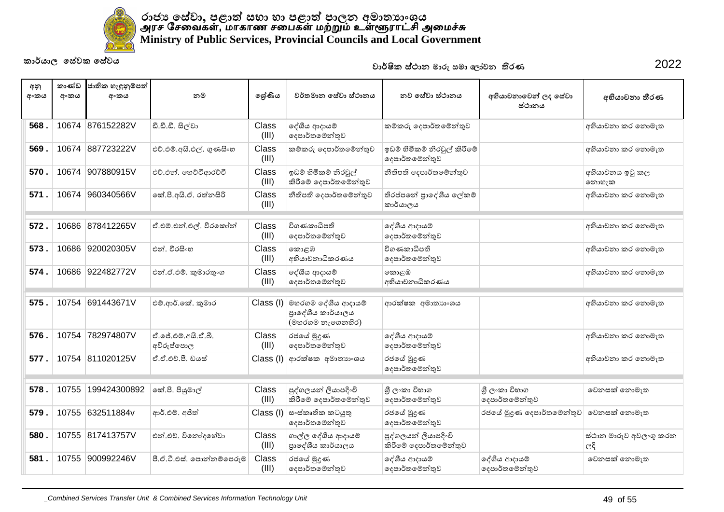

| අනු<br>අංකය | කාණ්ඩ<br>අංකය | ජාතික හැඳුනුම්පත්<br>අංකය | නම                               | ලශ්ණිය         | වර්තමාන සේවා ස්ථානය                                        | නව සේවා ස්ථානය                                | අභියාචනාවෙන් ලද සේවා<br>ස්ථානය  | අභියාචනා තීරණ                 |
|-------------|---------------|---------------------------|----------------------------------|----------------|------------------------------------------------------------|-----------------------------------------------|---------------------------------|-------------------------------|
| 568         |               | 10674 876152282V          | ඩී.ඩී.ඩී. සිල්වා                 | Class<br>(III) | දේශීය ආදායම්<br>දෙපාර්තමේන්තුව                             | කම්කරු දෙපාර්තමේන්තුව                         |                                 | අභියාචනා කර නොමැත             |
| 569.        |               | 10674 887723222V          | එච්.එම්.අයි.එල්. ගුණසිංහ         | Class<br>(III) | කම්කරු දෙපාර්තමේන්තුව                                      | ඉඩම් හිමිකම් නිරවූල් කිරීමේ<br>දෙපාර්තමේන්තුව |                                 | අභියාවනා කර නොමැත             |
| 570.        |               | 10674 907880915V          | එච්.එන්. හෙට්ටිආරච්චි            | Class<br>(III) | ඉඩම් හිමිකම් නිරවුල්<br>කිරීමේ දෙපාර්තමේන්තුව              | නීතිපති දෙපාර්තමේන්තුව                        |                                 | අභියාවනය ඉටු කල<br>නොහැක      |
| 571.        | 10674         | 960340566V                | කේ.පී.අයි.ඒ. රත්නසිරි            | Class<br>(III) | නීතිපති දෙපාර්තමේන්තුව                                     | තිරප්පතේ පාදේශීය ලේකම්<br>කාර්යාලය            |                                 | අභියාචනා කර නොමැත             |
| 572.        | 10686         | 878412265V                | ඒ.එම්.එන්.එල්. වීරකෝන්           | Class<br>(III) | විගණකාධිපති<br>දෙපාර්තමේන්තුව                              | දේශීය ආදායම්<br>දෙපාර්තමේන්තුව                |                                 | අභියාචනා කර නොමැත             |
| 573.        | 10686         | 920020305V                | එන් වීරසිංහ                      | Class<br>(III) | කොළඹ<br>අභියාචනාධිකරණය                                     | විගණකාධිපති<br>දෙපාර්තමේන්තුව                 |                                 | අභියාචනා කර නොමැත             |
| 574         | 10686         | 922482772V                | එන්.ඒ.එම්. කුමාරතුංග             | Class<br>(III) | දේශීය ආදායම්<br>දෙපාර්තමේන්තුව                             | කොළඹ<br>අභියාචනාධිකරණය                        |                                 | අභියාවනා කර නොමැත             |
| 575         |               | 10754 691443671V          | එම්.ආර්.කේ. කුමාර                | Class (I)      | මහරගම දේශීය ආදායම්<br>පාදේශීය කාර්යාලය<br>(මහරගම නැගෙනහිර) | ආරක්ෂක අමාතාහංශය                              |                                 | අභියාචනා කර නොමැත             |
| 576.        | 10754         | 782974807V                | ඒ.ජේ.එම්.අයි.ඒ.බී.<br>අවිරුප්පොල | Class<br>(III) | රජයේ මුදණ<br>දෙපාර්තමේන්තුව                                | දේශීය ආදායම්<br>දෙපාර්තමේන්තුව                |                                 | අභියාචනා කර නොමැත             |
| 577.        |               | 10754 811020125V          | ඒ.ඒ.එච්.පී. ඩයස්                 |                | $Class (I)$ අාරක්ෂක අමාතනංශය                               | රජයේ මුදණ<br>දෙපාර්තමෙන්තුව                   |                                 | අභියාචනා කර නොමැත             |
| 578.        | 10755         | 199424300892              | කේ.පී. පියුමාල්                  | Class<br>(III) | පුද්ගලයන් ලියාපදිංචි<br>කිරීමේ දෙපාර්තමේන්තුව              | ශී ලංකා විහාග<br>දෙපාර්තමෙන්තුව               | ශී ලංකා විහාග<br>දෙපාර්තමේන්තුව | වෙනසක් නොමැත                  |
| 579         | 10755         | 632511884v                | ආර්.එම්. අජිත්                   | Class (I)      | සංස්කෘතික කටයුතු<br>දෙපාර්තමේන්තුව                         | රජයේ මුදණ<br>දෙපාර්තමේන්තුව                   | රජයේ මුදුණ දෙපාර්තමේන්තුව       | වෙනසක් නොමැත                  |
| 580         |               | 10755 817413757V          | එන්.එච්. විනෝදහේවා               | Class<br>(III) | ගාල්ල දේශීය ආදායම්<br>පාදේශීය කාර්යාලය                     | පුද්ගලයන් ලියාපදිංචි<br>කිරීමේ දෙපාර්තමේන්තුව |                                 | ස්ථාන මාරුව අවලංගු කරන<br>ලදී |
| 581.        | 10755         | 900992246V                | පී.ඒ.ටී.එස්. පොන්නම්පෙරුම        | Class<br>(III) | රජයේ මුදුණ<br>දෙපාර්තමේන්තුව                               | දේශීය ආදායම්<br>දෙපාර්තමේන්තුව                | දේශීය ආදායම්<br>දෙපාර්තමේන්තුව  | වෙනසක් නොමැත                  |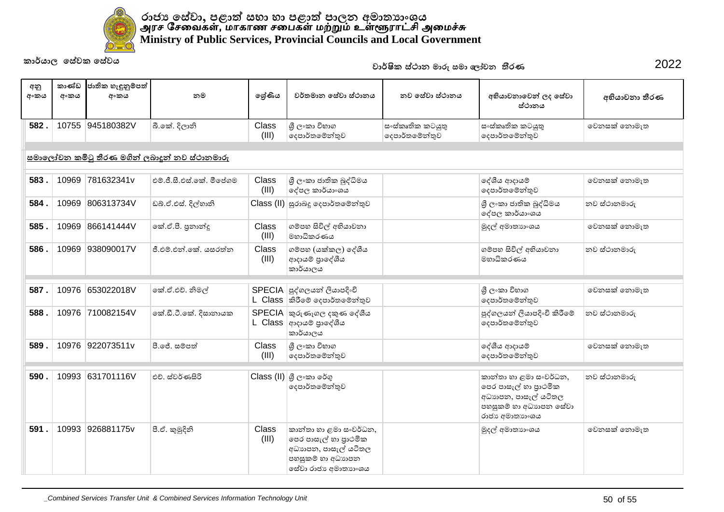

**582 .** 10755 945180382V ȫ˳úǎˢ˫ǧ Class (III) ශී ල∘කා විභාග ේදෙපාර්තමේන්තුව සංස්කෘතික කටයුතු ේගාර්තමේන්තුව ස∘ස්කෘතික කටයුතු ේගදහාර්තමේන්තුව වෙනුසක් නොමැත ් සමාලෝචන කමිටු තීරණ මගින් ලබාදුන් නව ස්ථානමාරු **583 . 10969 781632341v එම ජී.සී.එස්.කේ. මීපේගම Class** (III) ∣ශී ලංකා ජාතික බුද්ධිමය ේපල කාර්යාංශය ලද්ශීය ආදායම් ේගාර්තමේන්තුව වෙනුසක් නොමැත **584 .** 10969 806313734V ːȩ'ʻ˦˪ǎɢ˧˫ǧ Class (II) ʈˡ˫˜ǐ˳˖˚˫ə˔˳ȼǦƱˣ ɼˢʭˁ˫ˉ˫ƯˁȬNJǝ˞ˠ ේපල කාර්යාංශය නව ස්ථානමාරු **585 .** 10969 866141444V ˳ú'șȝ˘˫Ǧǐ Class (III) ්ගමපහ සිවිල් අභියාචනා මහාධිකරණය ȿ˖ɢʯ˞˫˔ɕ˫ʭˤˠ ˳ˣ˘˦ú˳˘ʣ˞ˬ˔ **586 .** 10969 938090017V ŐʻȼʻǦ˳úˠ˦ˡƮ˘ Class (III) ගම්පහ (යක්කල) දේශීය ආදායම් පාලේශීය කාර්යාලය ්ගම්පහ සිවිල් අහියාවනා  $|$ මහාධිකරණය නව ස්ථානමාරු **587 . 10976 653022018V ෧෯෪෪෯෯**෧ L Class |කිරීමේ දෙපාර්තමේන්තුව SPECIA පුද්ගලයන් ලියාපදිංචි ේශී ලංකා විහාග ේගදපාර්තමේන්තුව වෙනුසක් නොමැත **588 .** 10976 710082154V ේගක්.ඩී.ටී.කේ. දිසානායක L Class |ආදායම් පුාදේශීය SPECIA කරුණෑගල දකුණ දේශීය කාර්යාලය පුද්ගලයන් ලියාපදිංචි කිරීමේ ේගදපාර්තමේන්තුව නව ස්ථානමාරු **589 .** 10976 922073511v ș˳Ŏ˦ȼ˚Ʈ Class (III) ේශී ලංකා විහාග ේදෙපාර්තමේන්තුව ලද්ශීය ආදායම් ේගේ ගැන ගැන හ වෙනුසක් නොමැත  $\bullet$  590 . | 10993  $\,$  631701116V  $\,$  | එච්. ස්වර්ණසිරි Class (II) ශී ලංකා රේග දෙපාර්තමේන්තුව ∣කාන්තා හා ළමා සංවර්ධන, |පෙර පාසැල් හා පාථමික ් අධායපන, පාසැල් යටිතල ් පහසුකම් හා අධායාපන සේවා ˡ˫ˉɕʯ˞˫˔ɕ˫ʭˤˠ නව ස්ථානමාරු **591 .** 10993 926881175v ș'ýȿǎǧ Class (III) කාන්තා හා ළමා සංවර්ධන, ේශපර පාසැල් හා පාථමික අධාහපන, පාසැල් යටිතල පහසුකම් හා අධාහපන ȿ˖ɢʯ˞˫˔ɕ˫ʭˤˠ ˳ˣ˘˦ú˳˘ʣ˞ˬ˔ **ˣ˫ə˥ˮˁ˦˪˕˫˘˞˫ˡˬ˦˞˫˳ˢ˫˪ˇ˘˔˯ˡ˒ ˁ˫əˠ˫ˢ˳˦ʢˣˁ˳˦ʢˣˠ** 2022 අන <u>අංකය</u> කාණ්ඩ <u>අංකය</u> ්ජාතික හැඳුනුම්පත් **ʯʭˁˠ ˘˞ ˳ɹʢƝˠ ˣə˔˞˫˘˳˦ʢˣ˫˦˪˕˫˘ˠ ʯȴˠ˫ˇ˘˫˳ˣǦˢ˖˳˦ʢˣ˫** <u>ස්ථානය</u> අහියාචනා තීරණ **˘ˣ˳˦ʢˣ˫˦˪˕˫˘ˠ**

ෛස්වා රාජා අමාතාංශය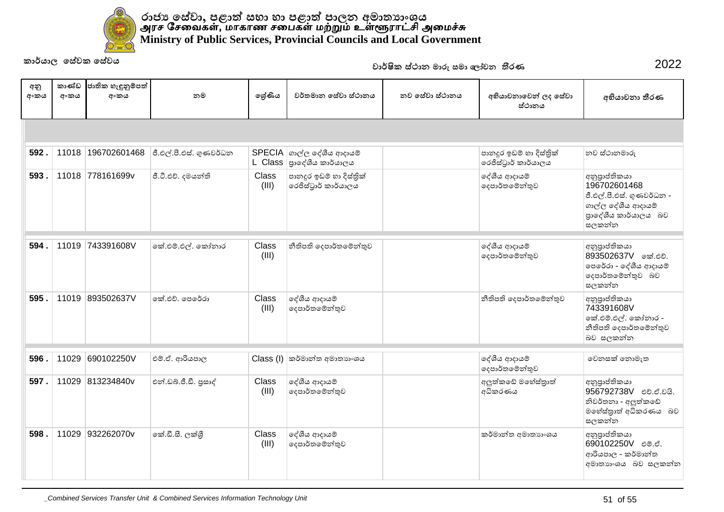

| කාර්යාල සේවක සේවය |               |                           |                         |                       | වාර්ෂික ස්ථාන මාරු සමා ලෝචන තීරණ                          | 2022           |                                                 |                                                                                                                  |
|-------------------|---------------|---------------------------|-------------------------|-----------------------|-----------------------------------------------------------|----------------|-------------------------------------------------|------------------------------------------------------------------------------------------------------------------|
| අනු<br>අංකය       | කාණ්ඩ<br>අංකය | ජාතික හැඳුනුම්පත්<br>අංකය | නම                      | ලශ්ණිය                | වර්තමාන සේවා ස්ථානය                                       | නව සේවා ස්ථානය | අභියාචනාවෙන් ලද සේවා<br>ස්ථානය                  | අභියාචනා තීරණ                                                                                                    |
|                   |               |                           |                         |                       |                                                           |                |                                                 |                                                                                                                  |
| 592.              | 11018         | 196702601468              | ජී.එල්.පී.එස්. ගුණවර්ධන |                       | SPECIA  ගාල්ල දේශීය ආදායම්<br>L Class   පුාදේශීය කාර්යාලය |                | පානදූර ඉඩම් හා දිස්තික්<br>රෙජිස්ටුාර් කාර්යාලය | නව ස්ථානමාරු                                                                                                     |
| 593.              |               | 11018 778161699v          | ජී.ටී.එච්. දමයන්ති      | <b>Class</b><br>(III) | පානදූර ඉඩම් හා දිස්තික්<br>රෙජිස්ටුාර් කාර්යාලය           |                | දේශීය ආදායම්<br>දෙපාර්තමේන්තුව                  | අනුපාප්තිකයා<br>196702601468<br>ජී.එල්.පී.එස්. ගුණවර්ධන -<br>ගාල්ල දේශීය ආදායම්<br>පාදේශීය කාර්යාලය බව<br>සලකන්න |
| 594.              | 11019         | 743391608V                | කේ.එම්.එල්. කෝනාර       | Class<br>(III)        | නීතිපති දෙපාර්තමේන්තුව                                    |                | දේශීය ආදායම්<br>දෙපාර්තමේන්තුව                  | අනුපාප්තිකයා<br>893502637V කේ.එච්.<br>පෙරේරා - දේශීය ආදායම්<br>දෙපාර්තමේන්තුව බව<br>සලකන්න                       |
| 595.              | 11019         | 893502637V                | කේ.එච්. පෙරේරා          | Class<br>(III)        | දේශීය ආදායම්<br> ලදපාර්තමේන්තුව                           |                | නීතිපති දෙපාර්තමේන්තුව                          | අනුපාප්තිකයා<br>743391608V<br>කේ.එම්.එල්. කෝනාර -<br>නීතිපති දෙපාර්තමේන්තුව<br>බව සලකන්න                         |
| 596.              | 11029         | 690102250V                | එම්.ඒ. ආරියපාල          | Class (I)             | කර්මාන්ත අමාතාහංශය                                        |                | දේශීය ආදායම්<br>දෙපාර්තමේන්තුව                  | වෙනසක් නොමැත                                                                                                     |
| 597.              |               | 11029 813234840v          | එන්.ඩබ්.ජී.ඩී. පුසාද්   | Class<br>(III)        | දේශීය ආදායම්<br>දෙපාර්තමේන්තුව                            |                | අලුත්කඩේ මහේස්තුාත්<br>අධිකරණය                  | අනුපාප්තිකයා<br>956792738V එච්.ඒ.වයි.<br>නිවර්තනා - අලුත්කඩේ<br>මහේස්තුාත් අධිකරණය බව<br>සලකන්න                  |
| 598.              |               | 11029 932262070v          | කේ.ඩී.සී. ලක්ශී         | <b>Class</b><br>(III) | දේශීය ආදායම්<br>දෙපාර්තමේන්තුව                            |                | කර්මාන්ත අමාතාහංශය                              | අනුපාප්තිකයා<br>690102250V ಲಿಲ್ಲಿಲೆ.<br>ආරියපාල - කර්මාන්ත<br>අමාතහංශය බව සලකන්න                                 |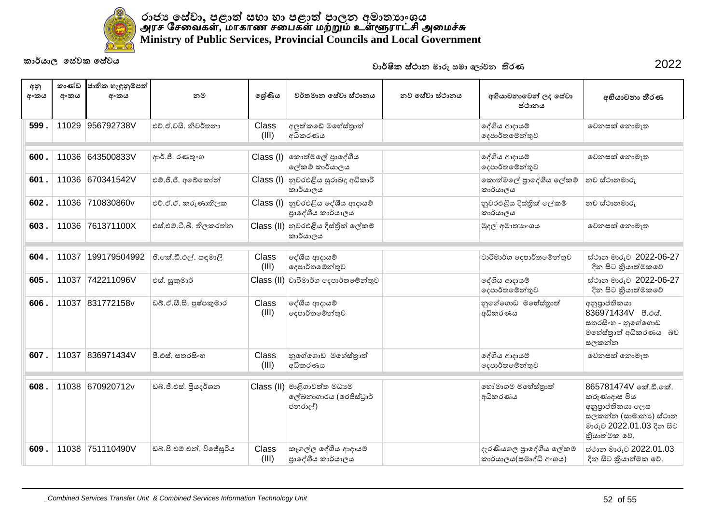

| අනු<br>අංකය | කාණ්ඩ<br>අංකය | ජාතික හැඳුනුම්පත්<br>අංකය | නම                        | ලශ්ණිය         | වර්තමාන සේවා ස්ථානය                                              | නව සේවා ස්ථානය | අභියාචනාවෙන් ලද සේවා<br>ස්ථානය                    | අභියාචනා තීරණ                                                                                                                  |
|-------------|---------------|---------------------------|---------------------------|----------------|------------------------------------------------------------------|----------------|---------------------------------------------------|--------------------------------------------------------------------------------------------------------------------------------|
| 599         |               | 11029 956792738V          | එච්.ඒ.වයි. නිවර්තනා       | Class<br>(III) | අලුත්කඩේ මහේස්තාත්<br>අධිකරණය                                    |                | දේශීය ආදායම්<br>දෙපාර්තමේන්තුව                    | වෙනසක් නොමැත                                                                                                                   |
| 600         | 11036         | 643500833V                | ආර්.ජී. රණතුංග            |                | $Class (I)$ ගකාත්මලේ පුාදේශීය<br>ලේකම් කාර්යාලය                  |                | දේශීය ආදායම්<br>දෙපාර්තමේන්තුව                    | වෙනසක් නොමැත                                                                                                                   |
| 601.        |               | 11036 670341542V          | එම්.ජී.ජී. අබේකෝන්        |                | Class (I) තුවරඑළිය සුරාබදු අධිකාරි<br>කාර්යාලය                   |                | කොත්මලේ පාදේශීය ලේකම්<br>කාර්යාලය                 | නව ස්ථානමාරු                                                                                                                   |
| 602         |               | 11036 710830860v          | එච්.ඒ.ඒ. කරුණාතිලක        |                | Class (I) නුවරඑළිය දේශීය ආදායම්<br>පාදේශීය කාර්යාලය              |                | නුවරඑළිය දිස්තික් ලේකම්<br>කාර්යාලය               | නව ස්ථානමාරු                                                                                                                   |
| 603         |               | 11036 761371100X          | එස්.එම්.ටී.බී. තිලකරත්න   |                | Class (II) නුවරඑළිය දිස්තික් ලේකම්<br>කාර්යාලය                   |                | මුදල් අමාතනංශය                                    | වෙනසක් නොමැත                                                                                                                   |
| 604         | 11037         | 199179504992              | ජී.කේ.ඩී.එල්. සඳමාලි      | Class<br>(III) | දේශීය ආදායම්<br>දෙපාර්තමේන්තුව                                   |                | වාරිමාර්ග දෙපාර්තමේන්තුව                          | ස්ථාන මාරුව 2022-06-27<br>දින සිට කියාත්මකවේ                                                                                   |
| 605         |               | 11037 742211096V          | එස්. සුකුමාර්             |                | Class (II) වාරිමාර්ග දෙපාර්තමේන්තුව                              |                | දේශීය ආදායම්<br>දෙපාර්තමේන්තුව                    | ස්ථාන මාරුව 2022-06-27<br>දින සිට කියාත්මකවේ                                                                                   |
| 606.        |               | 11037 831772158v          | ඩබ්.ඒ.සී.සී. පුෂ්පකුමාර   | Class<br>(III) | දේශීය ආදායම්<br>දෙපාර්තමේන්තුව                                   |                | නුගේගොඩ මහේස්තුාත්<br>අධිකරණය                     | අනුපාප්තිකයා<br>836971434V 8.ಲಿಜೆ.<br>සතරසිංහ - නුගේගොඩ<br>මහේස්තුාත් අධිකරණය බව<br>සලකන්න                                     |
| 607.        | 11037         | 836971434V                | පී.එස්. සතරසිංහ           | Class<br>(III) | නුගේගොඩ මහේස්තාත්<br>අධිකරණය                                     |                | දේශීය ආදායම්<br>දෙපාර්තමේන්තුව                    | වෙනසක් නොමැත                                                                                                                   |
| 608         |               | 11038 670920712v          | ඩබ්.ජී.එස්. පියදර්ශන      |                | Class (II) මාළිගාවත්ත මධාාම<br>ලේඛනාගාරය (රෙජිස්ටුාර්<br>ජනරාල්) |                | හෝමාගම මහේස්තුාත්<br>අධිකරණය                      | 865781474V කේ.ඩී.කේ.<br>කරුණාදාස මිය<br>අනුපාප්තිකයා ලෙස<br>සලකන්න (සාමානාා) ස්ථාන<br>මාරුව 2022.01.03 දින සිට<br>කියාත්මක වේ. |
| 609.        | 11038         | 751110490V                | ඩබ්.පී.එම්.එන්. විජේසුරිය | Class<br>(III) | කෑගල්ල දේශීය ආදායම්<br>පාදේශීය කාර්යාලය                          |                | දැරණියගල පුාදේශීය ලේකම්<br>කාර්යාලය(සමෘද්ධි අංශය) | ස්ථාන මාරුව 2022.01.03<br>දින සිට කියාත්මක වේ.                                                                                 |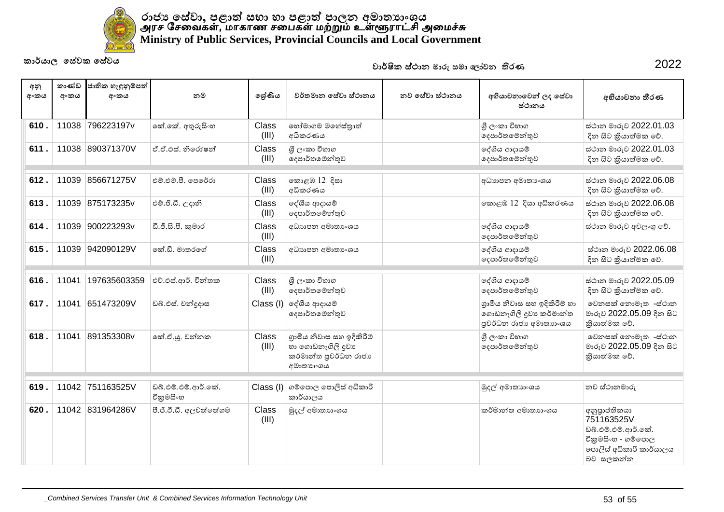

| අනු<br>අංකය | කාණ්ඩ<br>අංකය | ජාතික හැඳුනුම්පත්<br>අංකය | නම                               | ලේණිය          | වර්තමාන සේවා ස්ථානය                                                                  | නව සේවා ස්ථානය | අභියාචනාවෙන් ලද සේවා<br>ස්ථානය                                                    | අභියාචනා තීරණ                                                                                                   |
|-------------|---------------|---------------------------|----------------------------------|----------------|--------------------------------------------------------------------------------------|----------------|-----------------------------------------------------------------------------------|-----------------------------------------------------------------------------------------------------------------|
| 610.        |               | 11038 796223197v          | කේ.කේ. අතුරුසිංහ                 | Class<br>(III) | හෝමාගම මහේස්තාත්<br>අධිකරණය                                                          |                | ශී ලංකා විහාග<br>දෙපාර්තමේන්තුව                                                   | ස්ථාන මාරුව 2022.01.03<br>දින සිට කියාත්මක වේ.                                                                  |
| 611.        |               | 11038 890371370V          | ් ඒ.ඒ.එස්. නිරෝෂන්               | Class<br>(III) | ශී ලංකා විහාග<br>දෙපාර්තමේන්තුව                                                      |                | දේශීය ආදායම්<br>දෙපාර්තමේන්තුව                                                    | ස්ථාන මාරුව 2022.01.03<br>දින සිට කියාත්මක වේ.                                                                  |
| 612.        | 11039         | 856671275V                | එම්.එම්.පී. පෙරේරා               | Class<br>(III) | කොළඹ 12 දිසා<br>අධිකරණය                                                              |                | අධාහපන අමාතා ශය                                                                   | ස්ථාන මාරුව 2022.06.08<br>දින සිට කියාත්මක වේ.                                                                  |
| 613.        | 11039         | 875173235v                | එම්.ජී.ඩී. උදානි                 | Class<br>(III) | දේශීය ආදායම්<br>දෙපාර්තමේන්තුව                                                       |                | කොළඹ 12 දිසා අධිකරණය                                                              | ස්ථාන මාරුව 2022.06.08<br>දින සිට කියාත්මක වේ.                                                                  |
| 614.        | 11039         | 900223293v                | ඩී.ජී.සී.පී. කුමාර               | Class<br>(III) | අධාහපන අමාතා ශය                                                                      |                | දේශීය ආදායම්<br>දෙපාර්තමේන්තුව                                                    | ස්ථාන මාරුව අවලංගු වේ.                                                                                          |
| 615.        | 11039         | 942090129V                | කේ.ඩී. මාතරගේ                    | Class<br>(III) | අධාහපන අමාතා ංශය                                                                     |                | දේශීය ආදායම්<br>දෙපාර්තමේන්තුව                                                    | ස්ථාන මාරුව 2022.06.08<br>දින සිට කියාත්මක වේ.                                                                  |
| 616.        | 11041         | 197635603359              | එච්.එස්.ආර්. චින්තක              | Class<br>(III) | ශී ලංකා විහාග<br>දෙපාර්තමේන්තුව                                                      |                | දේශීය ආදායම්<br>දෙපාර්තමේන්තුව                                                    | ස්ථාන මාරුව 2022.05.09<br>දින සිට කියාත්මක වේ.                                                                  |
| 617.        |               | 11041 651473209V          | ඩබ්.එස්. චන්දුදාස                | Class (I)      | ලද්ශීය ආදායම්<br>දෙපාර්තමේන්තුව                                                      |                | ගුාමීය නිවාස සහ ඉදිකිරීම් හා<br>ගොඩනැගිලි දුවා කර්මාන්ත<br>පුවර්ධන රාජා අමාතාහංශය | වෙනසක් නොමැත -ස්ථාන<br>මාරුව 2022.05.09 දින සිට<br>කියාත්මක වේ.                                                 |
| 618.        | 11041         | 891353308v                | ්කේ.ඒ.යූ. චන්නක                  | Class<br>(III) | ගුාමීය නිවාස සහ ඉදිකිරීම්<br>හා ගොඩනැගිලි දුවා<br>කර්මාන්ත පුවර්ධන රාජා<br>අමාතාගංශය |                | ශී ලංකා විහාග<br>දෙපාර්තමේන්තුව                                                   | වෙනසක් නොමැත -ස්ථාන<br>මාරුව 2022.05.09 දින සිට<br>කියාත්මක වේ.                                                 |
| 619.        | 11042         | 751163525V                | ඩබ්.එම්.එම්.ආර්.කේ.<br>විකුමසිංහ | Class (I)      | ගම්පොල පොලිස් අධිකාරි<br>කාර්යාලය                                                    |                | මුදල් අමාතාගංශය                                                                   | නව ස්ථානමාරු                                                                                                    |
| 620.        |               | 11042 831964286V          | පී.ජී.ටී.ඩී. අලවත්තේගම           | Class<br>(III) | මුදල් අමාතාහංශය                                                                      |                | කර්මාන්ත අමාතාහංශය                                                                | අනුපාප්තිකයා<br>751163525V<br>ඩබ්.එම්.එම්.ආර්.කේ.<br>විකුමසිංහ - ගම්පොල<br>පොලිස් අධිකාරි කාර්යාලය<br>බව සලකන්න |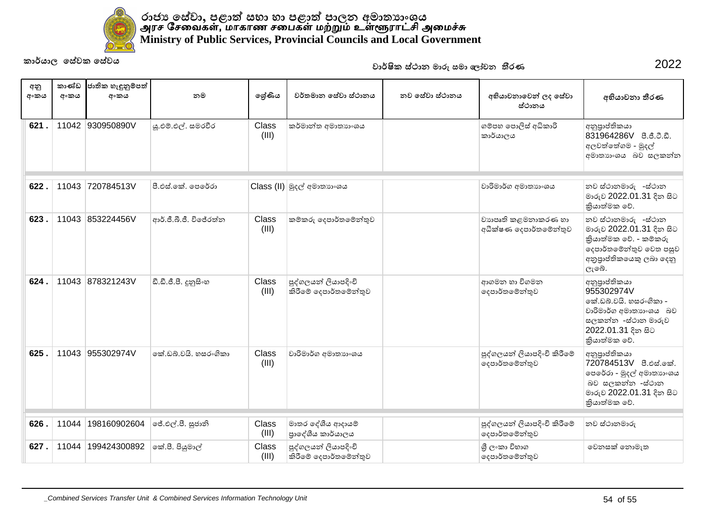

| අනු<br>අංකය | කාණ්ඩ<br>අංකය | ජාතික හැඳුනුම්පත්<br>අංකය | නම                     | ලශ්ණිය         | වර්තමාන සේවා ස්ථානය                           | නව සේවා ස්ථානය | අභියාචනාවෙන් ලද සේවා<br>ස්ථානය                 | අභියාචනා තීරණ                                                                                                                               |
|-------------|---------------|---------------------------|------------------------|----------------|-----------------------------------------------|----------------|------------------------------------------------|---------------------------------------------------------------------------------------------------------------------------------------------|
| 621.        |               | 11042 930950890V          | ශු.එම්.එල්. සමරවීර     | Class<br>(III) | කර්මාන්ත අමාතහංශය                             |                | ගම්පහ පොලිස් අධිකාරි<br>කාර්යාලය               | අනුපාප්තිකයා<br>831964286V 8.8.5.8.<br>අලවත්තේගම - මුදල්<br>අමාතහංශය බව සලකන්න                                                              |
| 622.        | 11043         | 720784513V                | පී.එස්.කේ. පෙරේරා      |                | Class (II) මුදල් අමාතාහංශය                    |                | වාරිමාර්ග අමාතාහංශය                            | නව ස්ථානමාරු -ස්ථාන<br>මාරුව 2022.01.31 දින සිට<br>කියාත්මක වේ.                                                                             |
| 623.        |               | 11043 853224456V          | ආර්.ජී.බී.ජී. විජේරත්ත | Class<br>(III) | කම්කරු දෙපාර්තමේන්තුව                         |                | වාහපෘති කළමනාකරණ හා<br>අධීක්ෂණ දෙපාර්තමේන්තුව  | නව ස්ථානමාරු -ස්ථාන<br>මාරුව 2022.01.31 දින සිට<br>කියාත්මක වේ. - කම්කරු<br>දෙපාර්තමේන්තුව වෙත පසුව<br>අනුපාප්තිකයෙකු ලබා දෙනු<br>ලැබේ.     |
| 624.        |               | 11043 878321243V          | ඩී.ඩී.ජී.පී. දුනුසිංහ  | Class<br>(III) | පුද්ගලයන් ලියාපදිංචි<br>කිරීමේ දෙපාර්තමේන්තුව |                | ආගමන හා විගමන<br>දෙපාර්තමේන්තුව                | අනුපාප්තිකයා<br>955302974V<br>කේ.ඩබ්.වයි. හසරංගිකා -<br>වාරිමාර්ග අමාතාහංශය බව<br>සලකන්න -ස්ථාන මාරුව<br>2022.01.31 දින සිට<br>කියාත්මක වේ. |
| 625.        |               | 11043 955302974V          | කේ.ඩබ්.වයි. හසරංගිකා   | Class<br>(III) | වාරිමාර්ග අමාතාහංශය                           |                | පුද්ගලයන් ලියාපදිංචි කිරීමේ<br> ලදපාර්තමේන්තුව | අනුපාප්තිකයා<br>720784513V පී.එස්.කේ.<br>පෙරේරා - මුදල් අමාතාහංශය<br>බව සලකන්න -ස්ථාන<br>මාරුව 2022.01.31 දින සිට<br>කියාත්මක වේ.           |
| 626.        | 11044         | 198160902604              | ජේ.එල්.පී. සූජානි      | Class<br>(III) | මාතර දේශීය ආදායම්<br>පාදේශීය කාර්යාලය         |                | පුද්ගලයන් ලියාපදිංචි කිරීමේ<br>දෙපාර්තමේන්තුව  | නව ස්ථානමාරු                                                                                                                                |
| 627.        | 11044         | 199424300892              | නේ.පී. පියුමාල්        | Class<br>(III) | පුද්ගලයන් ලියාපදිංචි<br>කිරීමේ දෙපාර්තමේන්තුව |                | ශී ලංකා විහාග<br>දෙපාර්තමේන්තුව                | වෙනසක් නොමැත                                                                                                                                |